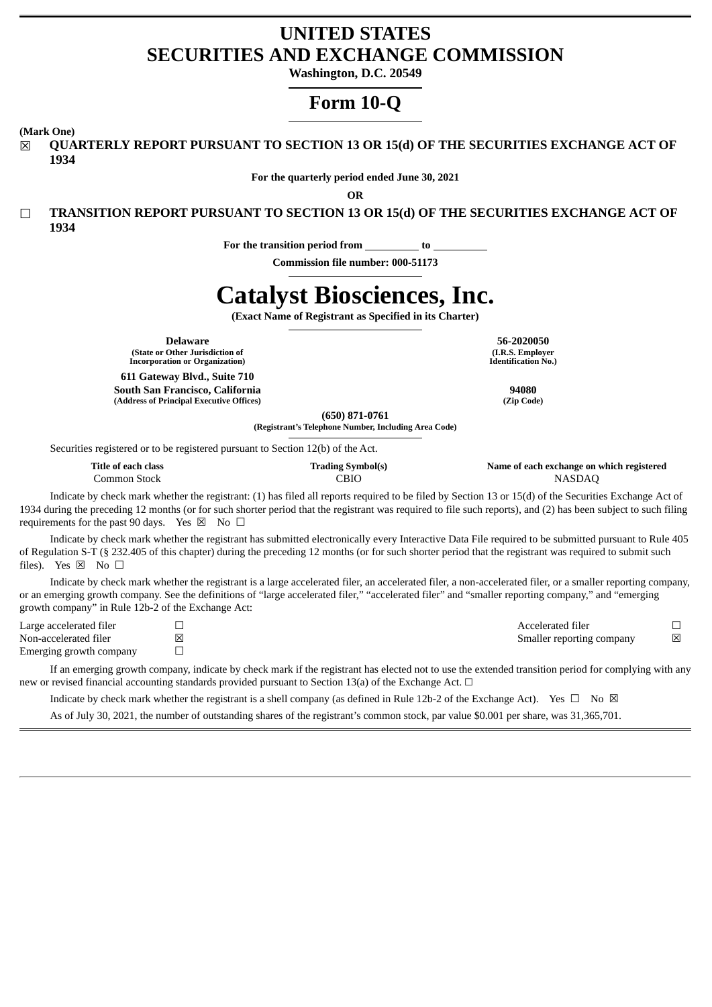## **UNITED STATES SECURITIES AND EXCHANGE COMMISSION**

**Washington, D.C. 20549**

## **Form 10-Q**

**(Mark One)**

☒ **QUARTERLY REPORT PURSUANT TO SECTION 13 OR 15(d) OF THE SECURITIES EXCHANGE ACT OF 1934**

**For the quarterly period ended June 30, 2021**

**OR**

☐ **TRANSITION REPORT PURSUANT TO SECTION 13 OR 15(d) OF THE SECURITIES EXCHANGE ACT OF 1934**

**For the transition period from to**

**Commission file number: 000-51173**

## **Catalyst Biosciences, Inc.**

**(Exact Name of Registrant as Specified in its Charter)**

**Delaware 56-2020050 (State or Other Jurisdiction of Incorporation or Organization)**

**611 Gateway Blvd., Suite 710 South San Francisco, California 94080 (Address of Principal Executive Offices) (Zip Code)**

**(I.R.S. Employer Identification No.)**

**(650) 871-0761**

**(Registrant's Telephone Number, Including Area Code)**

Securities registered or to be registered pursuant to Section 12(b) of the Act.

| Title of each class<br>Common Stock                          | <b>Trading Symbol(s)</b><br>CBIO | Name of each exchange on which registered<br><b>NASDAO</b>                                                                                                      |
|--------------------------------------------------------------|----------------------------------|-----------------------------------------------------------------------------------------------------------------------------------------------------------------|
|                                                              |                                  | Indicate by check mark whether the registrant: (1) has filed all reports required to be filed by Section 13 or 15(d) of the Securities Exchange Act of          |
|                                                              |                                  | 1934 during the preceding 12 months (or for such shorter period that the registrant was required to file such reports), and (2) has been subject to such filing |
| requirements for the past 90 days. Yes $\boxtimes$ No $\Box$ |                                  |                                                                                                                                                                 |

Indicate by check mark whether the registrant has submitted electronically every Interactive Data File required to be submitted pursuant to Rule 405 of Regulation S-T (§ 232.405 of this chapter) during the preceding 12 months (or for such shorter period that the registrant was required to submit such files). Yes  $\boxtimes$  No  $\square$ 

Indicate by check mark whether the registrant is a large accelerated filer, an accelerated filer, a non-accelerated filer, or a smaller reporting company, or an emerging growth company. See the definitions of "large accelerated filer," "accelerated filer" and "smaller reporting company," and "emerging growth company" in Rule 12b-2 of the Exchange Act:

Large accelerated filer ☐ Accelerated filer ☐ Emerging growth company  $\Box$ 

Non-accelerated filer  $□$  ⊠ smaller reporting company  $□$  Smaller reporting company  $□$ 

If an emerging growth company, indicate by check mark if the registrant has elected not to use the extended transition period for complying with any new or revised financial accounting standards provided pursuant to Section 13(a) of the Exchange Act. □

Indicate by check mark whether the registrant is a shell company (as defined in Rule 12b-2 of the Exchange Act). Yes  $\Box$  No  $\boxtimes$ 

As of July 30, 2021, the number of outstanding shares of the registrant's common stock, par value \$0.001 per share, was 31,365,701.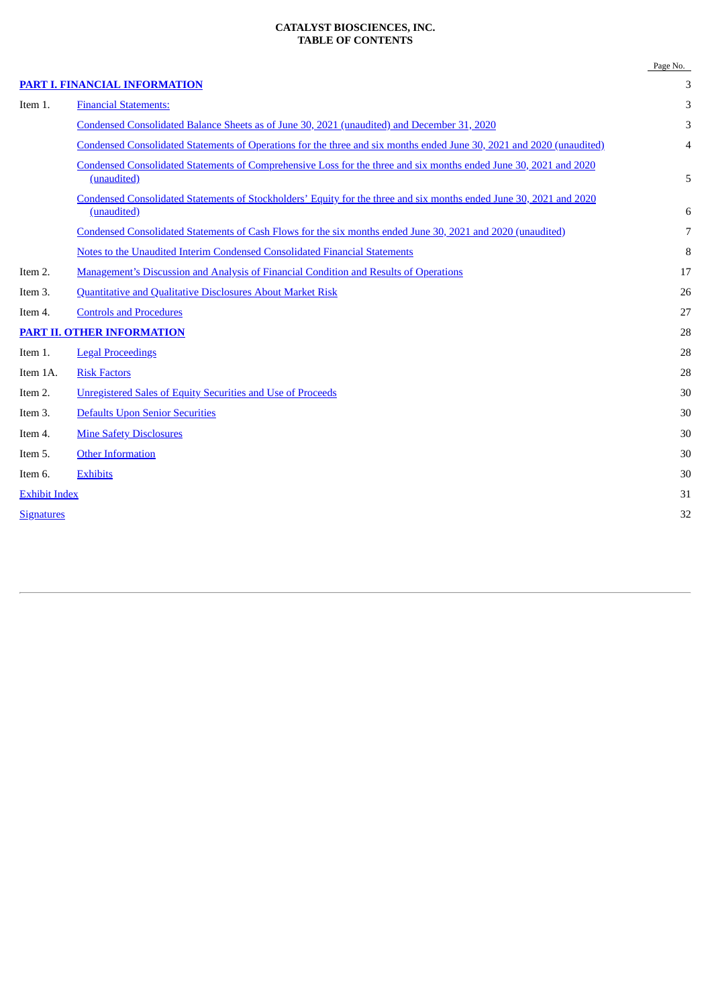#### **CATALYST BIOSCIENCES, INC. TABLE OF CONTENTS**

Page No.

|                      | <b>PART I. FINANCIAL INFORMATION</b>                                                                                               | 3  |
|----------------------|------------------------------------------------------------------------------------------------------------------------------------|----|
| Item 1.              | <b>Financial Statements:</b>                                                                                                       | 3  |
|                      | Condensed Consolidated Balance Sheets as of June 30, 2021 (unaudited) and December 31, 2020                                        | 3  |
|                      | Condensed Consolidated Statements of Operations for the three and six months ended June 30, 2021 and 2020 (unaudited)              | 4  |
|                      | Condensed Consolidated Statements of Comprehensive Loss for the three and six months ended June 30, 2021 and 2020<br>(unaudited)   | 5  |
|                      | Condensed Consolidated Statements of Stockholders' Equity for the three and six months ended June 30, 2021 and 2020<br>(unaudited) | 6  |
|                      | Condensed Consolidated Statements of Cash Flows for the six months ended June 30, 2021 and 2020 (unaudited)                        | 7  |
|                      | Notes to the Unaudited Interim Condensed Consolidated Financial Statements                                                         | 8  |
| Item 2.              | <b>Management's Discussion and Analysis of Financial Condition and Results of Operations</b>                                       | 17 |
| Item 3.              | <b>Quantitative and Qualitative Disclosures About Market Risk</b>                                                                  | 26 |
| Item 4.              | <b>Controls and Procedures</b>                                                                                                     | 27 |
|                      | <b>PART II. OTHER INFORMATION</b>                                                                                                  | 28 |
| Item 1.              | <b>Legal Proceedings</b>                                                                                                           | 28 |
| Item 1A.             | <b>Risk Factors</b>                                                                                                                | 28 |
| Item 2.              | <b>Unregistered Sales of Equity Securities and Use of Proceeds</b>                                                                 | 30 |
| Item 3.              | <b>Defaults Upon Senior Securities</b>                                                                                             | 30 |
| Item 4.              | <b>Mine Safety Disclosures</b>                                                                                                     | 30 |
| Item 5.              | <b>Other Information</b>                                                                                                           | 30 |
| Item 6.              | <b>Exhibits</b>                                                                                                                    | 30 |
| <b>Exhibit Index</b> |                                                                                                                                    | 31 |
| <b>Signatures</b>    |                                                                                                                                    | 32 |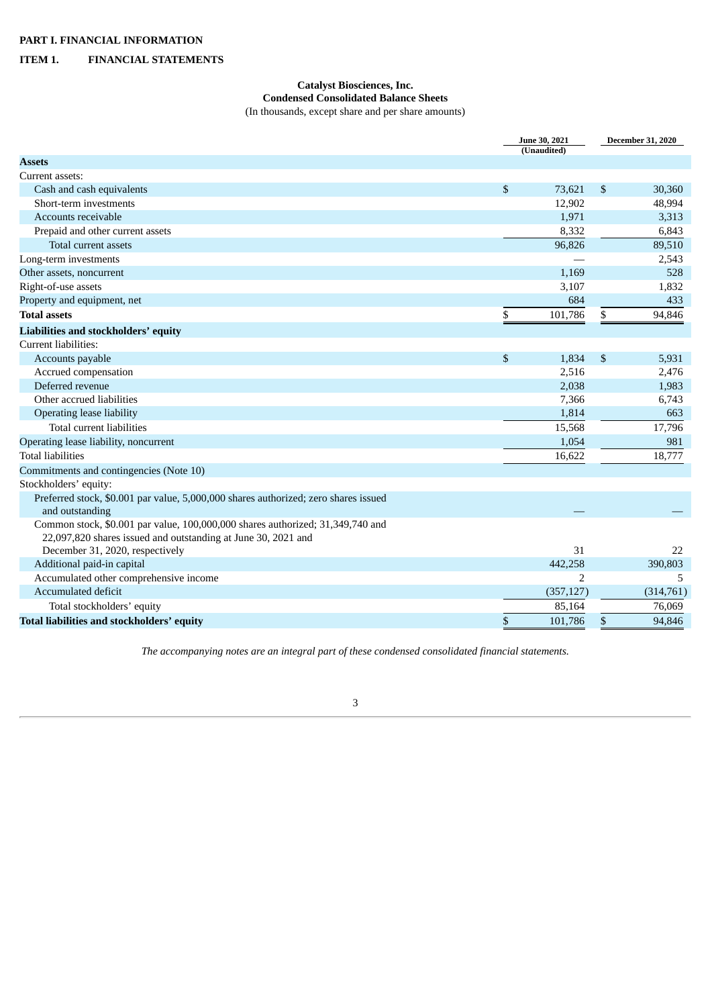#### <span id="page-2-2"></span><span id="page-2-1"></span><span id="page-2-0"></span>**ITEM 1. FINANCIAL STATEMENTS**

### **Catalyst Biosciences, Inc.**

**Condensed Consolidated Balance Sheets** (In thousands, except share and per share amounts)

|                                                                                     | June 30, 2021<br>(Unaudited) | <b>December 31, 2020</b> |
|-------------------------------------------------------------------------------------|------------------------------|--------------------------|
| <b>Assets</b>                                                                       |                              |                          |
| Current assets:                                                                     |                              |                          |
| Cash and cash equivalents                                                           | \$<br>73,621                 | \$<br>30,360             |
| Short-term investments                                                              | 12,902                       | 48,994                   |
| Accounts receivable                                                                 | 1,971                        | 3,313                    |
| Prepaid and other current assets                                                    | 8,332                        | 6,843                    |
| Total current assets                                                                | 96,826                       | 89,510                   |
| Long-term investments                                                               |                              | 2,543                    |
| Other assets, noncurrent                                                            | 1,169                        | 528                      |
| Right-of-use assets                                                                 | 3,107                        | 1,832                    |
| Property and equipment, net                                                         | 684                          | 433                      |
| <b>Total assets</b>                                                                 | \$<br>101,786                | \$<br>94,846             |
| Liabilities and stockholders' equity                                                |                              |                          |
| Current liabilities:                                                                |                              |                          |
| Accounts payable                                                                    | \$<br>1,834                  | \$<br>5,931              |
| Accrued compensation                                                                | 2,516                        | 2,476                    |
| Deferred revenue                                                                    | 2,038                        | 1,983                    |
| Other accrued liabilities                                                           | 7,366                        | 6,743                    |
| <b>Operating lease liability</b>                                                    | 1,814                        | 663                      |
| Total current liabilities                                                           | 15,568                       | 17,796                   |
| Operating lease liability, noncurrent                                               | 1,054                        | 981                      |
| <b>Total liabilities</b>                                                            | 16,622                       | 18,777                   |
| Commitments and contingencies (Note 10)                                             |                              |                          |
| Stockholders' equity:                                                               |                              |                          |
| Preferred stock, \$0.001 par value, 5,000,000 shares authorized; zero shares issued |                              |                          |
| and outstanding                                                                     |                              |                          |
| Common stock, \$0.001 par value, 100,000,000 shares authorized; 31,349,740 and      |                              |                          |
| 22,097,820 shares issued and outstanding at June 30, 2021 and                       |                              |                          |
| December 31, 2020, respectively                                                     | 31                           | 22                       |
| Additional paid-in capital                                                          | 442,258                      | 390,803                  |
| Accumulated other comprehensive income                                              | 2                            | 5                        |
| Accumulated deficit                                                                 | (357, 127)                   | (314,761)                |
| Total stockholders' equity                                                          | 85,164                       | 76,069                   |
| Total liabilities and stockholders' equity                                          | \$<br>101,786                | \$<br>94,846             |

*The accompanying notes are an integral part of these condensed consolidated financial statements.*

3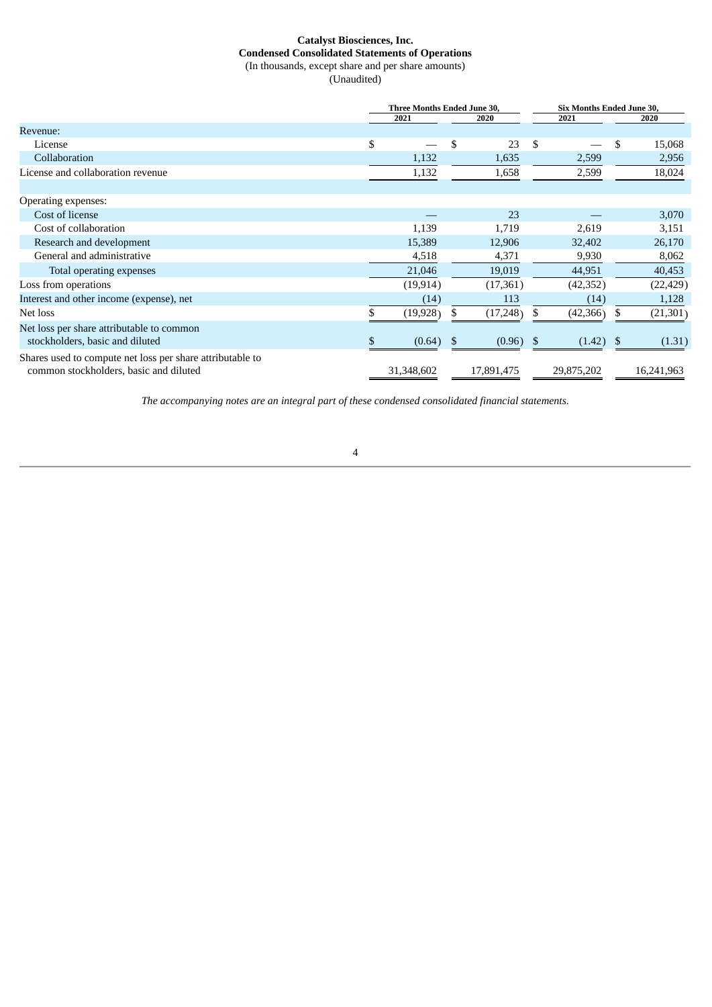#### **Catalyst Biosciences, Inc. Condensed Consolidated Statements of Operations** (In thousands, except share and per share amounts)

(Unaudited)

<span id="page-3-0"></span>

|                                                           |    | Three Months Ended June 30, |    | <b>Six Months Ended June 30.</b> |      |             |     |            |
|-----------------------------------------------------------|----|-----------------------------|----|----------------------------------|------|-------------|-----|------------|
|                                                           |    | 2021                        |    | 2020                             | 2021 |             |     | 2020       |
| Revenue:                                                  |    |                             |    |                                  |      |             |     |            |
| License                                                   | \$ |                             | \$ | 23                               | -\$  |             | \$. | 15,068     |
| Collaboration                                             |    | 1,132                       |    | 1,635                            |      | 2,599       |     | 2,956      |
| License and collaboration revenue                         |    | 1,132                       |    | 1,658                            |      | 2,599       |     | 18,024     |
|                                                           |    |                             |    |                                  |      |             |     |            |
| Operating expenses:                                       |    |                             |    |                                  |      |             |     |            |
| Cost of license                                           |    |                             |    | 23                               |      |             |     | 3,070      |
| Cost of collaboration                                     |    | 1,139                       |    | 1,719                            |      | 2,619       |     | 3,151      |
| Research and development                                  |    | 15,389                      |    | 12,906                           |      | 32,402      |     | 26,170     |
| General and administrative                                |    | 4,518                       |    | 4,371                            |      | 9,930       |     | 8,062      |
| Total operating expenses                                  |    | 21,046                      |    | 19,019                           |      | 44,951      |     | 40,453     |
| Loss from operations                                      |    | (19, 914)                   |    | (17,361)                         |      | (42, 352)   |     | (22, 429)  |
| Interest and other income (expense), net                  |    | (14)                        |    | 113                              |      | (14)        |     | 1,128      |
| Net loss                                                  |    | (19, 928)                   |    | (17, 248)                        |      | (42, 366)   |     | (21, 301)  |
| Net loss per share attributable to common                 |    |                             |    |                                  |      |             |     |            |
| stockholders, basic and diluted                           | S  | (0.64)                      | \$ | $(0.96)$ \$                      |      | $(1.42)$ \$ |     | (1.31)     |
| Shares used to compute net loss per share attributable to |    |                             |    |                                  |      |             |     |            |
| common stockholders, basic and diluted                    |    | 31,348,602                  |    | 17,891,475                       |      | 29,875,202  |     | 16,241,963 |

*The accompanying notes are an integral part of these condensed consolidated financial statements.*

4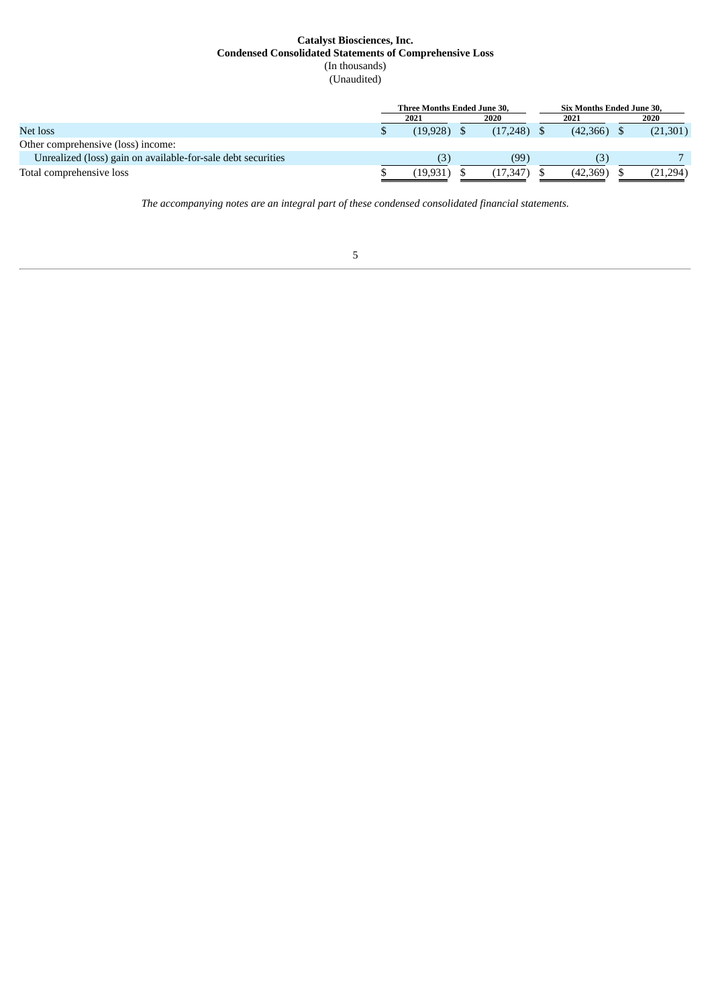#### **Catalyst Biosciences, Inc. Condensed Consolidated Statements of Comprehensive Loss** (In thousands) (Unaudited)

<span id="page-4-0"></span>

|                                                              | Three Months Ended June 30, |          |  |          |  | <b>Six Months Ended June 30.</b> |  |           |  |
|--------------------------------------------------------------|-----------------------------|----------|--|----------|--|----------------------------------|--|-----------|--|
|                                                              |                             | 2021     |  | 2020     |  | 2021                             |  | 2020      |  |
| Net loss                                                     |                             | (19.928) |  | (17.248) |  | (42.366)                         |  | (21, 301) |  |
| Other comprehensive (loss) income:                           |                             |          |  |          |  |                                  |  |           |  |
| Unrealized (loss) gain on available-for-sale debt securities |                             |          |  | (99)     |  |                                  |  |           |  |
| Total comprehensive loss                                     |                             | (19,931  |  | (17.347  |  | (42.369)                         |  | (21,294)  |  |

*The accompanying notes are an integral part of these condensed consolidated financial statements.*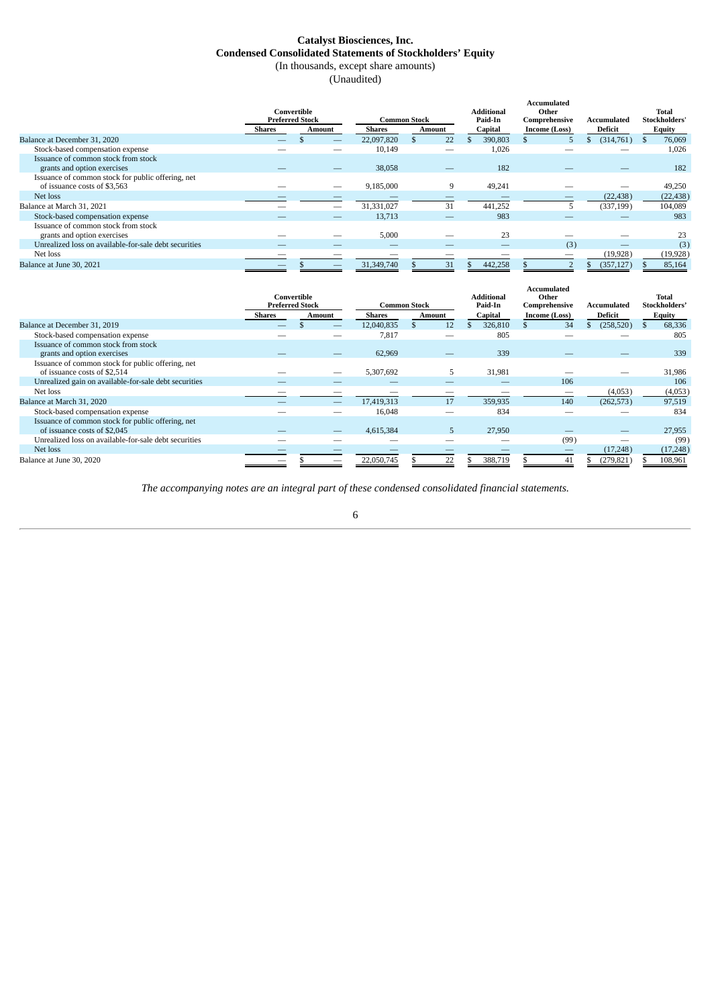#### **Catalyst Biosciences, Inc. Condensed Consolidated Statements of Stockholders' Equity** (In thousands, except share amounts)

(Unaudited)

<span id="page-5-0"></span>

|                                                                                   |        | Convertible<br><b>Preferred Stock</b> |            | <b>Common Stock</b>      | <b>Additional</b><br>Paid-In | <b>Accumulated</b><br>Other<br>Comprehensive | Accumulated    | <b>Total</b><br>Stockholders' |
|-----------------------------------------------------------------------------------|--------|---------------------------------------|------------|--------------------------|------------------------------|----------------------------------------------|----------------|-------------------------------|
|                                                                                   | Shares | Amount                                | Shares     | Amount                   | Capital                      | Income (Loss)                                | Deficit        | Equity                        |
| Balance at December 31, 2020                                                      |        |                                       | 22,097,820 | 22                       | 390,803                      | 5                                            | (314,761)<br>ъ | 76,069                        |
| Stock-based compensation expense                                                  |        |                                       | 10,149     |                          | 1,026                        |                                              |                | 1,026                         |
| Issuance of common stock from stock<br>grants and option exercises                |        |                                       | 38,058     | $\overline{\phantom{a}}$ | 182                          |                                              | _              | 182                           |
| Issuance of common stock for public offering, net<br>of issuance costs of \$3,563 |        |                                       | 9,185,000  | 9                        | 49,241                       |                                              |                | 49,250                        |
| Net loss                                                                          |        |                                       |            | __                       |                              | —                                            | (22, 438)      | (22, 438)                     |
| Balance at March 31, 2021                                                         |        |                                       | 31,331,027 | 31                       | 441,252                      |                                              | (337, 199)     | 104,089                       |
| Stock-based compensation expense                                                  |        |                                       | 13,713     |                          | 983                          |                                              |                | 983                           |
| Issuance of common stock from stock<br>grants and option exercises                |        |                                       | 5,000      |                          | 23                           |                                              |                | 23                            |
| Unrealized loss on available-for-sale debt securities                             |        |                                       |            |                          |                              | (3)                                          |                | (3)                           |
| Net loss                                                                          |        |                                       |            |                          |                              |                                              | (19, 928)      | (19, 928)                     |
| Balance at June 30, 2021                                                          |        |                                       | 31,349,740 | 31                       | 442,258                      |                                              | (357, 127)     | 85,164                        |

|                                                                                   | Convertible<br><b>Preferred Stock</b><br><b>Common Stock</b> |                          |            | <b>Additional</b><br>Paid-In | <b>Accumulated</b><br>Other<br>Comprehensive | Accumulated   | <b>Total</b><br>Stockholders' |          |
|-----------------------------------------------------------------------------------|--------------------------------------------------------------|--------------------------|------------|------------------------------|----------------------------------------------|---------------|-------------------------------|----------|
|                                                                                   | Shares                                                       | Amount                   | Shares     | Amount                       | Capital                                      | Income (Loss) | Deficit                       | Equity   |
| Balance at December 31, 2019                                                      |                                                              | __                       | 12,040,835 | 12                           | 326,810                                      | 34            | (258, 520)<br>۰ħ              | 68,336   |
| Stock-based compensation expense                                                  |                                                              |                          | 7,817      |                              | 805                                          |               |                               | 805      |
| Issuance of common stock from stock<br>grants and option exercises                |                                                              |                          | 62,969     |                              | 339                                          |               |                               | 339      |
| Issuance of common stock for public offering, net<br>of issuance costs of \$2,514 |                                                              |                          | 5,307,692  | 5                            | 31,981                                       |               |                               | 31,986   |
| Unrealized gain on available-for-sale debt securities                             |                                                              |                          |            |                              |                                              | 106           |                               | 106      |
| Net loss                                                                          |                                                              |                          |            |                              | --                                           |               | (4,053)                       | (4,053)  |
| Balance at March 31, 2020                                                         |                                                              | $\overline{\phantom{a}}$ | 17,419,313 | 17                           | 359,935                                      | 140           | (262, 573)                    | 97,519   |
| Stock-based compensation expense                                                  |                                                              |                          | 16,048     |                              | 834                                          |               |                               | 834      |
| Issuance of common stock for public offering, net                                 |                                                              |                          |            |                              |                                              |               |                               |          |
| of issuance costs of \$2,045                                                      |                                                              |                          | 4,615,384  | 5                            | 27,950                                       |               |                               | 27,955   |
| Unrealized loss on available-for-sale debt securities                             |                                                              |                          |            |                              |                                              | (99)          |                               | (99)     |
| Net loss                                                                          |                                                              |                          |            |                              |                                              |               | (17, 248)                     | (17,248) |
| Balance at June 30, 2020                                                          |                                                              |                          | 22,050,745 | 22                           | 388,719                                      | 41            | (279, 821)                    | 108,961  |

*The accompanying notes are an integral part of these condensed consolidated financial statements.*

6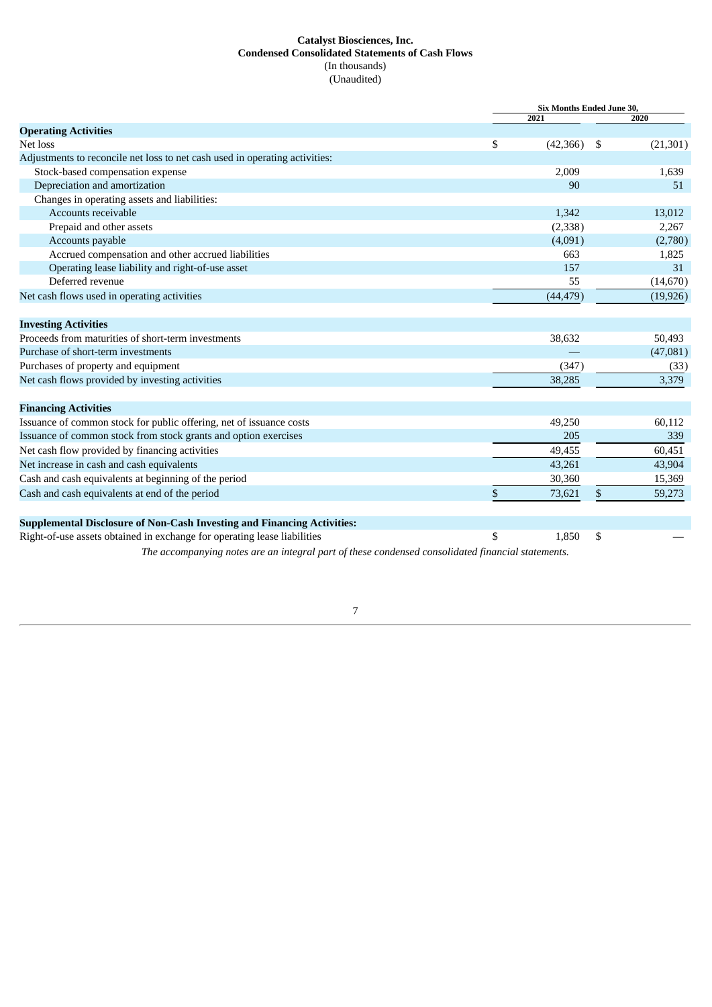#### **Catalyst Biosciences, Inc. Condensed Consolidated Statements of Cash Flows** (In thousands) (Unaudited)

<span id="page-6-0"></span>

|                                                                                                                                                                                                                                                          | <b>Six Months Ended June 30,</b> |    |           |  |
|----------------------------------------------------------------------------------------------------------------------------------------------------------------------------------------------------------------------------------------------------------|----------------------------------|----|-----------|--|
|                                                                                                                                                                                                                                                          | 2021                             |    | 2020      |  |
| <b>Operating Activities</b>                                                                                                                                                                                                                              |                                  |    |           |  |
| Net loss                                                                                                                                                                                                                                                 | \$<br>(42,366)                   | \$ | (21, 301) |  |
| Adjustments to reconcile net loss to net cash used in operating activities:                                                                                                                                                                              |                                  |    |           |  |
| Stock-based compensation expense                                                                                                                                                                                                                         | 2,009                            |    | 1,639     |  |
| Depreciation and amortization                                                                                                                                                                                                                            | 90                               |    | 51        |  |
| Changes in operating assets and liabilities:                                                                                                                                                                                                             |                                  |    |           |  |
| Accounts receivable                                                                                                                                                                                                                                      | 1,342                            |    | 13,012    |  |
| Prepaid and other assets                                                                                                                                                                                                                                 | (2, 338)                         |    | 2,267     |  |
| Accounts payable                                                                                                                                                                                                                                         | (4,091)                          |    | (2,780)   |  |
| Accrued compensation and other accrued liabilities                                                                                                                                                                                                       | 663                              |    | 1,825     |  |
| Operating lease liability and right-of-use asset                                                                                                                                                                                                         | 157                              |    | 31        |  |
| Deferred revenue                                                                                                                                                                                                                                         | 55                               |    | (14, 670) |  |
| Net cash flows used in operating activities                                                                                                                                                                                                              | (44, 479)                        |    | (19, 926) |  |
| <b>Investing Activities</b>                                                                                                                                                                                                                              |                                  |    |           |  |
| Proceeds from maturities of short-term investments                                                                                                                                                                                                       | 38,632                           |    | 50,493    |  |
| Purchase of short-term investments                                                                                                                                                                                                                       |                                  |    | (47,081)  |  |
| Purchases of property and equipment                                                                                                                                                                                                                      | (347)                            |    | (33)      |  |
| Net cash flows provided by investing activities                                                                                                                                                                                                          | 38,285                           |    | 3,379     |  |
| <b>Financing Activities</b>                                                                                                                                                                                                                              |                                  |    |           |  |
| Issuance of common stock for public offering, net of issuance costs                                                                                                                                                                                      | 49,250                           |    | 60,112    |  |
| Issuance of common stock from stock grants and option exercises                                                                                                                                                                                          | 205                              |    | 339       |  |
| Net cash flow provided by financing activities                                                                                                                                                                                                           | 49,455                           |    | 60,451    |  |
| Net increase in cash and cash equivalents                                                                                                                                                                                                                | 43,261                           |    | 43,904    |  |
| Cash and cash equivalents at beginning of the period                                                                                                                                                                                                     | 30,360                           |    | 15,369    |  |
| Cash and cash equivalents at end of the period                                                                                                                                                                                                           | \$<br>73,621                     | \$ | 59,273    |  |
|                                                                                                                                                                                                                                                          |                                  |    |           |  |
|                                                                                                                                                                                                                                                          |                                  |    |           |  |
|                                                                                                                                                                                                                                                          |                                  |    |           |  |
| Supplemental Disclosure of Non-Cash Investing and Financing Activities:<br>Right-of-use assets obtained in exchange for operating lease liabilities<br>The accompanying notes are an integral part of these condensed consolidated financial statements. | \$<br>1,850                      | \$ |           |  |

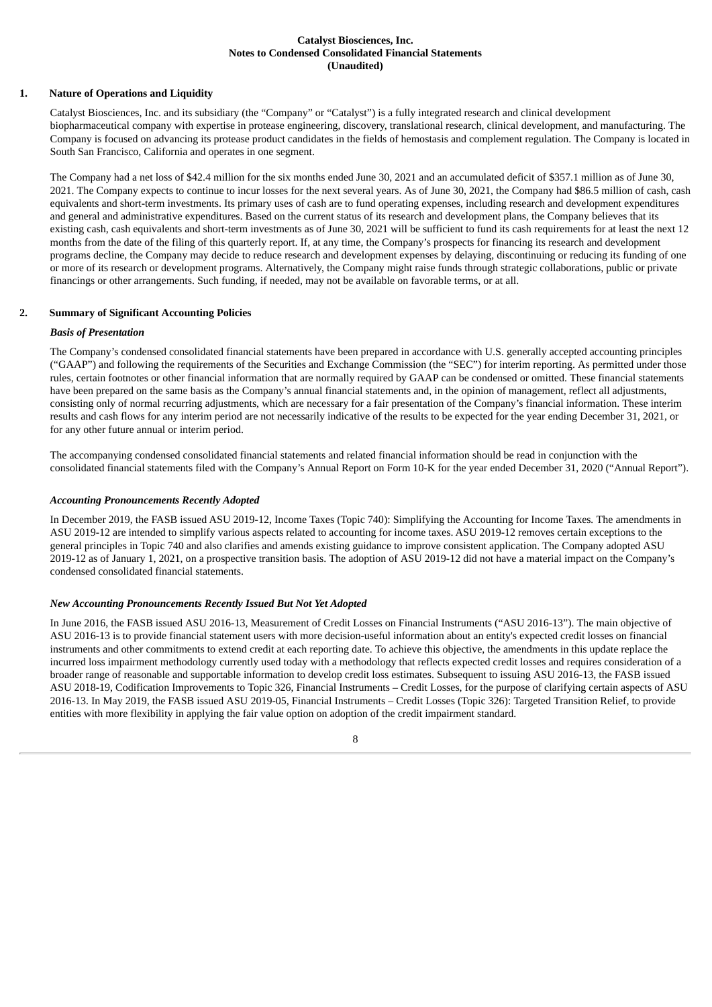#### <span id="page-7-0"></span>**1. Nature of Operations and Liquidity**

Catalyst Biosciences, Inc. and its subsidiary (the "Company" or "Catalyst") is a fully integrated research and clinical development biopharmaceutical company with expertise in protease engineering, discovery, translational research, clinical development, and manufacturing. The Company is focused on advancing its protease product candidates in the fields of hemostasis and complement regulation. The Company is located in South San Francisco, California and operates in one segment.

The Company had a net loss of \$42.4 million for the six months ended June 30, 2021 and an accumulated deficit of \$357.1 million as of June 30, 2021. The Company expects to continue to incur losses for the next several years. As of June 30, 2021, the Company had \$86.5 million of cash, cash equivalents and short-term investments. Its primary uses of cash are to fund operating expenses, including research and development expenditures and general and administrative expenditures. Based on the current status of its research and development plans, the Company believes that its existing cash, cash equivalents and short-term investments as of June 30, 2021 will be sufficient to fund its cash requirements for at least the next 12 months from the date of the filing of this quarterly report. If, at any time, the Company's prospects for financing its research and development programs decline, the Company may decide to reduce research and development expenses by delaying, discontinuing or reducing its funding of one or more of its research or development programs. Alternatively, the Company might raise funds through strategic collaborations, public or private financings or other arrangements. Such funding, if needed, may not be available on favorable terms, or at all.

#### **2. Summary of Significant Accounting Policies**

#### *Basis of Presentation*

The Company's condensed consolidated financial statements have been prepared in accordance with U.S. generally accepted accounting principles ("GAAP") and following the requirements of the Securities and Exchange Commission (the "SEC") for interim reporting. As permitted under those rules, certain footnotes or other financial information that are normally required by GAAP can be condensed or omitted. These financial statements have been prepared on the same basis as the Company's annual financial statements and, in the opinion of management, reflect all adjustments, consisting only of normal recurring adjustments, which are necessary for a fair presentation of the Company's financial information. These interim results and cash flows for any interim period are not necessarily indicative of the results to be expected for the year ending December 31, 2021, or for any other future annual or interim period.

The accompanying condensed consolidated financial statements and related financial information should be read in conjunction with the consolidated financial statements filed with the Company's Annual Report on Form 10-K for the year ended December 31, 2020 ("Annual Report").

#### *Accounting Pronouncements Recently Adopted*

In December 2019, the FASB issued ASU 2019-12, Income Taxes (Topic 740): Simplifying the Accounting for Income Taxes*.* The amendments in ASU 2019-12 are intended to simplify various aspects related to accounting for income taxes. ASU 2019-12 removes certain exceptions to the general principles in Topic 740 and also clarifies and amends existing guidance to improve consistent application. The Company adopted ASU 2019-12 as of January 1, 2021, on a prospective transition basis. The adoption of ASU 2019-12 did not have a material impact on the Company's condensed consolidated financial statements.

#### *New Accounting Pronouncements Recently Issued But Not Yet Adopted*

In June 2016, the FASB issued ASU 2016-13, Measurement of Credit Losses on Financial Instruments ("ASU 2016-13"). The main objective of ASU 2016-13 is to provide financial statement users with more decision-useful information about an entity's expected credit losses on financial instruments and other commitments to extend credit at each reporting date. To achieve this objective, the amendments in this update replace the incurred loss impairment methodology currently used today with a methodology that reflects expected credit losses and requires consideration of a broader range of reasonable and supportable information to develop credit loss estimates. Subsequent to issuing ASU 2016-13, the FASB issued ASU 2018-19, Codification Improvements to Topic 326, Financial Instruments – Credit Losses, for the purpose of clarifying certain aspects of ASU 2016-13. In May 2019, the FASB issued ASU 2019-05, Financial Instruments – Credit Losses (Topic 326): Targeted Transition Relief, to provide entities with more flexibility in applying the fair value option on adoption of the credit impairment standard.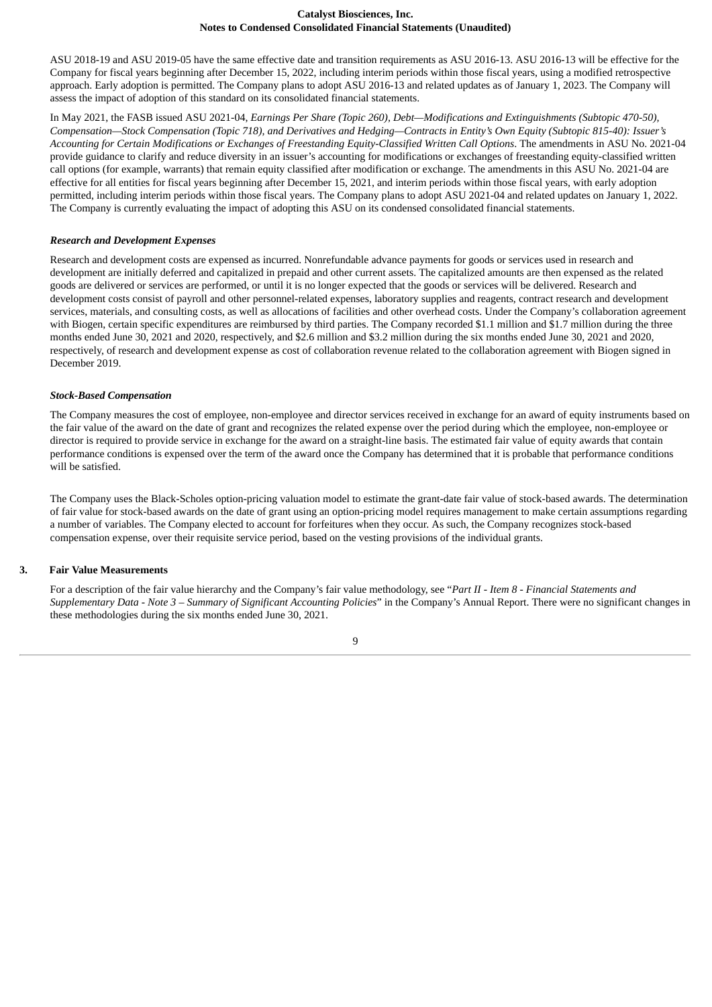ASU 2018-19 and ASU 2019-05 have the same effective date and transition requirements as ASU 2016-13. ASU 2016-13 will be effective for the Company for fiscal years beginning after December 15, 2022, including interim periods within those fiscal years, using a modified retrospective approach. Early adoption is permitted. The Company plans to adopt ASU 2016-13 and related updates as of January 1, 2023. The Company will assess the impact of adoption of this standard on its consolidated financial statements.

In May 2021, the FASB issued ASU 2021-04, *Earnings Per Share (Topic 260), Debt—Modifications and Extinguishments (Subtopic 470-50),* Compensation—Stock Compensation (Topic 718), and Derivatives and Hedging—Contracts in Entity's Own Equity (Subtopic 815-40): Issuer's *Accounting for Certain Modifications or Exchanges of Freestanding Equity-Classified Written Call Options*. The amendments in ASU No. 2021-04 provide guidance to clarify and reduce diversity in an issuer's accounting for modifications or exchanges of freestanding equity-classified written call options (for example, warrants) that remain equity classified after modification or exchange. The amendments in this ASU No. 2021-04 are effective for all entities for fiscal years beginning after December 15, 2021, and interim periods within those fiscal years, with early adoption permitted, including interim periods within those fiscal years. The Company plans to adopt ASU 2021-04 and related updates on January 1, 2022. The Company is currently evaluating the impact of adopting this ASU on its condensed consolidated financial statements.

#### *Research and Development Expenses*

Research and development costs are expensed as incurred. Nonrefundable advance payments for goods or services used in research and development are initially deferred and capitalized in prepaid and other current assets. The capitalized amounts are then expensed as the related goods are delivered or services are performed, or until it is no longer expected that the goods or services will be delivered. Research and development costs consist of payroll and other personnel-related expenses, laboratory supplies and reagents, contract research and development services, materials, and consulting costs, as well as allocations of facilities and other overhead costs. Under the Company's collaboration agreement with Biogen, certain specific expenditures are reimbursed by third parties. The Company recorded \$1.1 million and \$1.7 million during the three months ended June 30, 2021 and 2020, respectively, and \$2.6 million and \$3.2 million during the six months ended June 30, 2021 and 2020, respectively, of research and development expense as cost of collaboration revenue related to the collaboration agreement with Biogen signed in December 2019.

#### *Stock-Based Compensation*

The Company measures the cost of employee, non-employee and director services received in exchange for an award of equity instruments based on the fair value of the award on the date of grant and recognizes the related expense over the period during which the employee, non-employee or director is required to provide service in exchange for the award on a straight-line basis. The estimated fair value of equity awards that contain performance conditions is expensed over the term of the award once the Company has determined that it is probable that performance conditions will be satisfied.

The Company uses the Black-Scholes option-pricing valuation model to estimate the grant-date fair value of stock-based awards. The determination of fair value for stock-based awards on the date of grant using an option-pricing model requires management to make certain assumptions regarding a number of variables. The Company elected to account for forfeitures when they occur. As such, the Company recognizes stock-based compensation expense, over their requisite service period, based on the vesting provisions of the individual grants.

#### **3. Fair Value Measurements**

For a description of the fair value hierarchy and the Company's fair value methodology, see "*Part II - Item 8 - Financial Statements and Supplementary Data - Note 3 – Summary of Significant Accounting Policies*" in the Company's Annual Report. There were no significant changes in these methodologies during the six months ended June 30, 2021.

9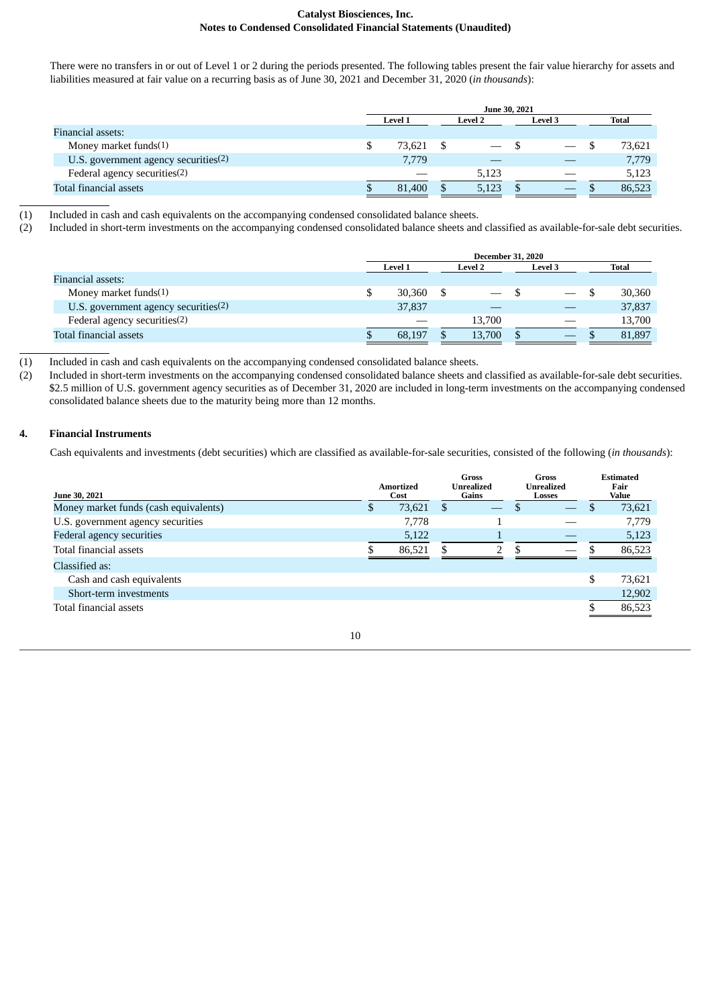There were no transfers in or out of Level 1 or 2 during the periods presented. The following tables present the fair value hierarchy for assets and liabilities measured at fair value on a recurring basis as of June 30, 2021 and December 31, 2020 (*in thousands*):

|                                          | June 30, 2021  |        |  |                |  |                |  |        |  |
|------------------------------------------|----------------|--------|--|----------------|--|----------------|--|--------|--|
|                                          | <b>Level 1</b> |        |  | <b>Level 2</b> |  | <b>Level 3</b> |  | Total  |  |
| Financial assets:                        |                |        |  |                |  |                |  |        |  |
| Money market funds $(1)$                 |                | 73,621 |  |                |  |                |  | 73,621 |  |
| U.S. government agency securities(2)     |                | 7.779  |  |                |  |                |  | 7,779  |  |
| Federal agency securities <sup>(2)</sup> |                |        |  | 5,123          |  |                |  | 5,123  |  |
| Total financial assets                   |                | 81,400 |  | 5,123          |  |                |  | 86,523 |  |

(1) Included in cash and cash equivalents on the accompanying condensed consolidated balance sheets.

(2) Included in short-term investments on the accompanying condensed consolidated balance sheets and classified as available-for-sale debt securities.

|                                      |                | <b>December 31, 2020</b> |                |                          |                |                          |  |        |  |
|--------------------------------------|----------------|--------------------------|----------------|--------------------------|----------------|--------------------------|--|--------|--|
|                                      | <b>Level 1</b> |                          | <b>Level 2</b> |                          | <b>Level 3</b> |                          |  | Total  |  |
| Financial assets:                    |                |                          |                |                          |                |                          |  |        |  |
| Money market funds $(1)$             |                | 30,360                   |                | $\overline{\phantom{a}}$ |                | $\overline{\phantom{0}}$ |  | 30,360 |  |
| U.S. government agency securities(2) |                | 37,837                   |                |                          |                |                          |  | 37,837 |  |
| Federal agency securities(2)         |                |                          |                | 13.700                   |                |                          |  | 13,700 |  |
| <b>Total financial assets</b>        |                | 68.197                   |                | 13,700                   |                |                          |  | 81,897 |  |

(1) Included in cash and cash equivalents on the accompanying condensed consolidated balance sheets.

(2) Included in short-term investments on the accompanying condensed consolidated balance sheets and classified as available-for-sale debt securities. \$2.5 million of U.S. government agency securities as of December 31, 2020 are included in long-term investments on the accompanying condensed consolidated balance sheets due to the maturity being more than 12 months.

#### **4. Financial Instruments**

Cash equivalents and investments (debt securities) which are classified as available-for-sale securities, consisted of the following (*in thousands*):

| <b>June 30, 2021</b>                  | Amortized<br>Cost |        | Gross<br><b>Unrealized</b><br>Gains |  | Gross<br><b>Unrealized</b><br>Losses |  |    | <b>Estimated</b><br>Fair<br>Value |
|---------------------------------------|-------------------|--------|-------------------------------------|--|--------------------------------------|--|----|-----------------------------------|
| Money market funds (cash equivalents) | D                 | 73,621 | -S                                  |  |                                      |  | S  | 73,621                            |
| U.S. government agency securities     |                   | 7.778  |                                     |  |                                      |  |    | 7,779                             |
| Federal agency securities             |                   | 5,122  |                                     |  |                                      |  |    | 5,123                             |
| Total financial assets                |                   | 86,521 |                                     |  |                                      |  |    | 86,523                            |
| Classified as:                        |                   |        |                                     |  |                                      |  |    |                                   |
| Cash and cash equivalents             |                   |        |                                     |  |                                      |  | \$ | 73,621                            |
| Short-term investments                |                   |        |                                     |  |                                      |  |    | 12,902                            |
| Total financial assets                |                   |        |                                     |  |                                      |  |    | 86.523                            |

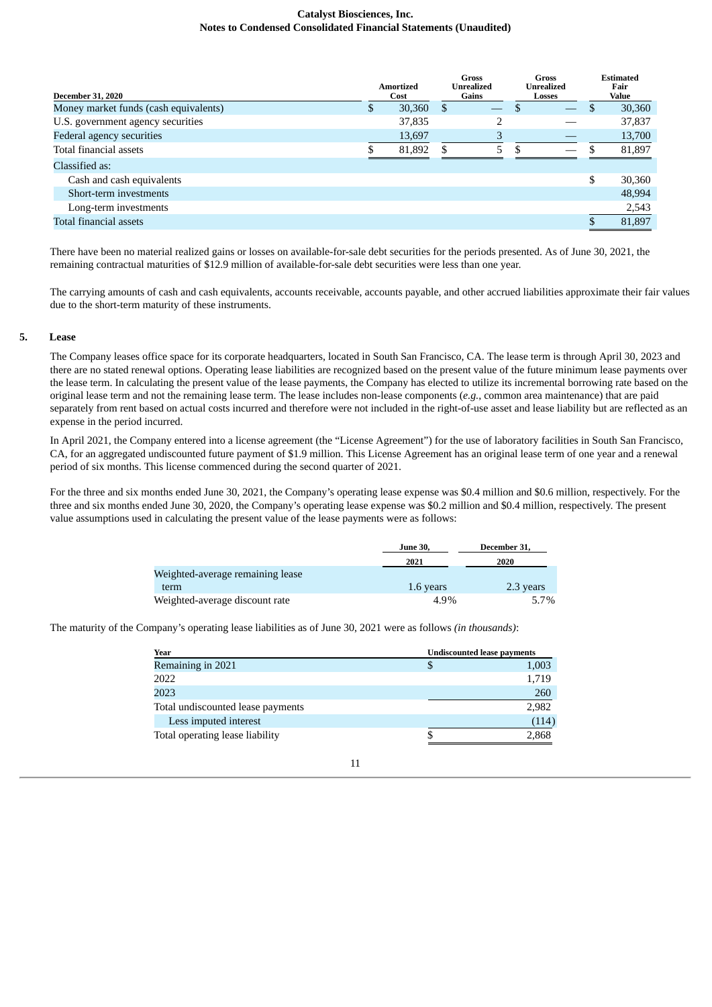| <b>December 31, 2020</b>              | <b>Amortized</b><br>Cost |        | <b>Gross</b><br>Unrealized<br>Gains |   | <b>Gross</b><br><b>Unrealized</b><br>Losses |  |     | <b>Estimated</b><br>Fair<br>Value |
|---------------------------------------|--------------------------|--------|-------------------------------------|---|---------------------------------------------|--|-----|-----------------------------------|
| Money market funds (cash equivalents) | D                        | 30,360 | <sup>\$</sup>                       |   |                                             |  | Ъ   | 30,360                            |
| U.S. government agency securities     |                          | 37,835 |                                     |   |                                             |  |     | 37,837                            |
| Federal agency securities             |                          | 13,697 |                                     | 3 |                                             |  |     | 13,700                            |
| Total financial assets                |                          | 81,892 |                                     | 5 |                                             |  |     | 81,897                            |
| Classified as:                        |                          |        |                                     |   |                                             |  |     |                                   |
| Cash and cash equivalents             |                          |        |                                     |   |                                             |  | \$. | 30,360                            |
| Short-term investments                |                          |        |                                     |   |                                             |  |     | 48,994                            |
| Long-term investments                 |                          |        |                                     |   |                                             |  |     | 2,543                             |
| Total financial assets                |                          |        |                                     |   |                                             |  |     | 81,897                            |

There have been no material realized gains or losses on available-for-sale debt securities for the periods presented. As of June 30, 2021, the remaining contractual maturities of \$12.9 million of available-for-sale debt securities were less than one year.

The carrying amounts of cash and cash equivalents, accounts receivable, accounts payable, and other accrued liabilities approximate their fair values due to the short-term maturity of these instruments.

#### **5. Lease**

The Company leases office space for its corporate headquarters, located in South San Francisco, CA. The lease term is through April 30, 2023 and there are no stated renewal options. Operating lease liabilities are recognized based on the present value of the future minimum lease payments over the lease term. In calculating the present value of the lease payments, the Company has elected to utilize its incremental borrowing rate based on the original lease term and not the remaining lease term. The lease includes non-lease components (*e.g.*, common area maintenance) that are paid separately from rent based on actual costs incurred and therefore were not included in the right-of-use asset and lease liability but are reflected as an expense in the period incurred.

In April 2021, the Company entered into a license agreement (the "License Agreement") for the use of laboratory facilities in South San Francisco, CA, for an aggregated undiscounted future payment of \$1.9 million. This License Agreement has an original lease term of one year and a renewal period of six months. This license commenced during the second quarter of 2021.

For the three and six months ended June 30, 2021, the Company's operating lease expense was \$0.4 million and \$0.6 million, respectively. For the three and six months ended June 30, 2020, the Company's operating lease expense was \$0.2 million and \$0.4 million, respectively. The present value assumptions used in calculating the present value of the lease payments were as follows:

|                                  | <b>June 30,</b> | December 31, |
|----------------------------------|-----------------|--------------|
|                                  | 2021            | 2020         |
| Weighted-average remaining lease |                 |              |
| term                             | 1.6 years       | 2.3 years    |
| Weighted-average discount rate   | 4.9%            | 5.7%         |

The maturity of the Company's operating lease liabilities as of June 30, 2021 were as follows *(in thousands)*:

| Year                              | <b>Undiscounted lease payments</b> |       |
|-----------------------------------|------------------------------------|-------|
| Remaining in 2021                 |                                    | 1,003 |
| 2022                              |                                    | 1,719 |
| 2023                              |                                    | 260   |
| Total undiscounted lease payments |                                    | 2,982 |
| Less imputed interest             |                                    | (114) |
| Total operating lease liability   |                                    | 2,868 |

#### 11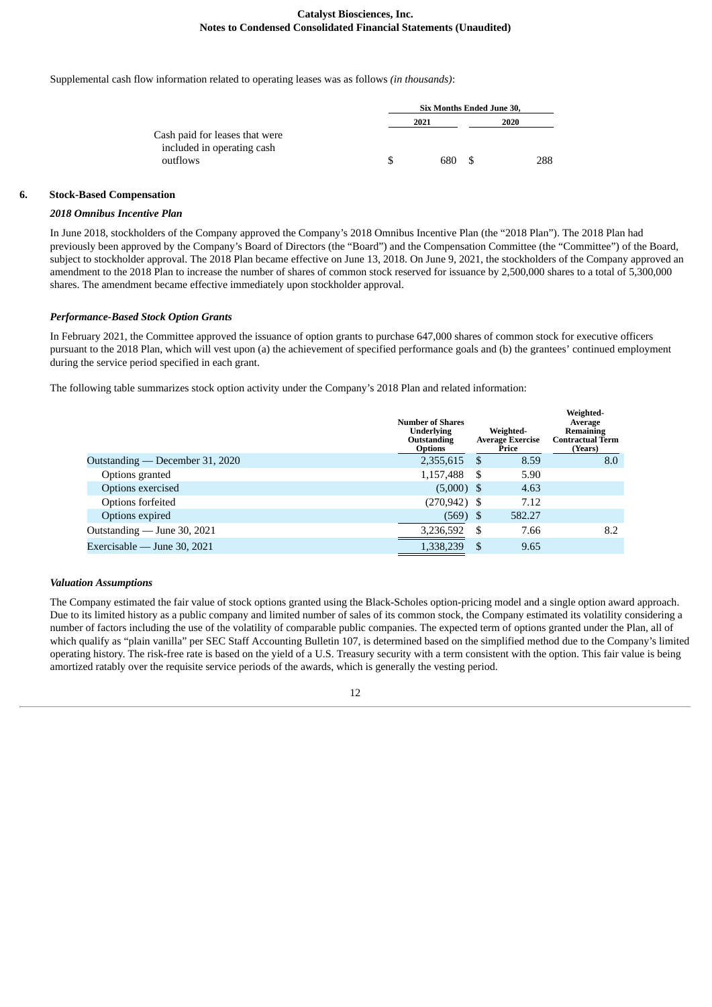Supplemental cash flow information related to operating leases was as follows *(in thousands)*:

|                                                              |     | <b>Six Months Ended June 30,</b> |  |      |     |  |  |  |  |
|--------------------------------------------------------------|-----|----------------------------------|--|------|-----|--|--|--|--|
|                                                              |     | 2021                             |  | 2020 |     |  |  |  |  |
| Cash paid for leases that were<br>included in operating cash |     |                                  |  |      |     |  |  |  |  |
| outflows                                                     | \$. | 680                              |  |      | 288 |  |  |  |  |

#### **6. Stock-Based Compensation**

#### *2018 Omnibus Incentive Plan*

In June 2018, stockholders of the Company approved the Company's 2018 Omnibus Incentive Plan (the "2018 Plan"). The 2018 Plan had previously been approved by the Company's Board of Directors (the "Board") and the Compensation Committee (the "Committee") of the Board, subject to stockholder approval. The 2018 Plan became effective on June 13, 2018. On June 9, 2021, the stockholders of the Company approved an amendment to the 2018 Plan to increase the number of shares of common stock reserved for issuance by 2,500,000 shares to a total of 5,300,000 shares. The amendment became effective immediately upon stockholder approval.

#### *Performance-Based Stock Option Grants*

In February 2021, the Committee approved the issuance of option grants to purchase 647,000 shares of common stock for executive officers pursuant to the 2018 Plan, which will vest upon (a) the achievement of specified performance goals and (b) the grantees' continued employment during the service period specified in each grant.

The following table summarizes stock option activity under the Company's 2018 Plan and related information:

|                                 | <b>Number of Shares</b><br><b>Underlying</b><br><b>Outstanding</b><br><b>Options</b> |      | Weighted-<br><b>Average Exercise</b><br>Price | Weighted-<br>Average<br>Remaining<br><b>Contractual Term</b><br>(Years) |
|---------------------------------|--------------------------------------------------------------------------------------|------|-----------------------------------------------|-------------------------------------------------------------------------|
| Outstanding — December 31, 2020 | 2,355,615                                                                            | - \$ | 8.59                                          | 8.0                                                                     |
| Options granted                 | 1,157,488                                                                            | -S   | 5.90                                          |                                                                         |
| Options exercised               | $(5,000)$ \$                                                                         |      | 4.63                                          |                                                                         |
| Options forfeited               | $(270, 942)$ \$                                                                      |      | 7.12                                          |                                                                         |
| Options expired                 | $(569)$ \$                                                                           |      | 582.27                                        |                                                                         |
| Outstanding — June 30, 2021     | 3,236,592                                                                            | -S   | 7.66                                          | 8.2                                                                     |
| Exercisable — June 30, 2021     | 1,338,239                                                                            |      | 9.65                                          |                                                                         |

#### *Valuation Assumptions*

The Company estimated the fair value of stock options granted using the Black-Scholes option-pricing model and a single option award approach. Due to its limited history as a public company and limited number of sales of its common stock, the Company estimated its volatility considering a number of factors including the use of the volatility of comparable public companies. The expected term of options granted under the Plan, all of which qualify as "plain vanilla" per SEC Staff Accounting Bulletin 107, is determined based on the simplified method due to the Company's limited operating history. The risk-free rate is based on the yield of a U.S. Treasury security with a term consistent with the option. This fair value is being amortized ratably over the requisite service periods of the awards, which is generally the vesting period.

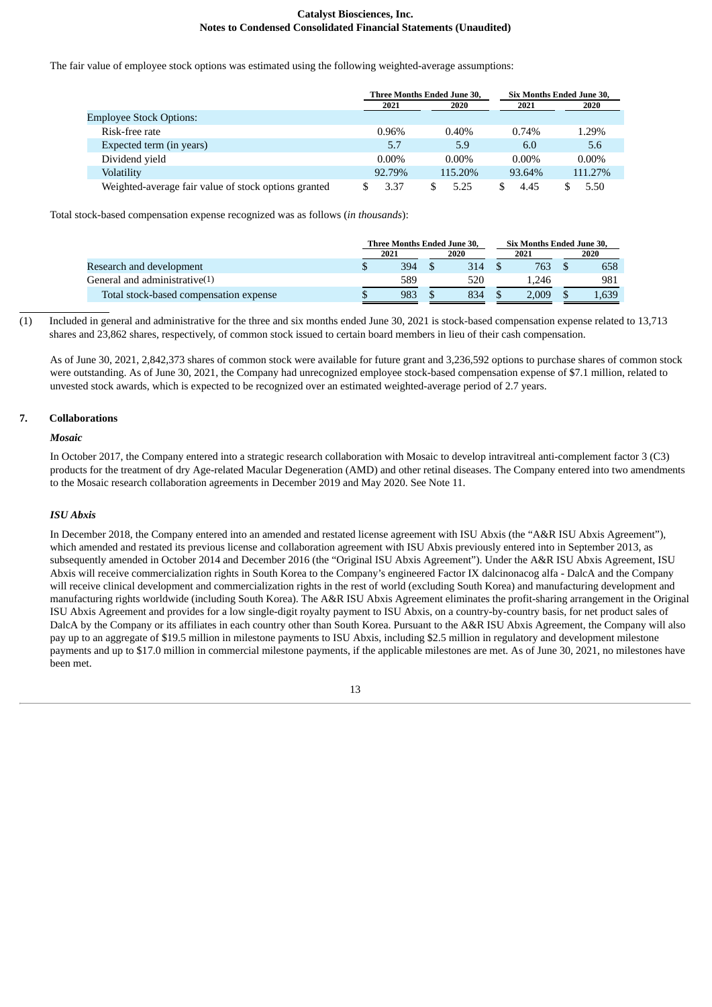The fair value of employee stock options was estimated using the following weighted-average assumptions:

|                                                      |          | <b>Three Months Ended June 30.</b> |          | <b>Six Months Ended June 30.</b> |
|------------------------------------------------------|----------|------------------------------------|----------|----------------------------------|
|                                                      | 2021     | 2020                               | 2021     | 2020                             |
| <b>Employee Stock Options:</b>                       |          |                                    |          |                                  |
| Risk-free rate                                       | 0.96%    | $0.40\%$                           | 0.74%    | 1.29%                            |
| Expected term (in years)                             | 5.7      | 5.9                                | 6.0      | 5.6                              |
| Dividend yield                                       | $0.00\%$ | $0.00\%$                           | $0.00\%$ | $0.00\%$                         |
| Volatility                                           | 92.79%   | 115.20%                            | 93.64%   | 111.27%                          |
| Weighted-average fair value of stock options granted | 3.37     | 5.25                               | 4.45     | 5.50                             |

Total stock-based compensation expense recognized was as follows (*in thousands*):

|                                        | Three Months Ended June 30. |     |      |     | Six Months Ended June 30. |       |      |       |
|----------------------------------------|-----------------------------|-----|------|-----|---------------------------|-------|------|-------|
|                                        | 2021                        |     | 2020 |     | 2021                      |       | 2020 |       |
| Research and development               |                             | 394 |      | 314 |                           | 763   |      | 658   |
| General and administrative $(1)$       |                             | 589 |      | 520 |                           | 1.246 |      | 981   |
| Total stock-based compensation expense |                             | 983 |      | 834 |                           | 2.009 |      | 1.639 |

(1) Included in general and administrative for the three and six months ended June 30, 2021 is stock-based compensation expense related to 13,713 shares and 23,862 shares, respectively, of common stock issued to certain board members in lieu of their cash compensation.

As of June 30, 2021, 2,842,373 shares of common stock were available for future grant and 3,236,592 options to purchase shares of common stock were outstanding. As of June 30, 2021, the Company had unrecognized employee stock-based compensation expense of \$7.1 million, related to unvested stock awards, which is expected to be recognized over an estimated weighted-average period of 2.7 years.

#### **7. Collaborations**

#### *Mosaic*

In October 2017, the Company entered into a strategic research collaboration with Mosaic to develop intravitreal anti-complement factor 3 (C3) products for the treatment of dry Age-related Macular Degeneration (AMD) and other retinal diseases. The Company entered into two amendments to the Mosaic research collaboration agreements in December 2019 and May 2020. See Note 11.

#### *ISU Abxis*

In December 2018, the Company entered into an amended and restated license agreement with ISU Abxis (the "A&R ISU Abxis Agreement"), which amended and restated its previous license and collaboration agreement with ISU Abxis previously entered into in September 2013, as subsequently amended in October 2014 and December 2016 (the "Original ISU Abxis Agreement"). Under the A&R ISU Abxis Agreement, ISU Abxis will receive commercialization rights in South Korea to the Company's engineered Factor IX dalcinonacog alfa - DalcA and the Company will receive clinical development and commercialization rights in the rest of world (excluding South Korea) and manufacturing development and manufacturing rights worldwide (including South Korea). The A&R ISU Abxis Agreement eliminates the profit-sharing arrangement in the Original ISU Abxis Agreement and provides for a low single-digit royalty payment to ISU Abxis, on a country-by-country basis, for net product sales of DalcA by the Company or its affiliates in each country other than South Korea. Pursuant to the A&R ISU Abxis Agreement, the Company will also pay up to an aggregate of \$19.5 million in milestone payments to ISU Abxis, including \$2.5 million in regulatory and development milestone payments and up to \$17.0 million in commercial milestone payments, if the applicable milestones are met. As of June 30, 2021, no milestones have been met.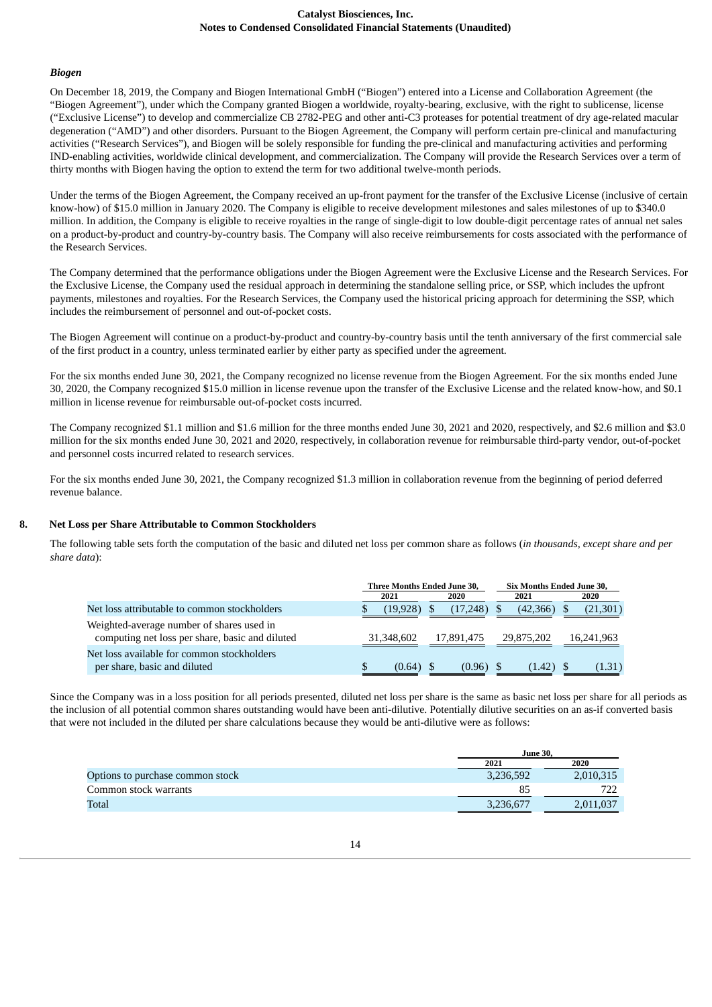#### *Biogen*

On December 18, 2019, the Company and Biogen International GmbH ("Biogen") entered into a License and Collaboration Agreement (the "Biogen Agreement"), under which the Company granted Biogen a worldwide, royalty-bearing, exclusive, with the right to sublicense, license ("Exclusive License") to develop and commercialize CB 2782-PEG and other anti-C3 proteases for potential treatment of dry age-related macular degeneration ("AMD") and other disorders. Pursuant to the Biogen Agreement, the Company will perform certain pre-clinical and manufacturing activities ("Research Services"), and Biogen will be solely responsible for funding the pre-clinical and manufacturing activities and performing IND-enabling activities, worldwide clinical development, and commercialization. The Company will provide the Research Services over a term of thirty months with Biogen having the option to extend the term for two additional twelve-month periods.

Under the terms of the Biogen Agreement, the Company received an up-front payment for the transfer of the Exclusive License (inclusive of certain know-how) of \$15.0 million in January 2020. The Company is eligible to receive development milestones and sales milestones of up to \$340.0 million. In addition, the Company is eligible to receive royalties in the range of single-digit to low double-digit percentage rates of annual net sales on a product-by-product and country-by-country basis. The Company will also receive reimbursements for costs associated with the performance of the Research Services.

The Company determined that the performance obligations under the Biogen Agreement were the Exclusive License and the Research Services. For the Exclusive License, the Company used the residual approach in determining the standalone selling price, or SSP, which includes the upfront payments, milestones and royalties. For the Research Services, the Company used the historical pricing approach for determining the SSP, which includes the reimbursement of personnel and out-of-pocket costs.

The Biogen Agreement will continue on a product-by-product and country-by-country basis until the tenth anniversary of the first commercial sale of the first product in a country, unless terminated earlier by either party as specified under the agreement.

For the six months ended June 30, 2021, the Company recognized no license revenue from the Biogen Agreement. For the six months ended June 30, 2020, the Company recognized \$15.0 million in license revenue upon the transfer of the Exclusive License and the related know-how, and \$0.1 million in license revenue for reimbursable out-of-pocket costs incurred.

The Company recognized \$1.1 million and \$1.6 million for the three months ended June 30, 2021 and 2020, respectively, and \$2.6 million and \$3.0 million for the six months ended June 30, 2021 and 2020, respectively, in collaboration revenue for reimbursable third-party vendor, out-of-pocket and personnel costs incurred related to research services.

For the six months ended June 30, 2021, the Company recognized \$1.3 million in collaboration revenue from the beginning of period deferred revenue balance.

#### **8. Net Loss per Share Attributable to Common Stockholders**

The following table sets forth the computation of the basic and diluted net loss per common share as follows (*in thousands, except share and per share data*):

|                                                                                              | Three Months Ended June 30, |  |             |     | <b>Six Months Ended June 30,</b> |      |            |  |
|----------------------------------------------------------------------------------------------|-----------------------------|--|-------------|-----|----------------------------------|------|------------|--|
|                                                                                              | 2021<br>2020                |  | 2021        |     |                                  | 2020 |            |  |
| Net loss attributable to common stockholders                                                 | (19, 928)                   |  | (17,248)    | \$. | (42,366)                         |      | (21,301)   |  |
| Weighted-average number of shares used in<br>computing net loss per share, basic and diluted | 31,348,602                  |  | 17.891.475  |     | 29.875.202                       |      | 16,241,963 |  |
| Net loss available for common stockholders                                                   |                             |  |             |     |                                  |      |            |  |
| per share, basic and diluted                                                                 | (0.64)                      |  | $(0.96)$ \$ |     | (1.42)                           |      | (1.31)     |  |

Since the Company was in a loss position for all periods presented, diluted net loss per share is the same as basic net loss per share for all periods as the inclusion of all potential common shares outstanding would have been anti-dilutive. Potentially dilutive securities on an as-if converted basis that were not included in the diluted per share calculations because they would be anti-dilutive were as follows:

|                                  | <b>June 30.</b> |           |  |  |
|----------------------------------|-----------------|-----------|--|--|
|                                  | 2021            | 2020      |  |  |
| Options to purchase common stock | 3,236,592       | 2,010,315 |  |  |
| Common stock warrants            | 85              | ררד       |  |  |
| Total                            | 3,236,677       | 2.011.037 |  |  |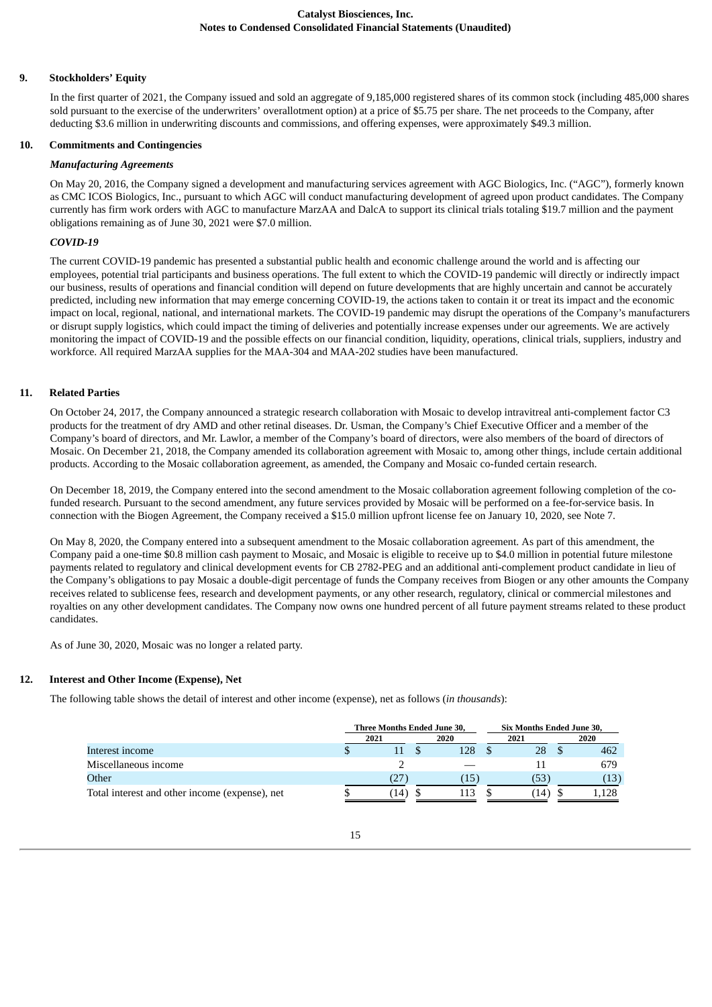#### **9. Stockholders' Equity**

In the first quarter of 2021, the Company issued and sold an aggregate of 9,185,000 registered shares of its common stock (including 485,000 shares sold pursuant to the exercise of the underwriters' overallotment option) at a price of \$5.75 per share. The net proceeds to the Company, after deducting \$3.6 million in underwriting discounts and commissions, and offering expenses, were approximately \$49.3 million.

#### **10. Commitments and Contingencies**

#### *Manufacturing Agreements*

On May 20, 2016, the Company signed a development and manufacturing services agreement with AGC Biologics, Inc. ("AGC"), formerly known as CMC ICOS Biologics, Inc., pursuant to which AGC will conduct manufacturing development of agreed upon product candidates. The Company currently has firm work orders with AGC to manufacture MarzAA and DalcA to support its clinical trials totaling \$19.7 million and the payment obligations remaining as of June 30, 2021 were \$7.0 million.

#### *COVID-19*

The current COVID-19 pandemic has presented a substantial public health and economic challenge around the world and is affecting our employees, potential trial participants and business operations. The full extent to which the COVID-19 pandemic will directly or indirectly impact our business, results of operations and financial condition will depend on future developments that are highly uncertain and cannot be accurately predicted, including new information that may emerge concerning COVID-19, the actions taken to contain it or treat its impact and the economic impact on local, regional, national, and international markets. The COVID-19 pandemic may disrupt the operations of the Company's manufacturers or disrupt supply logistics, which could impact the timing of deliveries and potentially increase expenses under our agreements. We are actively monitoring the impact of COVID-19 and the possible effects on our financial condition, liquidity, operations, clinical trials, suppliers, industry and workforce. All required MarzAA supplies for the MAA-304 and MAA-202 studies have been manufactured.

#### **11. Related Parties**

On October 24, 2017, the Company announced a strategic research collaboration with Mosaic to develop intravitreal anti-complement factor C3 products for the treatment of dry AMD and other retinal diseases. Dr. Usman, the Company's Chief Executive Officer and a member of the Company's board of directors, and Mr. Lawlor, a member of the Company's board of directors, were also members of the board of directors of Mosaic. On December 21, 2018, the Company amended its collaboration agreement with Mosaic to, among other things, include certain additional products. According to the Mosaic collaboration agreement, as amended, the Company and Mosaic co-funded certain research.

On December 18, 2019, the Company entered into the second amendment to the Mosaic collaboration agreement following completion of the cofunded research. Pursuant to the second amendment, any future services provided by Mosaic will be performed on a fee-for-service basis. In connection with the Biogen Agreement, the Company received a \$15.0 million upfront license fee on January 10, 2020, see Note 7.

On May 8, 2020, the Company entered into a subsequent amendment to the Mosaic collaboration agreement. As part of this amendment, the Company paid a one-time \$0.8 million cash payment to Mosaic, and Mosaic is eligible to receive up to \$4.0 million in potential future milestone payments related to regulatory and clinical development events for CB 2782-PEG and an additional anti-complement product candidate in lieu of the Company's obligations to pay Mosaic a double-digit percentage of funds the Company receives from Biogen or any other amounts the Company receives related to sublicense fees, research and development payments, or any other research, regulatory, clinical or commercial milestones and royalties on any other development candidates. The Company now owns one hundred percent of all future payment streams related to these product candidates.

As of June 30, 2020, Mosaic was no longer a related party.

#### **12. Interest and Other Income (Expense), Net**

The following table shows the detail of interest and other income (expense), net as follows (*in thousands*):

|                                                | Three Months Ended June 30, |  | <b>Six Months Ended June 30,</b> |  |      |  |       |
|------------------------------------------------|-----------------------------|--|----------------------------------|--|------|--|-------|
|                                                | 2021                        |  | 2020                             |  | 2021 |  | 2020  |
| Interest income                                |                             |  | 128                              |  | 28   |  | 462   |
| Miscellaneous income                           |                             |  |                                  |  |      |  | 679   |
| Other                                          |                             |  | 15                               |  | (53) |  | (13)  |
| Total interest and other income (expense), net | 14)                         |  |                                  |  | 14)  |  | 1.128 |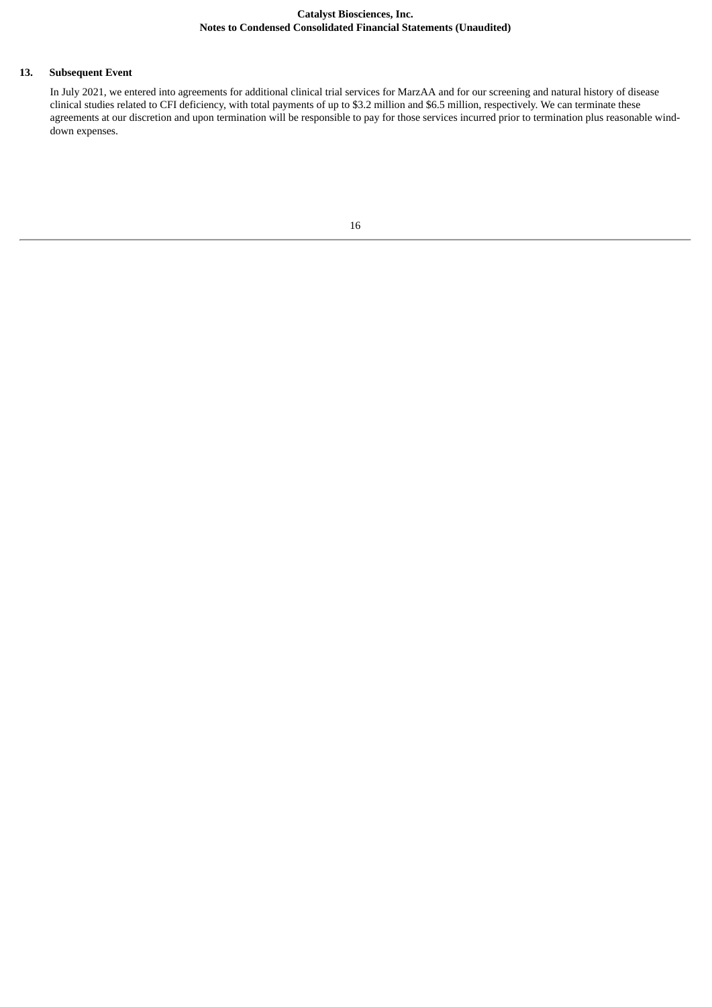#### **13. Subsequent Event**

In July 2021, we entered into agreements for additional clinical trial services for MarzAA and for our screening and natural history of disease clinical studies related to CFI deficiency, with total payments of up to \$3.2 million and \$6.5 million, respectively. We can terminate these agreements at our discretion and upon termination will be responsible to pay for those services incurred prior to termination plus reasonable winddown expenses.

| I | ٠       |
|---|---------|
|   |         |
| ш |         |
|   | ï<br>۰. |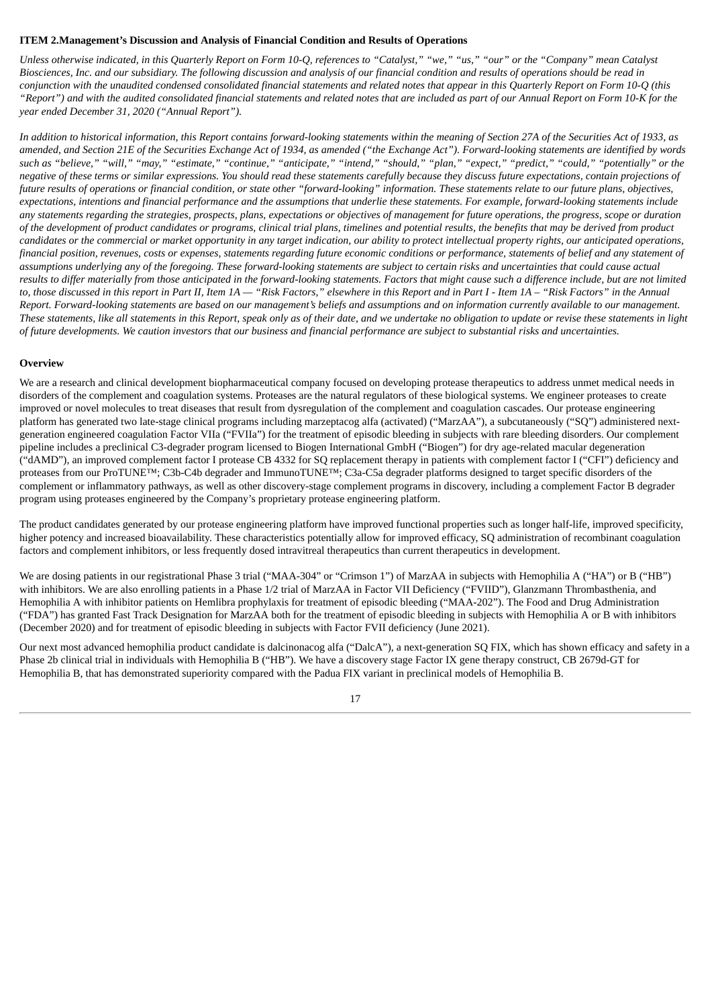#### <span id="page-16-0"></span>**ITEM 2.Management's Discussion and Analysis of Financial Condition and Results of Operations**

Unless otherwise indicated, in this Quarterly Report on Form 10-Q, references to "Catalyst," "we," "us," "our" or the "Company" mean Catalyst Biosciences, Inc. and our subsidiary. The following discussion and analysis of our financial condition and results of operations should be read in conjunction with the unaudited condensed consolidated financial statements and related notes that appear in this Quarterly Report on Form 10-Q (this "Report") and with the audited consolidated financial statements and related notes that are included as part of our Annual Report on Form 10-K for the *year ended December 31, 2020 ("Annual Report").*

In addition to historical information, this Report contains forward-looking statements within the meaning of Section 27A of the Securities Act of 1933, as amended, and Section 21E of the Securities Exchange Act of 1934, as amended ("the Exchange Act"). Forward-looking statements are identified by words such as "believe," "will," "may," "estimate," "continue," "anticipate," "intend," "should," "plan," "expect," "predict," "could," "potentially" or the negative of these terms or similar expressions. You should read these statements carefully because they discuss future expectations, contain projections of future results of operations or financial condition, or state other "forward-looking" information. These statements relate to our future plans, objectives, expectations, intentions and financial performance and the assumptions that underlie these statements. For example, forward-looking statements include any statements regarding the strategies, prospects, plans, expectations or objectives of management for future operations, the progress, scope or duration of the development of product candidates or programs, clinical trial plans, timelines and potential results, the benefits that may be derived from product candidates or the commercial or market opportunity in any target indication, our ability to protect intellectual property rights, our anticipated operations, financial position, revenues, costs or expenses, statements regarding future economic conditions or performance, statements of belief and any statement of assumptions underlying any of the foregoing. These forward-looking statements are subject to certain risks and uncertainties that could cause actual results to differ materially from those anticipated in the forward-looking statements. Factors that might cause such a difference include, but are not limited to, those discussed in this report in Part II, Item 1A — "Risk Factors," elsewhere in this Report and in Part I - Item 1A - "Risk Factors" in the Annual Report. Forward-looking statements are based on our management's beliefs and assumptions and on information currently available to our management. These statements, like all statements in this Report, speak only as of their date, and we undertake no obligation to update or revise these statements in light of future developments. We caution investors that our business and financial performance are subject to substantial risks and uncertainties.

#### **Overview**

We are a research and clinical development biopharmaceutical company focused on developing protease therapeutics to address unmet medical needs in disorders of the complement and coagulation systems. Proteases are the natural regulators of these biological systems. We engineer proteases to create improved or novel molecules to treat diseases that result from dysregulation of the complement and coagulation cascades. Our protease engineering platform has generated two late-stage clinical programs including marzeptacog alfa (activated) ("MarzAA"), a subcutaneously ("SQ") administered nextgeneration engineered coagulation Factor VIIa ("FVIIa") for the treatment of episodic bleeding in subjects with rare bleeding disorders. Our complement pipeline includes a preclinical C3-degrader program licensed to Biogen International GmbH ("Biogen") for dry age-related macular degeneration ("dAMD"), an improved complement factor I protease CB 4332 for SQ replacement therapy in patients with complement factor I ("CFI") deficiency and proteases from our ProTUNE™; C3b-C4b degrader and ImmunoTUNE™; C3a-C5a degrader platforms designed to target specific disorders of the complement or inflammatory pathways, as well as other discovery-stage complement programs in discovery, including a complement Factor B degrader program using proteases engineered by the Company's proprietary protease engineering platform.

The product candidates generated by our protease engineering platform have improved functional properties such as longer half-life, improved specificity, higher potency and increased bioavailability. These characteristics potentially allow for improved efficacy, SQ administration of recombinant coagulation factors and complement inhibitors, or less frequently dosed intravitreal therapeutics than current therapeutics in development.

We are dosing patients in our registrational Phase 3 trial ("MAA-304" or "Crimson 1") of MarzAA in subjects with Hemophilia A ("HA") or B ("HB") with inhibitors. We are also enrolling patients in a Phase 1/2 trial of MarzAA in Factor VII Deficiency ("FVIID"), Glanzmann Thrombasthenia, and Hemophilia A with inhibitor patients on Hemlibra prophylaxis for treatment of episodic bleeding ("MAA-202"). The Food and Drug Administration ("FDA") has granted Fast Track Designation for MarzAA both for the treatment of episodic bleeding in subjects with Hemophilia A or B with inhibitors (December 2020) and for treatment of episodic bleeding in subjects with Factor FVII deficiency (June 2021).

Our next most advanced hemophilia product candidate is dalcinonacog alfa ("DalcA"), a next-generation SQ FIX, which has shown efficacy and safety in a Phase 2b clinical trial in individuals with Hemophilia B ("HB"). We have a discovery stage Factor IX gene therapy construct, CB 2679d-GT for Hemophilia B, that has demonstrated superiority compared with the Padua FIX variant in preclinical models of Hemophilia B.

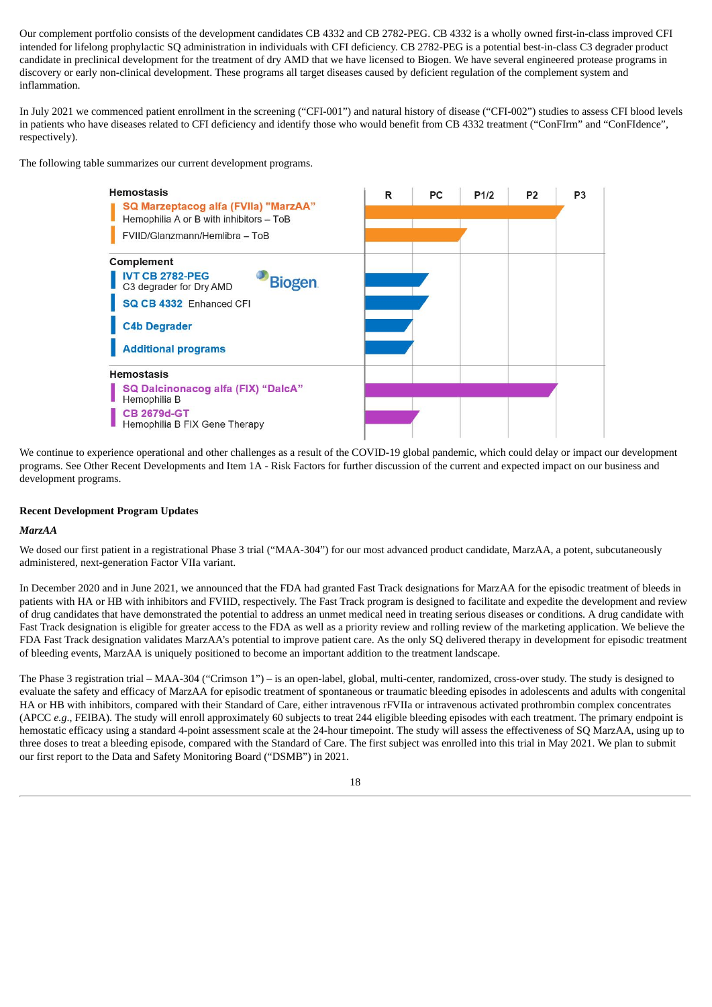Our complement portfolio consists of the development candidates CB 4332 and CB 2782-PEG. CB 4332 is a wholly owned first-in-class improved CFI intended for lifelong prophylactic SQ administration in individuals with CFI deficiency. CB 2782-PEG is a potential best-in-class C3 degrader product candidate in preclinical development for the treatment of dry AMD that we have licensed to Biogen. We have several engineered protease programs in discovery or early non-clinical development. These programs all target diseases caused by deficient regulation of the complement system and inflammation.

In July 2021 we commenced patient enrollment in the screening ("CFI-001") and natural history of disease ("CFI-002") studies to assess CFI blood levels in patients who have diseases related to CFI deficiency and identify those who would benefit from CB 4332 treatment ("ConFIrm" and "ConFIdence", respectively).

The following table summarizes our current development programs.



We continue to experience operational and other challenges as a result of the COVID-19 global pandemic, which could delay or impact our development programs. See Other Recent Developments and Item 1A - Risk Factors for further discussion of the current and expected impact on our business and development programs.

#### **Recent Development Program Updates**

#### *MarzAA*

We dosed our first patient in a registrational Phase 3 trial ("MAA-304") for our most advanced product candidate, MarzAA, a potent, subcutaneously administered, next-generation Factor VIIa variant.

In December 2020 and in June 2021, we announced that the FDA had granted Fast Track designations for MarzAA for the episodic treatment of bleeds in patients with HA or HB with inhibitors and FVIID, respectively. The Fast Track program is designed to facilitate and expedite the development and review of drug candidates that have demonstrated the potential to address an unmet medical need in treating serious diseases or conditions. A drug candidate with Fast Track designation is eligible for greater access to the FDA as well as a priority review and rolling review of the marketing application. We believe the FDA Fast Track designation validates MarzAA's potential to improve patient care. As the only SQ delivered therapy in development for episodic treatment of bleeding events, MarzAA is uniquely positioned to become an important addition to the treatment landscape.

The Phase 3 registration trial – MAA-304 ("Crimson 1") – is an open-label, global, multi-center, randomized, cross-over study. The study is designed to evaluate the safety and efficacy of MarzAA for episodic treatment of spontaneous or traumatic bleeding episodes in adolescents and adults with congenital HA or HB with inhibitors, compared with their Standard of Care, either intravenous rFVIIa or intravenous activated prothrombin complex concentrates (APCC *e.g*., FEIBA). The study will enroll approximately 60 subjects to treat 244 eligible bleeding episodes with each treatment. The primary endpoint is hemostatic efficacy using a standard 4-point assessment scale at the 24-hour timepoint. The study will assess the effectiveness of SQ MarzAA, using up to three doses to treat a bleeding episode, compared with the Standard of Care. The first subject was enrolled into this trial in May 2021. We plan to submit our first report to the Data and Safety Monitoring Board ("DSMB") in 2021.

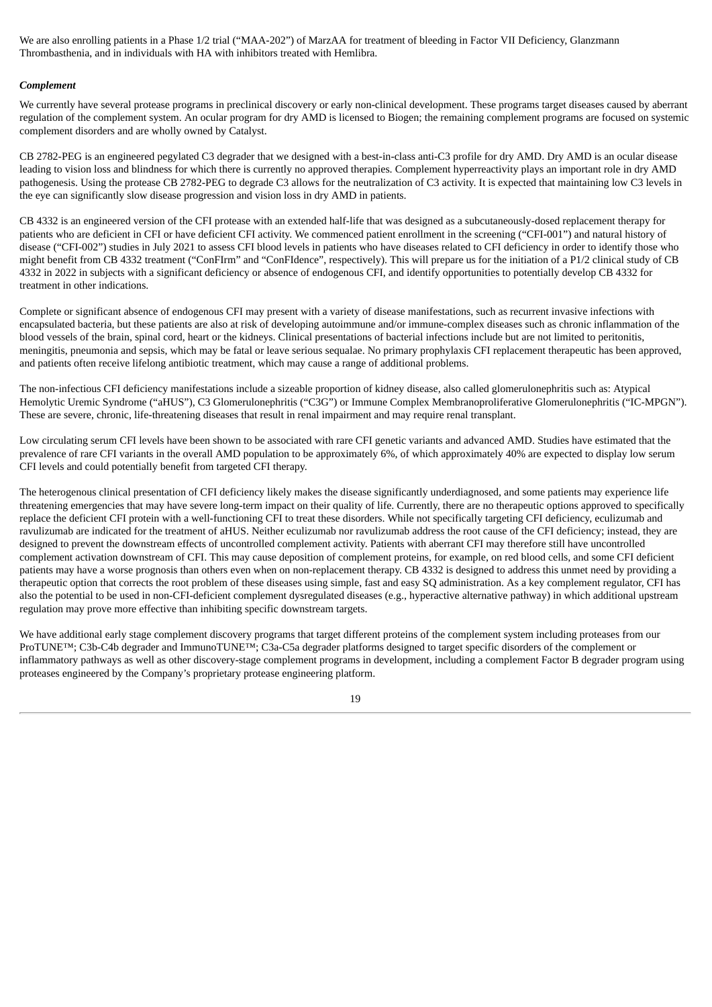We are also enrolling patients in a Phase 1/2 trial ("MAA-202") of MarzAA for treatment of bleeding in Factor VII Deficiency, Glanzmann Thrombasthenia, and in individuals with HA with inhibitors treated with Hemlibra.

#### *Complement*

We currently have several protease programs in preclinical discovery or early non-clinical development. These programs target diseases caused by aberrant regulation of the complement system. An ocular program for dry AMD is licensed to Biogen; the remaining complement programs are focused on systemic complement disorders and are wholly owned by Catalyst.

CB 2782-PEG is an engineered pegylated C3 degrader that we designed with a best-in-class anti-C3 profile for dry AMD. Dry AMD is an ocular disease leading to vision loss and blindness for which there is currently no approved therapies. Complement hyperreactivity plays an important role in dry AMD pathogenesis. Using the protease CB 2782-PEG to degrade C3 allows for the neutralization of C3 activity. It is expected that maintaining low C3 levels in the eye can significantly slow disease progression and vision loss in dry AMD in patients.

CB 4332 is an engineered version of the CFI protease with an extended half-life that was designed as a subcutaneously-dosed replacement therapy for patients who are deficient in CFI or have deficient CFI activity. We commenced patient enrollment in the screening ("CFI-001") and natural history of disease ("CFI-002") studies in July 2021 to assess CFI blood levels in patients who have diseases related to CFI deficiency in order to identify those who might benefit from CB 4332 treatment ("ConFIrm" and "ConFIdence", respectively). This will prepare us for the initiation of a P1/2 clinical study of CB 4332 in 2022 in subjects with a significant deficiency or absence of endogenous CFI, and identify opportunities to potentially develop CB 4332 for treatment in other indications.

Complete or significant absence of endogenous CFI may present with a variety of disease manifestations, such as recurrent invasive infections with encapsulated bacteria, but these patients are also at risk of developing autoimmune and/or immune-complex diseases such as chronic inflammation of the blood vessels of the brain, spinal cord, heart or the kidneys. Clinical presentations of bacterial infections include but are not limited to peritonitis, meningitis, pneumonia and sepsis, which may be fatal or leave serious sequalae. No primary prophylaxis CFI replacement therapeutic has been approved, and patients often receive lifelong antibiotic treatment, which may cause a range of additional problems.

The non-infectious CFI deficiency manifestations include a sizeable proportion of kidney disease, also called glomerulonephritis such as: Atypical Hemolytic Uremic Syndrome ("aHUS"), C3 Glomerulonephritis ("C3G") or Immune Complex Membranoproliferative Glomerulonephritis ("IC-MPGN"). These are severe, chronic, life-threatening diseases that result in renal impairment and may require renal transplant.

Low circulating serum CFI levels have been shown to be associated with rare CFI genetic variants and advanced AMD. Studies have estimated that the prevalence of rare CFI variants in the overall AMD population to be approximately 6%, of which approximately 40% are expected to display low serum CFI levels and could potentially benefit from targeted CFI therapy.

The heterogenous clinical presentation of CFI deficiency likely makes the disease significantly underdiagnosed, and some patients may experience life threatening emergencies that may have severe long-term impact on their quality of life. Currently, there are no therapeutic options approved to specifically replace the deficient CFI protein with a well-functioning CFI to treat these disorders. While not specifically targeting CFI deficiency, eculizumab and ravulizumab are indicated for the treatment of aHUS. Neither eculizumab nor ravulizumab address the root cause of the CFI deficiency; instead, they are designed to prevent the downstream effects of uncontrolled complement activity. Patients with aberrant CFI may therefore still have uncontrolled complement activation downstream of CFI. This may cause deposition of complement proteins, for example, on red blood cells, and some CFI deficient patients may have a worse prognosis than others even when on non-replacement therapy. CB 4332 is designed to address this unmet need by providing a therapeutic option that corrects the root problem of these diseases using simple, fast and easy SQ administration. As a key complement regulator, CFI has also the potential to be used in non-CFI-deficient complement dysregulated diseases (e.g., hyperactive alternative pathway) in which additional upstream regulation may prove more effective than inhibiting specific downstream targets.

We have additional early stage complement discovery programs that target different proteins of the complement system including proteases from our ProTUNE™; C3b-C4b degrader and ImmunoTUNE™; C3a-C5a degrader platforms designed to target specific disorders of the complement or inflammatory pathways as well as other discovery-stage complement programs in development, including a complement Factor B degrader program using proteases engineered by the Company's proprietary protease engineering platform.

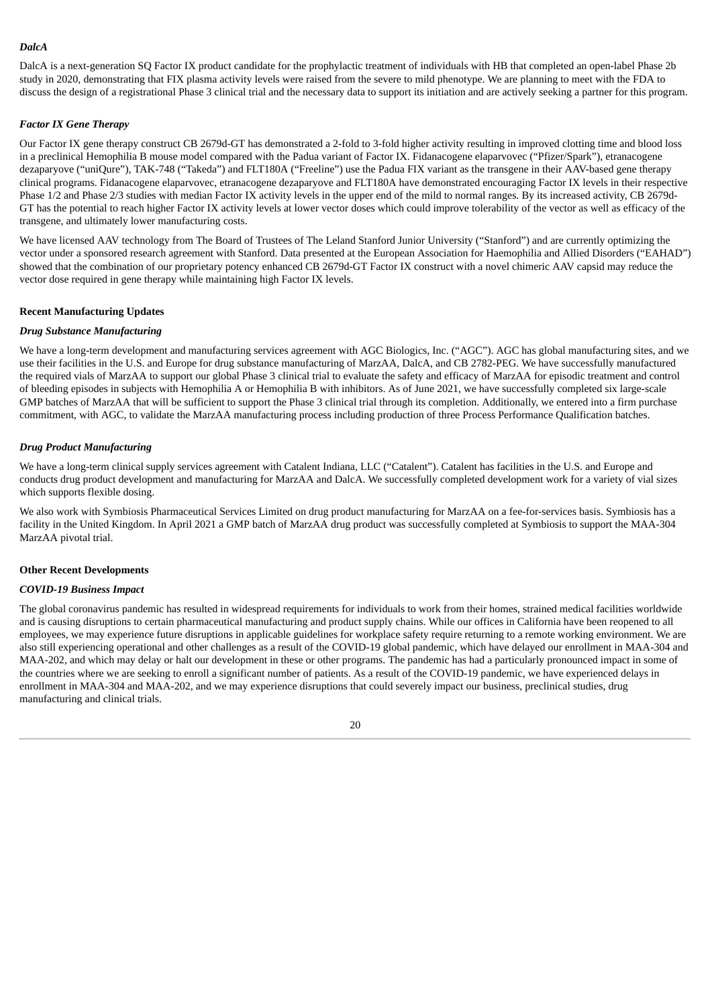#### *DalcA*

DalcA is a next-generation SQ Factor IX product candidate for the prophylactic treatment of individuals with HB that completed an open-label Phase 2b study in 2020, demonstrating that FIX plasma activity levels were raised from the severe to mild phenotype. We are planning to meet with the FDA to discuss the design of a registrational Phase 3 clinical trial and the necessary data to support its initiation and are actively seeking a partner for this program.

#### *Factor IX Gene Therapy*

Our Factor IX gene therapy construct CB 2679d-GT has demonstrated a 2-fold to 3-fold higher activity resulting in improved clotting time and blood loss in a preclinical Hemophilia B mouse model compared with the Padua variant of Factor IX. Fidanacogene elaparvovec ("Pfizer/Spark"), etranacogene dezaparyove ("uniQure"), TAK-748 ("Takeda") and FLT180A ("Freeline") use the Padua FIX variant as the transgene in their AAV-based gene therapy clinical programs. Fidanacogene elaparvovec, etranacogene dezaparyove and FLT180A have demonstrated encouraging Factor IX levels in their respective Phase 1/2 and Phase 2/3 studies with median Factor IX activity levels in the upper end of the mild to normal ranges. By its increased activity, CB 2679d-GT has the potential to reach higher Factor IX activity levels at lower vector doses which could improve tolerability of the vector as well as efficacy of the transgene, and ultimately lower manufacturing costs.

We have licensed AAV technology from The Board of Trustees of The Leland Stanford Junior University ("Stanford") and are currently optimizing the vector under a sponsored research agreement with Stanford. Data presented at the European Association for Haemophilia and Allied Disorders ("EAHAD") showed that the combination of our proprietary potency enhanced CB 2679d-GT Factor IX construct with a novel chimeric AAV capsid may reduce the vector dose required in gene therapy while maintaining high Factor IX levels.

#### **Recent Manufacturing Updates**

#### *Drug Substance Manufacturing*

We have a long-term development and manufacturing services agreement with AGC Biologics, Inc. ("AGC"). AGC has global manufacturing sites, and we use their facilities in the U.S. and Europe for drug substance manufacturing of MarzAA, DalcA, and CB 2782-PEG. We have successfully manufactured the required vials of MarzAA to support our global Phase 3 clinical trial to evaluate the safety and efficacy of MarzAA for episodic treatment and control of bleeding episodes in subjects with Hemophilia A or Hemophilia B with inhibitors. As of June 2021, we have successfully completed six large-scale GMP batches of MarzAA that will be sufficient to support the Phase 3 clinical trial through its completion. Additionally, we entered into a firm purchase commitment, with AGC, to validate the MarzAA manufacturing process including production of three Process Performance Qualification batches.

#### *Drug Product Manufacturing*

We have a long-term clinical supply services agreement with Catalent Indiana, LLC ("Catalent"). Catalent has facilities in the U.S. and Europe and conducts drug product development and manufacturing for MarzAA and DalcA. We successfully completed development work for a variety of vial sizes which supports flexible dosing.

We also work with Symbiosis Pharmaceutical Services Limited on drug product manufacturing for MarzAA on a fee-for-services basis. Symbiosis has a facility in the United Kingdom. In April 2021 a GMP batch of MarzAA drug product was successfully completed at Symbiosis to support the MAA-304 MarzAA pivotal trial.

#### **Other Recent Developments**

#### *COVID-19 Business Impact*

The global coronavirus pandemic has resulted in widespread requirements for individuals to work from their homes, strained medical facilities worldwide and is causing disruptions to certain pharmaceutical manufacturing and product supply chains. While our offices in California have been reopened to all employees, we may experience future disruptions in applicable guidelines for workplace safety require returning to a remote working environment. We are also still experiencing operational and other challenges as a result of the COVID-19 global pandemic, which have delayed our enrollment in MAA-304 and MAA-202, and which may delay or halt our development in these or other programs. The pandemic has had a particularly pronounced impact in some of the countries where we are seeking to enroll a significant number of patients. As a result of the COVID-19 pandemic, we have experienced delays in enrollment in MAA-304 and MAA-202, and we may experience disruptions that could severely impact our business, preclinical studies, drug manufacturing and clinical trials.

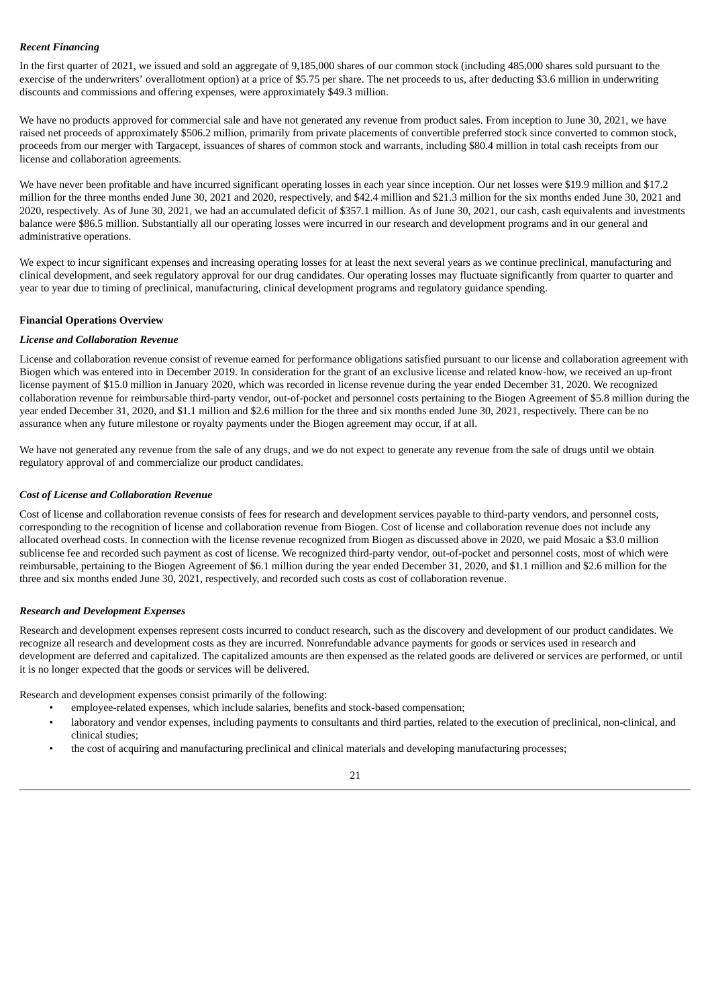#### *Recent Financing*

In the first quarter of 2021, we issued and sold an aggregate of 9,185,000 shares of our common stock (including 485,000 shares sold pursuant to the exercise of the underwriters' overallotment option) at a price of \$5.75 per share. The net proceeds to us, after deducting \$3.6 million in underwriting discounts and commissions and offering expenses, were approximately \$49.3 million.

We have no products approved for commercial sale and have not generated any revenue from product sales. From inception to June 30, 2021, we have raised net proceeds of approximately \$506.2 million, primarily from private placements of convertible preferred stock since converted to common stock, proceeds from our merger with Targacept, issuances of shares of common stock and warrants, including \$80.4 million in total cash receipts from our license and collaboration agreements.

We have never been profitable and have incurred significant operating losses in each year since inception. Our net losses were \$19.9 million and \$17.2 million for the three months ended June 30, 2021 and 2020, respectively, and \$42.4 million and \$21.3 million for the six months ended June 30, 2021 and 2020, respectively. As of June 30, 2021, we had an accumulated deficit of \$357.1 million. As of June 30, 2021, our cash, cash equivalents and investments balance were \$86.5 million. Substantially all our operating losses were incurred in our research and development programs and in our general and administrative operations.

We expect to incur significant expenses and increasing operating losses for at least the next several years as we continue preclinical, manufacturing and clinical development, and seek regulatory approval for our drug candidates. Our operating losses may fluctuate significantly from quarter to quarter and year to year due to timing of preclinical, manufacturing, clinical development programs and regulatory guidance spending.

#### **Financial Operations Overview**

#### *License and Collaboration Revenue*

License and collaboration revenue consist of revenue earned for performance obligations satisfied pursuant to our license and collaboration agreement with Biogen which was entered into in December 2019. In consideration for the grant of an exclusive license and related know-how, we received an up-front license payment of \$15.0 million in January 2020, which was recorded in license revenue during the year ended December 31, 2020. We recognized collaboration revenue for reimbursable third-party vendor, out-of-pocket and personnel costs pertaining to the Biogen Agreement of \$5.8 million during the year ended December 31, 2020, and \$1.1 million and \$2.6 million for the three and six months ended June 30, 2021, respectively. There can be no assurance when any future milestone or royalty payments under the Biogen agreement may occur, if at all.

We have not generated any revenue from the sale of any drugs, and we do not expect to generate any revenue from the sale of drugs until we obtain regulatory approval of and commercialize our product candidates.

#### *Cost of License and Collaboration Revenue*

Cost of license and collaboration revenue consists of fees for research and development services payable to third-party vendors, and personnel costs, corresponding to the recognition of license and collaboration revenue from Biogen. Cost of license and collaboration revenue does not include any allocated overhead costs. In connection with the license revenue recognized from Biogen as discussed above in 2020, we paid Mosaic a \$3.0 million sublicense fee and recorded such payment as cost of license. We recognized third-party vendor, out-of-pocket and personnel costs, most of which were reimbursable, pertaining to the Biogen Agreement of \$6.1 million during the year ended December 31, 2020, and \$1.1 million and \$2.6 million for the three and six months ended June 30, 2021, respectively, and recorded such costs as cost of collaboration revenue.

#### *Research and Development Expenses*

Research and development expenses represent costs incurred to conduct research, such as the discovery and development of our product candidates. We recognize all research and development costs as they are incurred. Nonrefundable advance payments for goods or services used in research and development are deferred and capitalized. The capitalized amounts are then expensed as the related goods are delivered or services are performed, or until it is no longer expected that the goods or services will be delivered.

Research and development expenses consist primarily of the following:

- employee-related expenses, which include salaries, benefits and stock-based compensation;
- laboratory and vendor expenses, including payments to consultants and third parties, related to the execution of preclinical, non-clinical, and clinical studies;
- the cost of acquiring and manufacturing preclinical and clinical materials and developing manufacturing processes;

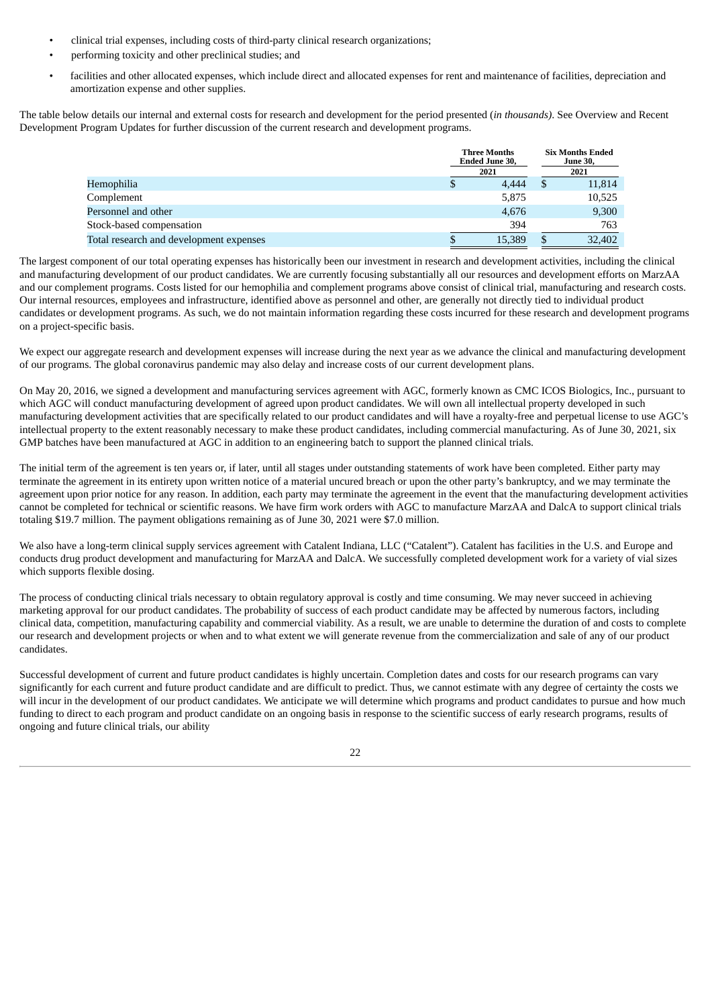- clinical trial expenses, including costs of third-party clinical research organizations;
- performing toxicity and other preclinical studies; and
- facilities and other allocated expenses, which include direct and allocated expenses for rent and maintenance of facilities, depreciation and amortization expense and other supplies.

The table below details our internal and external costs for research and development for the period presented (*in thousands)*. See Overview and Recent Development Program Updates for further discussion of the current research and development programs.

|                                         |      | <b>Three Months</b><br>Ended June 30, |   | <b>Six Months Ended</b><br><b>June 30,</b> |
|-----------------------------------------|------|---------------------------------------|---|--------------------------------------------|
|                                         | 2021 |                                       |   | 2021                                       |
| Hemophilia                              |      | 4.444                                 |   | 11,814                                     |
| Complement                              |      | 5,875                                 |   | 10,525                                     |
| Personnel and other                     |      | 4,676                                 |   | 9,300                                      |
| Stock-based compensation                |      | 394                                   |   | 763                                        |
| Total research and development expenses |      | 15,389                                | S | 32,402                                     |

The largest component of our total operating expenses has historically been our investment in research and development activities, including the clinical and manufacturing development of our product candidates. We are currently focusing substantially all our resources and development efforts on MarzAA and our complement programs. Costs listed for our hemophilia and complement programs above consist of clinical trial, manufacturing and research costs. Our internal resources, employees and infrastructure, identified above as personnel and other, are generally not directly tied to individual product candidates or development programs. As such, we do not maintain information regarding these costs incurred for these research and development programs on a project-specific basis.

We expect our aggregate research and development expenses will increase during the next year as we advance the clinical and manufacturing development of our programs. The global coronavirus pandemic may also delay and increase costs of our current development plans.

On May 20, 2016, we signed a development and manufacturing services agreement with AGC, formerly known as CMC ICOS Biologics, Inc., pursuant to which AGC will conduct manufacturing development of agreed upon product candidates. We will own all intellectual property developed in such manufacturing development activities that are specifically related to our product candidates and will have a royalty-free and perpetual license to use AGC's intellectual property to the extent reasonably necessary to make these product candidates, including commercial manufacturing. As of June 30, 2021, six GMP batches have been manufactured at AGC in addition to an engineering batch to support the planned clinical trials.

The initial term of the agreement is ten years or, if later, until all stages under outstanding statements of work have been completed. Either party may terminate the agreement in its entirety upon written notice of a material uncured breach or upon the other party's bankruptcy, and we may terminate the agreement upon prior notice for any reason. In addition, each party may terminate the agreement in the event that the manufacturing development activities cannot be completed for technical or scientific reasons. We have firm work orders with AGC to manufacture MarzAA and DalcA to support clinical trials totaling \$19.7 million. The payment obligations remaining as of June 30, 2021 were \$7.0 million.

We also have a long-term clinical supply services agreement with Catalent Indiana, LLC ("Catalent"). Catalent has facilities in the U.S. and Europe and conducts drug product development and manufacturing for MarzAA and DalcA. We successfully completed development work for a variety of vial sizes which supports flexible dosing.

The process of conducting clinical trials necessary to obtain regulatory approval is costly and time consuming. We may never succeed in achieving marketing approval for our product candidates. The probability of success of each product candidate may be affected by numerous factors, including clinical data, competition, manufacturing capability and commercial viability. As a result, we are unable to determine the duration of and costs to complete our research and development projects or when and to what extent we will generate revenue from the commercialization and sale of any of our product candidates.

Successful development of current and future product candidates is highly uncertain. Completion dates and costs for our research programs can vary significantly for each current and future product candidate and are difficult to predict. Thus, we cannot estimate with any degree of certainty the costs we will incur in the development of our product candidates. We anticipate we will determine which programs and product candidates to pursue and how much funding to direct to each program and product candidate on an ongoing basis in response to the scientific success of early research programs, results of ongoing and future clinical trials, our ability

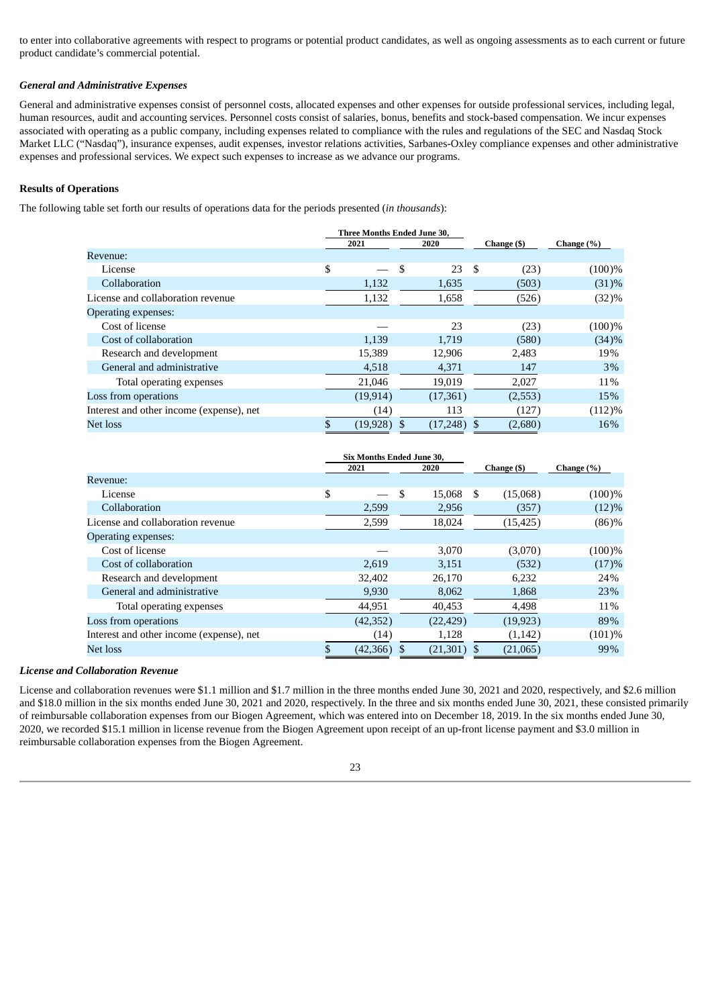to enter into collaborative agreements with respect to programs or potential product candidates, as well as ongoing assessments as to each current or future product candidate's commercial potential.

#### *General and Administrative Expenses*

General and administrative expenses consist of personnel costs, allocated expenses and other expenses for outside professional services, including legal, human resources, audit and accounting services. Personnel costs consist of salaries, bonus, benefits and stock-based compensation. We incur expenses associated with operating as a public company, including expenses related to compliance with the rules and regulations of the SEC and Nasdaq Stock Market LLC ("Nasdaq"), insurance expenses, audit expenses, investor relations activities, Sarbanes-Oxley compliance expenses and other administrative expenses and professional services. We expect such expenses to increase as we advance our programs.

#### **Results of Operations**

The following table set forth our results of operations data for the periods presented (*in thousands*):

|                                          | <b>Three Months Ended June 30,</b> |           |    |           |    |             |            |  |
|------------------------------------------|------------------------------------|-----------|----|-----------|----|-------------|------------|--|
|                                          |                                    | 2021      |    | 2020      |    | Change (\$) | Change (%) |  |
| Revenue:                                 |                                    |           |    |           |    |             |            |  |
| License                                  | \$                                 |           | \$ | 23        | \$ | (23)        | (100)%     |  |
| Collaboration                            |                                    | 1,132     |    | 1,635     |    | (503)       | (31)%      |  |
| License and collaboration revenue        |                                    | 1,132     |    | 1,658     |    | (526)       | (32)%      |  |
| Operating expenses:                      |                                    |           |    |           |    |             |            |  |
| Cost of license                          |                                    |           |    | 23        |    | (23)        | (100)%     |  |
| Cost of collaboration                    |                                    | 1,139     |    | 1,719     |    | (580)       | (34)%      |  |
| Research and development                 |                                    | 15,389    |    | 12,906    |    | 2,483       | 19%        |  |
| General and administrative               |                                    | 4,518     |    | 4,371     |    | 147         | 3%         |  |
| Total operating expenses                 |                                    | 21,046    |    | 19,019    |    | 2,027       | 11%        |  |
| Loss from operations                     |                                    | (19, 914) |    | (17, 361) |    | (2,553)     | 15%        |  |
| Interest and other income (expense), net |                                    | (14)      |    | 113       |    | (127)       | (112)%     |  |
| Net loss                                 |                                    | (19, 928) |    | (17, 248) | \$ | (2,680)     | 16%        |  |

|                                          | <b>Six Months Ended June 30.</b> |    |           |    |             |            |
|------------------------------------------|----------------------------------|----|-----------|----|-------------|------------|
|                                          | 2021                             |    | 2020      |    | Change (\$) | Change (%) |
| Revenue:                                 |                                  |    |           |    |             |            |
| License                                  | \$                               | \$ | 15.068    | S  | (15,068)    | (100)%     |
| Collaboration                            | 2,599                            |    | 2,956     |    | (357)       | (12)%      |
| License and collaboration revenue        | 2,599                            |    | 18,024    |    | (15, 425)   | $(86)\%$   |
| Operating expenses:                      |                                  |    |           |    |             |            |
| Cost of license                          |                                  |    | 3,070     |    | (3,070)     | (100)%     |
| Cost of collaboration                    | 2,619                            |    | 3,151     |    | (532)       | (17)%      |
| Research and development                 | 32,402                           |    | 26,170    |    | 6,232       | 24%        |
| General and administrative               | 9,930                            |    | 8,062     |    | 1,868       | 23%        |
| Total operating expenses                 | 44,951                           |    | 40,453    |    | 4,498       | 11%        |
| Loss from operations                     | (42, 352)                        |    | (22, 429) |    | (19, 923)   | 89%        |
| Interest and other income (expense), net | (14)                             |    | 1,128     |    | (1, 142)    | (101)%     |
| Net loss                                 | \$<br>(42,366)                   |    | (21, 301) | \$ | (21,065)    | 99%        |

#### *License and Collaboration Revenue*

License and collaboration revenues were \$1.1 million and \$1.7 million in the three months ended June 30, 2021 and 2020, respectively, and \$2.6 million and \$18.0 million in the six months ended June 30, 2021 and 2020, respectively. In the three and six months ended June 30, 2021, these consisted primarily of reimbursable collaboration expenses from our Biogen Agreement, which was entered into on December 18, 2019. In the six months ended June 30, 2020, we recorded \$15.1 million in license revenue from the Biogen Agreement upon receipt of an up-front license payment and \$3.0 million in reimbursable collaboration expenses from the Biogen Agreement.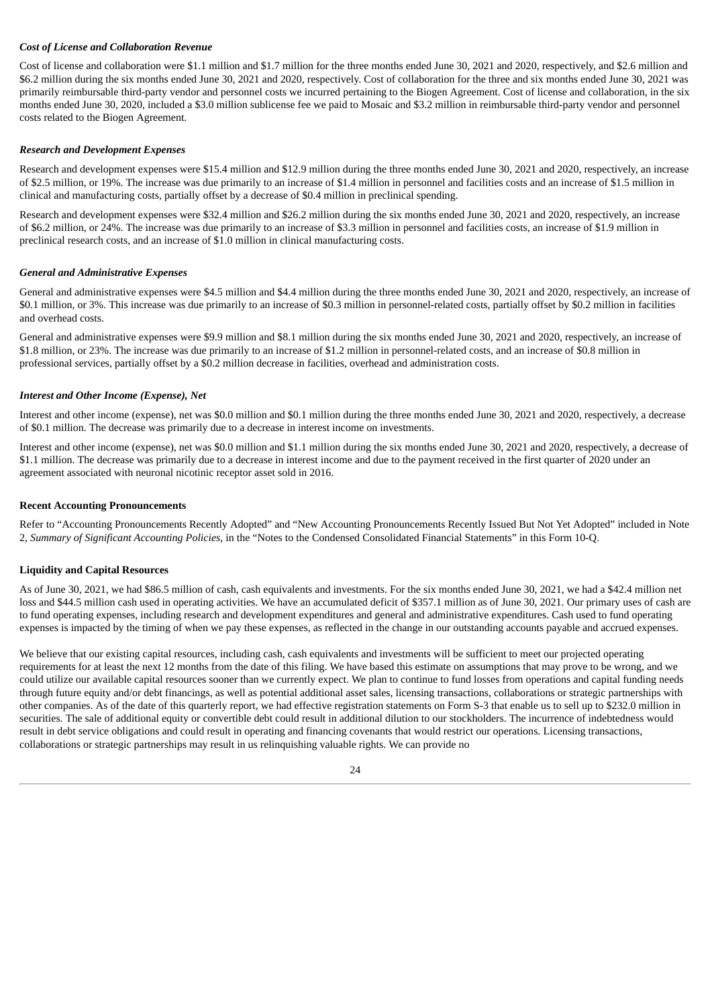#### *Cost of License and Collaboration Revenue*

Cost of license and collaboration were \$1.1 million and \$1.7 million for the three months ended June 30, 2021 and 2020, respectively, and \$2.6 million and \$6.2 million during the six months ended June 30, 2021 and 2020, respectively. Cost of collaboration for the three and six months ended June 30, 2021 was primarily reimbursable third-party vendor and personnel costs we incurred pertaining to the Biogen Agreement. Cost of license and collaboration, in the six months ended June 30, 2020, included a \$3.0 million sublicense fee we paid to Mosaic and \$3.2 million in reimbursable third-party vendor and personnel costs related to the Biogen Agreement.

#### *Research and Development Expenses*

Research and development expenses were \$15.4 million and \$12.9 million during the three months ended June 30, 2021 and 2020, respectively, an increase of \$2.5 million, or 19%. The increase was due primarily to an increase of \$1.4 million in personnel and facilities costs and an increase of \$1.5 million in clinical and manufacturing costs, partially offset by a decrease of \$0.4 million in preclinical spending.

Research and development expenses were \$32.4 million and \$26.2 million during the six months ended June 30, 2021 and 2020, respectively, an increase of \$6.2 million, or 24%. The increase was due primarily to an increase of \$3.3 million in personnel and facilities costs, an increase of \$1.9 million in preclinical research costs, and an increase of \$1.0 million in clinical manufacturing costs.

#### *General and Administrative Expenses*

General and administrative expenses were \$4.5 million and \$4.4 million during the three months ended June 30, 2021 and 2020, respectively, an increase of \$0.1 million, or 3%. This increase was due primarily to an increase of \$0.3 million in personnel-related costs, partially offset by \$0.2 million in facilities and overhead costs.

General and administrative expenses were \$9.9 million and \$8.1 million during the six months ended June 30, 2021 and 2020, respectively, an increase of \$1.8 million, or 23%. The increase was due primarily to an increase of \$1.2 million in personnel-related costs, and an increase of \$0.8 million in professional services, partially offset by a \$0.2 million decrease in facilities, overhead and administration costs.

#### *Interest and Other Income (Expense), Net*

Interest and other income (expense), net was \$0.0 million and \$0.1 million during the three months ended June 30, 2021 and 2020, respectively, a decrease of \$0.1 million. The decrease was primarily due to a decrease in interest income on investments.

Interest and other income (expense), net was \$0.0 million and \$1.1 million during the six months ended June 30, 2021 and 2020, respectively, a decrease of \$1.1 million. The decrease was primarily due to a decrease in interest income and due to the payment received in the first quarter of 2020 under an agreement associated with neuronal nicotinic receptor asset sold in 2016.

#### **Recent Accounting Pronouncements**

Refer to "Accounting Pronouncements Recently Adopted" and "New Accounting Pronouncements Recently Issued But Not Yet Adopted" included in Note 2, *Summary of Significant Accounting Policies*, in the "Notes to the Condensed Consolidated Financial Statements" in this Form 10-Q.

#### **Liquidity and Capital Resources**

As of June 30, 2021, we had \$86.5 million of cash, cash equivalents and investments. For the six months ended June 30, 2021, we had a \$42.4 million net loss and \$44.5 million cash used in operating activities. We have an accumulated deficit of \$357.1 million as of June 30, 2021. Our primary uses of cash are to fund operating expenses, including research and development expenditures and general and administrative expenditures. Cash used to fund operating expenses is impacted by the timing of when we pay these expenses, as reflected in the change in our outstanding accounts payable and accrued expenses.

We believe that our existing capital resources, including cash, cash equivalents and investments will be sufficient to meet our projected operating requirements for at least the next 12 months from the date of this filing. We have based this estimate on assumptions that may prove to be wrong, and we could utilize our available capital resources sooner than we currently expect. We plan to continue to fund losses from operations and capital funding needs through future equity and/or debt financings, as well as potential additional asset sales, licensing transactions, collaborations or strategic partnerships with other companies. As of the date of this quarterly report, we had effective registration statements on Form S-3 that enable us to sell up to \$232.0 million in securities. The sale of additional equity or convertible debt could result in additional dilution to our stockholders. The incurrence of indebtedness would result in debt service obligations and could result in operating and financing covenants that would restrict our operations. Licensing transactions, collaborations or strategic partnerships may result in us relinquishing valuable rights. We can provide no

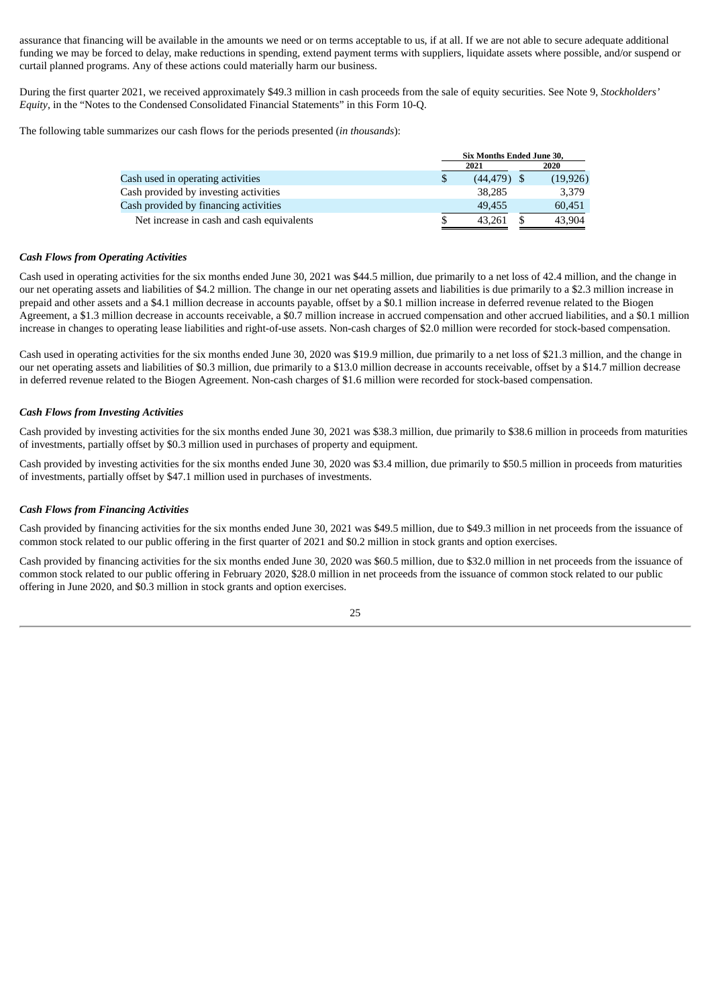assurance that financing will be available in the amounts we need or on terms acceptable to us, if at all. If we are not able to secure adequate additional funding we may be forced to delay, make reductions in spending, extend payment terms with suppliers, liquidate assets where possible, and/or suspend or curtail planned programs. Any of these actions could materially harm our business.

During the first quarter 2021, we received approximately \$49.3 million in cash proceeds from the sale of equity securities. See Note 9, *Stockholders' Equity*, in the "Notes to the Condensed Consolidated Financial Statements" in this Form 10-Q.

The following table summarizes our cash flows for the periods presented (*in thousands*):

|                                           |   | Six Months Ended June 30, |  |           |  |
|-------------------------------------------|---|---------------------------|--|-----------|--|
|                                           |   | 2021                      |  | 2020      |  |
| Cash used in operating activities         |   | $(44, 479)$ \$            |  | (19, 926) |  |
| Cash provided by investing activities     |   | 38.285                    |  | 3.379     |  |
| Cash provided by financing activities     |   | 49.455                    |  | 60,451    |  |
| Net increase in cash and cash equivalents | S | 43.261                    |  | 43.904    |  |

#### *Cash Flows from Operating Activities*

Cash used in operating activities for the six months ended June 30, 2021 was \$44.5 million, due primarily to a net loss of 42.4 million, and the change in our net operating assets and liabilities of \$4.2 million. The change in our net operating assets and liabilities is due primarily to a \$2.3 million increase in prepaid and other assets and a \$4.1 million decrease in accounts payable, offset by a \$0.1 million increase in deferred revenue related to the Biogen Agreement, a \$1.3 million decrease in accounts receivable, a \$0.7 million increase in accrued compensation and other accrued liabilities, and a \$0.1 million increase in changes to operating lease liabilities and right-of-use assets. Non-cash charges of \$2.0 million were recorded for stock-based compensation.

Cash used in operating activities for the six months ended June 30, 2020 was \$19.9 million, due primarily to a net loss of \$21.3 million, and the change in our net operating assets and liabilities of \$0.3 million, due primarily to a \$13.0 million decrease in accounts receivable, offset by a \$14.7 million decrease in deferred revenue related to the Biogen Agreement. Non-cash charges of \$1.6 million were recorded for stock-based compensation.

#### *Cash Flows from Investing Activities*

Cash provided by investing activities for the six months ended June 30, 2021 was \$38.3 million, due primarily to \$38.6 million in proceeds from maturities of investments, partially offset by \$0.3 million used in purchases of property and equipment.

Cash provided by investing activities for the six months ended June 30, 2020 was \$3.4 million, due primarily to \$50.5 million in proceeds from maturities of investments, partially offset by \$47.1 million used in purchases of investments.

#### *Cash Flows from Financing Activities*

Cash provided by financing activities for the six months ended June 30, 2021 was \$49.5 million, due to \$49.3 million in net proceeds from the issuance of common stock related to our public offering in the first quarter of 2021 and \$0.2 million in stock grants and option exercises.

Cash provided by financing activities for the six months ended June 30, 2020 was \$60.5 million, due to \$32.0 million in net proceeds from the issuance of common stock related to our public offering in February 2020, \$28.0 million in net proceeds from the issuance of common stock related to our public offering in June 2020, and \$0.3 million in stock grants and option exercises.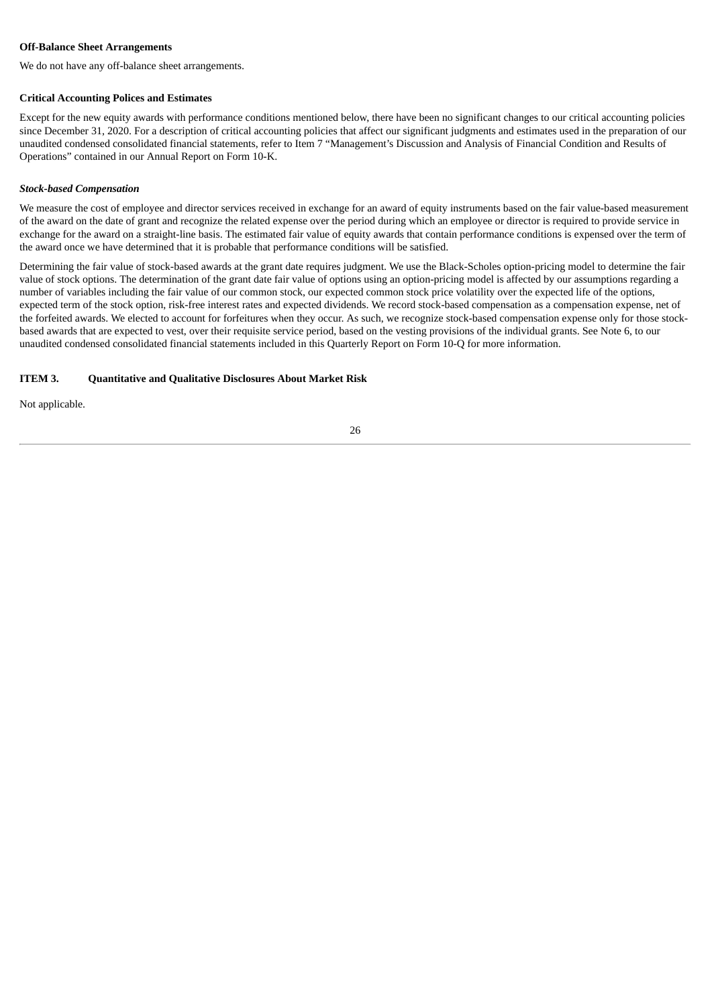#### **Off-Balance Sheet Arrangements**

We do not have any off-balance sheet arrangements.

#### **Critical Accounting Polices and Estimates**

Except for the new equity awards with performance conditions mentioned below, there have been no significant changes to our critical accounting policies since December 31, 2020. For a description of critical accounting policies that affect our significant judgments and estimates used in the preparation of our unaudited condensed consolidated financial statements, refer to Item 7 "Management's Discussion and Analysis of Financial Condition and Results of Operations" contained in our Annual Report on Form 10-K.

#### *Stock-based Compensation*

We measure the cost of employee and director services received in exchange for an award of equity instruments based on the fair value-based measurement of the award on the date of grant and recognize the related expense over the period during which an employee or director is required to provide service in exchange for the award on a straight-line basis. The estimated fair value of equity awards that contain performance conditions is expensed over the term of the award once we have determined that it is probable that performance conditions will be satisfied.

Determining the fair value of stock-based awards at the grant date requires judgment. We use the Black-Scholes option-pricing model to determine the fair value of stock options. The determination of the grant date fair value of options using an option-pricing model is affected by our assumptions regarding a number of variables including the fair value of our common stock, our expected common stock price volatility over the expected life of the options, expected term of the stock option, risk-free interest rates and expected dividends. We record stock-based compensation as a compensation expense, net of the forfeited awards. We elected to account for forfeitures when they occur. As such, we recognize stock-based compensation expense only for those stockbased awards that are expected to vest, over their requisite service period, based on the vesting provisions of the individual grants. See Note 6, to our unaudited condensed consolidated financial statements included in this Quarterly Report on Form 10-Q for more information.

#### <span id="page-25-0"></span>**ITEM 3. Quantitative and Qualitative Disclosures About Market Risk**

Not applicable.

26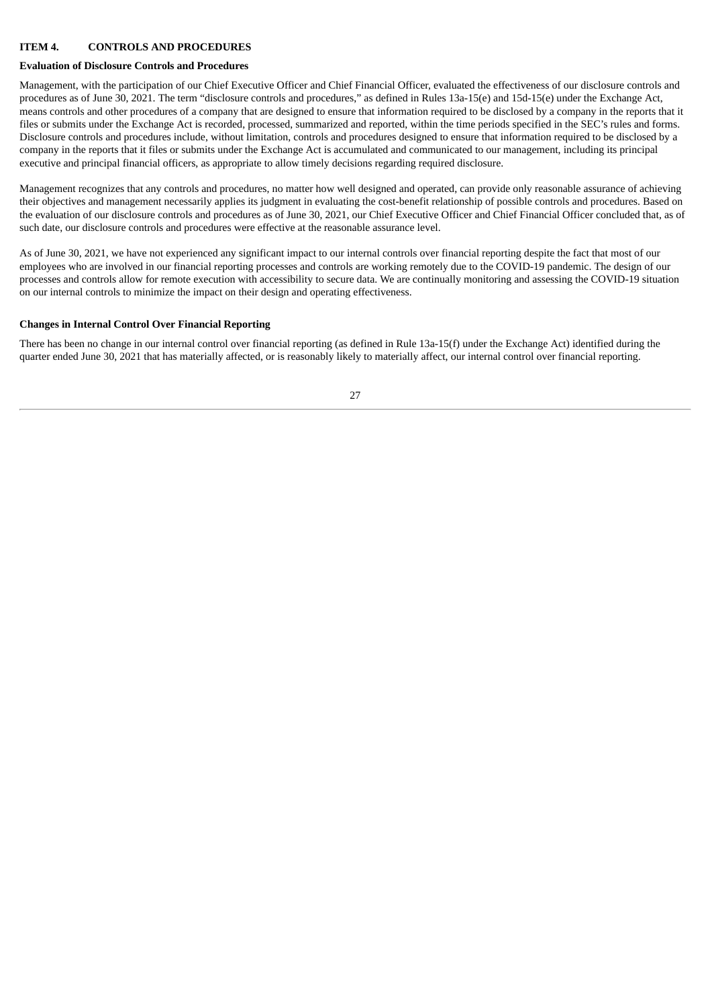#### <span id="page-26-0"></span>**ITEM 4. CONTROLS AND PROCEDURES**

#### **Evaluation of Disclosure Controls and Procedures**

Management, with the participation of our Chief Executive Officer and Chief Financial Officer, evaluated the effectiveness of our disclosure controls and procedures as of June 30, 2021. The term "disclosure controls and procedures," as defined in Rules 13a-15(e) and 15d-15(e) under the Exchange Act, means controls and other procedures of a company that are designed to ensure that information required to be disclosed by a company in the reports that it files or submits under the Exchange Act is recorded, processed, summarized and reported, within the time periods specified in the SEC's rules and forms. Disclosure controls and procedures include, without limitation, controls and procedures designed to ensure that information required to be disclosed by a company in the reports that it files or submits under the Exchange Act is accumulated and communicated to our management, including its principal executive and principal financial officers, as appropriate to allow timely decisions regarding required disclosure.

Management recognizes that any controls and procedures, no matter how well designed and operated, can provide only reasonable assurance of achieving their objectives and management necessarily applies its judgment in evaluating the cost-benefit relationship of possible controls and procedures. Based on the evaluation of our disclosure controls and procedures as of June 30, 2021, our Chief Executive Officer and Chief Financial Officer concluded that, as of such date, our disclosure controls and procedures were effective at the reasonable assurance level.

As of June 30, 2021, we have not experienced any significant impact to our internal controls over financial reporting despite the fact that most of our employees who are involved in our financial reporting processes and controls are working remotely due to the COVID-19 pandemic. The design of our processes and controls allow for remote execution with accessibility to secure data. We are continually monitoring and assessing the COVID-19 situation on our internal controls to minimize the impact on their design and operating effectiveness.

#### **Changes in Internal Control Over Financial Reporting**

There has been no change in our internal control over financial reporting (as defined in Rule 13a-15(f) under the Exchange Act) identified during the quarter ended June 30, 2021 that has materially affected, or is reasonably likely to materially affect, our internal control over financial reporting.

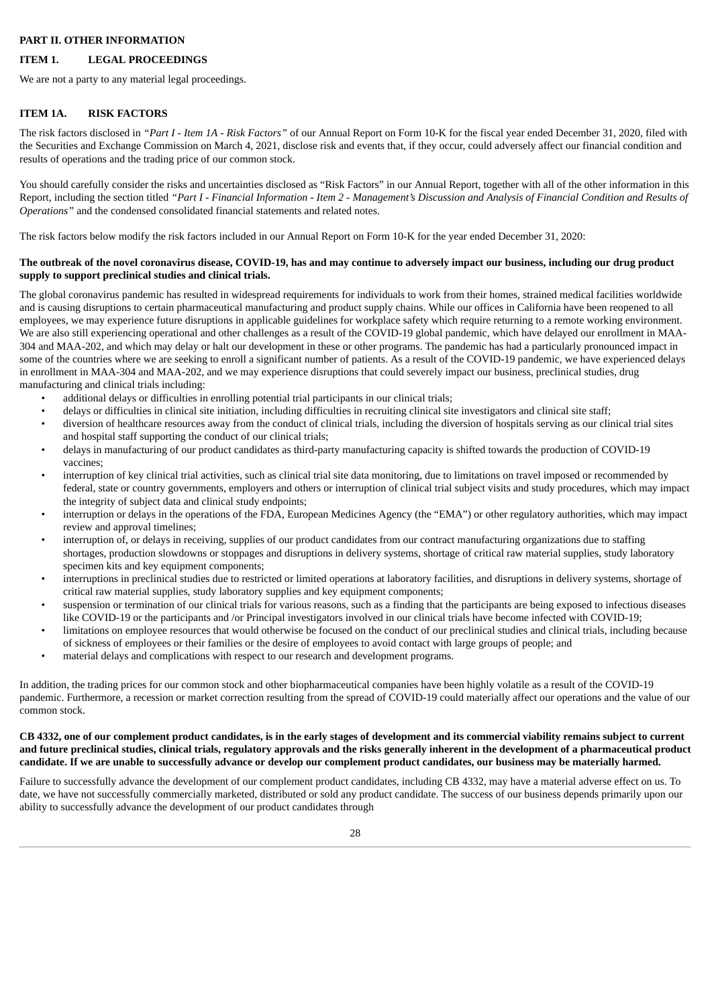#### <span id="page-27-0"></span>**PART II. OTHER INFORMATION**

#### <span id="page-27-1"></span>**ITEM 1. LEGAL PROCEEDINGS**

We are not a party to any material legal proceedings.

#### <span id="page-27-2"></span>**ITEM 1A. RISK FACTORS**

The risk factors disclosed in *"Part I - Item 1A - Risk Factors"* of our Annual Report on Form 10-K for the fiscal year ended December 31, 2020, filed with the Securities and Exchange Commission on March 4, 2021, disclose risk and events that, if they occur, could adversely affect our financial condition and results of operations and the trading price of our common stock.

You should carefully consider the risks and uncertainties disclosed as "Risk Factors" in our Annual Report, together with all of the other information in this Report, including the section titled "Part I - Financial Information - Item 2 - Management's Discussion and Analysis of Financial Condition and Results of *Operations"* and the condensed consolidated financial statements and related notes.

The risk factors below modify the risk factors included in our Annual Report on Form 10-K for the year ended December 31, 2020:

#### The outbreak of the novel coronavirus disease, COVID-19, has and may continue to adversely impact our business, including our drug product **supply to support preclinical studies and clinical trials.**

The global coronavirus pandemic has resulted in widespread requirements for individuals to work from their homes, strained medical facilities worldwide and is causing disruptions to certain pharmaceutical manufacturing and product supply chains. While our offices in California have been reopened to all employees, we may experience future disruptions in applicable guidelines for workplace safety which require returning to a remote working environment. We are also still experiencing operational and other challenges as a result of the COVID-19 global pandemic, which have delayed our enrollment in MAA-304 and MAA-202, and which may delay or halt our development in these or other programs. The pandemic has had a particularly pronounced impact in some of the countries where we are seeking to enroll a significant number of patients. As a result of the COVID-19 pandemic, we have experienced delays in enrollment in MAA-304 and MAA-202, and we may experience disruptions that could severely impact our business, preclinical studies, drug manufacturing and clinical trials including:

- additional delays or difficulties in enrolling potential trial participants in our clinical trials;
- delays or difficulties in clinical site initiation, including difficulties in recruiting clinical site investigators and clinical site staff;
- diversion of healthcare resources away from the conduct of clinical trials, including the diversion of hospitals serving as our clinical trial sites and hospital staff supporting the conduct of our clinical trials;
- delays in manufacturing of our product candidates as third-party manufacturing capacity is shifted towards the production of COVID-19 vaccines;
- interruption of key clinical trial activities, such as clinical trial site data monitoring, due to limitations on travel imposed or recommended by federal, state or country governments, employers and others or interruption of clinical trial subject visits and study procedures, which may impact the integrity of subject data and clinical study endpoints;
- interruption or delays in the operations of the FDA, European Medicines Agency (the "EMA") or other regulatory authorities, which may impact review and approval timelines;
- interruption of, or delays in receiving, supplies of our product candidates from our contract manufacturing organizations due to staffing shortages, production slowdowns or stoppages and disruptions in delivery systems, shortage of critical raw material supplies, study laboratory specimen kits and key equipment components;
- interruptions in preclinical studies due to restricted or limited operations at laboratory facilities, and disruptions in delivery systems, shortage of critical raw material supplies, study laboratory supplies and key equipment components;
- suspension or termination of our clinical trials for various reasons, such as a finding that the participants are being exposed to infectious diseases like COVID-19 or the participants and /or Principal investigators involved in our clinical trials have become infected with COVID-19;
- limitations on employee resources that would otherwise be focused on the conduct of our preclinical studies and clinical trials, including because of sickness of employees or their families or the desire of employees to avoid contact with large groups of people; and
- material delays and complications with respect to our research and development programs.

In addition, the trading prices for our common stock and other biopharmaceutical companies have been highly volatile as a result of the COVID-19 pandemic. Furthermore, a recession or market correction resulting from the spread of COVID-19 could materially affect our operations and the value of our common stock.

#### CB 4332, one of our complement product candidates, is in the early stages of development and its commercial viability remains subject to current and future preclinical studies, clinical trials, regulatory approvals and the risks generally inherent in the development of a pharmaceutical product candidate. If we are unable to successfully advance or develop our complement product candidates, our business may be materially harmed.

Failure to successfully advance the development of our complement product candidates, including CB 4332, may have a material adverse effect on us. To date, we have not successfully commercially marketed, distributed or sold any product candidate. The success of our business depends primarily upon our ability to successfully advance the development of our product candidates through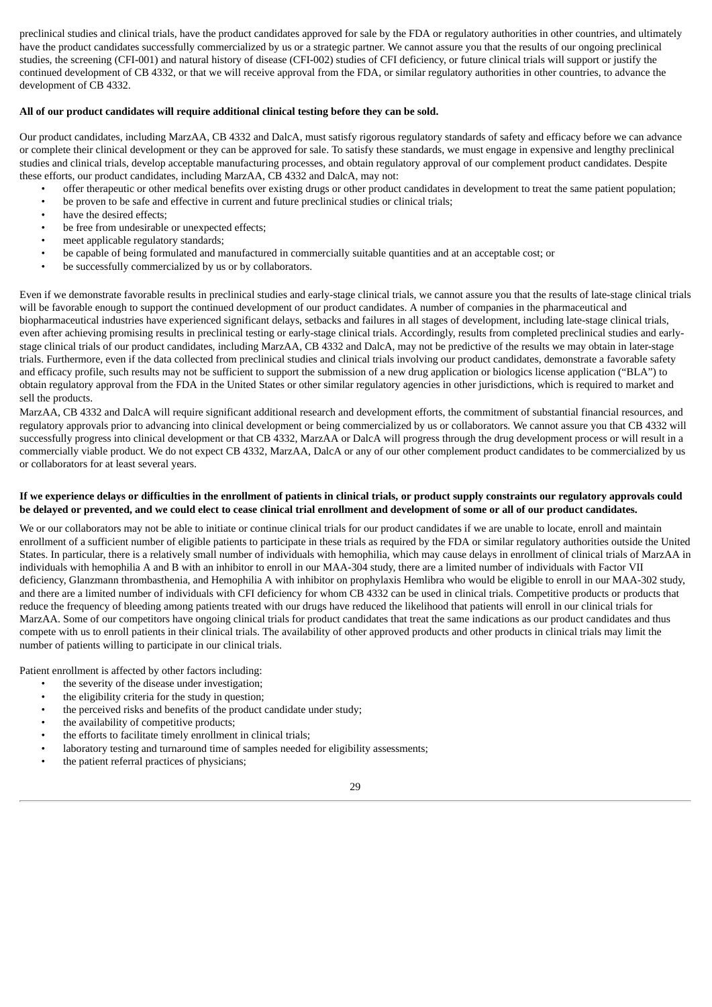preclinical studies and clinical trials, have the product candidates approved for sale by the FDA or regulatory authorities in other countries, and ultimately have the product candidates successfully commercialized by us or a strategic partner. We cannot assure you that the results of our ongoing preclinical studies, the screening (CFI-001) and natural history of disease (CFI-002) studies of CFI deficiency, or future clinical trials will support or justify the continued development of CB 4332, or that we will receive approval from the FDA, or similar regulatory authorities in other countries, to advance the development of CB 4332.

#### **All of our product candidates will require additional clinical testing before they can be sold.**

Our product candidates, including MarzAA, CB 4332 and DalcA, must satisfy rigorous regulatory standards of safety and efficacy before we can advance or complete their clinical development or they can be approved for sale. To satisfy these standards, we must engage in expensive and lengthy preclinical studies and clinical trials, develop acceptable manufacturing processes, and obtain regulatory approval of our complement product candidates. Despite these efforts, our product candidates, including MarzAA, CB 4332 and DalcA, may not:

- offer therapeutic or other medical benefits over existing drugs or other product candidates in development to treat the same patient population;
- be proven to be safe and effective in current and future preclinical studies or clinical trials;
- have the desired effects;
- be free from undesirable or unexpected effects;
- meet applicable regulatory standards;
- be capable of being formulated and manufactured in commercially suitable quantities and at an acceptable cost; or
- be successfully commercialized by us or by collaborators.

Even if we demonstrate favorable results in preclinical studies and early-stage clinical trials, we cannot assure you that the results of late-stage clinical trials will be favorable enough to support the continued development of our product candidates. A number of companies in the pharmaceutical and biopharmaceutical industries have experienced significant delays, setbacks and failures in all stages of development, including late-stage clinical trials, even after achieving promising results in preclinical testing or early-stage clinical trials. Accordingly, results from completed preclinical studies and earlystage clinical trials of our product candidates, including MarzAA, CB 4332 and DalcA, may not be predictive of the results we may obtain in later-stage trials. Furthermore, even if the data collected from preclinical studies and clinical trials involving our product candidates, demonstrate a favorable safety and efficacy profile, such results may not be sufficient to support the submission of a new drug application or biologics license application ("BLA") to obtain regulatory approval from the FDA in the United States or other similar regulatory agencies in other jurisdictions, which is required to market and sell the products.

MarzAA, CB 4332 and DalcA will require significant additional research and development efforts, the commitment of substantial financial resources, and regulatory approvals prior to advancing into clinical development or being commercialized by us or collaborators. We cannot assure you that CB 4332 will successfully progress into clinical development or that CB 4332, MarzAA or DalcA will progress through the drug development process or will result in a commercially viable product. We do not expect CB 4332, MarzAA, DalcA or any of our other complement product candidates to be commercialized by us or collaborators for at least several years.

#### If we experience delays or difficulties in the enrollment of patients in clinical trials, or product supply constraints our regulatory approvals could be delayed or prevented, and we could elect to cease clinical trial enrollment and development of some or all of our product candidates.

We or our collaborators may not be able to initiate or continue clinical trials for our product candidates if we are unable to locate, enroll and maintain enrollment of a sufficient number of eligible patients to participate in these trials as required by the FDA or similar regulatory authorities outside the United States. In particular, there is a relatively small number of individuals with hemophilia, which may cause delays in enrollment of clinical trials of MarzAA in individuals with hemophilia A and B with an inhibitor to enroll in our MAA-304 study, there are a limited number of individuals with Factor VII deficiency, Glanzmann thrombasthenia, and Hemophilia A with inhibitor on prophylaxis Hemlibra who would be eligible to enroll in our MAA-302 study, and there are a limited number of individuals with CFI deficiency for whom CB 4332 can be used in clinical trials. Competitive products or products that reduce the frequency of bleeding among patients treated with our drugs have reduced the likelihood that patients will enroll in our clinical trials for MarzAA. Some of our competitors have ongoing clinical trials for product candidates that treat the same indications as our product candidates and thus compete with us to enroll patients in their clinical trials. The availability of other approved products and other products in clinical trials may limit the number of patients willing to participate in our clinical trials.

Patient enrollment is affected by other factors including:

- the severity of the disease under investigation;
- the eligibility criteria for the study in question;
- the perceived risks and benefits of the product candidate under study;
- the availability of competitive products;
- the efforts to facilitate timely enrollment in clinical trials;
- laboratory testing and turnaround time of samples needed for eligibility assessments;
- the patient referral practices of physicians;

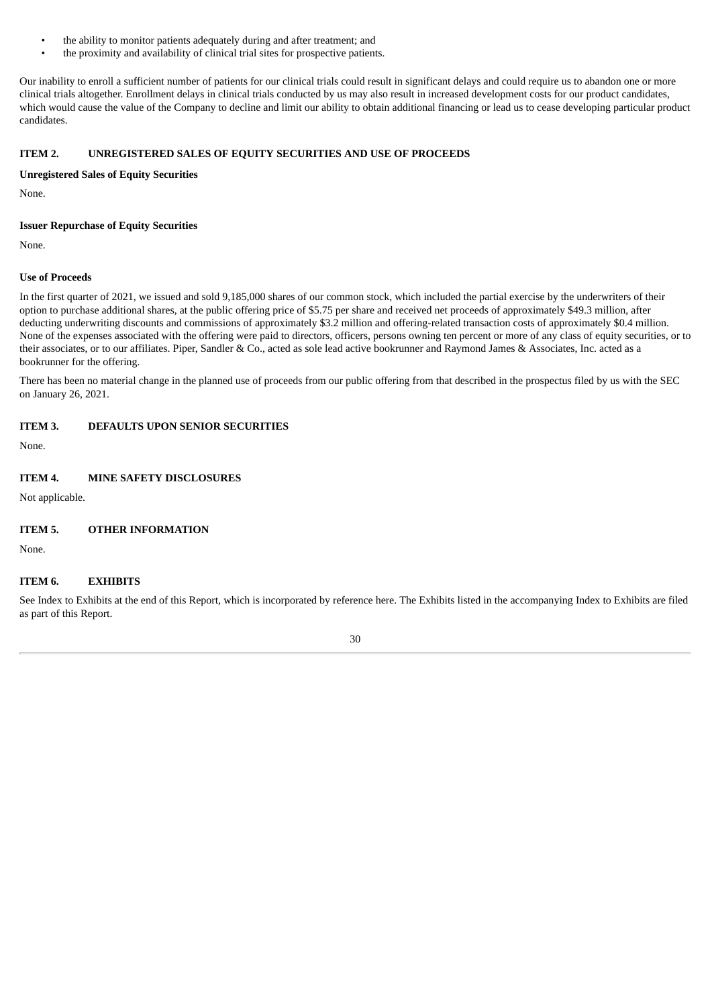- the ability to monitor patients adequately during and after treatment; and
- the proximity and availability of clinical trial sites for prospective patients.

Our inability to enroll a sufficient number of patients for our clinical trials could result in significant delays and could require us to abandon one or more clinical trials altogether. Enrollment delays in clinical trials conducted by us may also result in increased development costs for our product candidates, which would cause the value of the Company to decline and limit our ability to obtain additional financing or lead us to cease developing particular product candidates.

#### <span id="page-29-0"></span>**ITEM 2. UNREGISTERED SALES OF EQUITY SECURITIES AND USE OF PROCEEDS**

**Unregistered Sales of Equity Securities**

None.

#### **Issuer Repurchase of Equity Securities**

None.

#### **Use of Proceeds**

In the first quarter of 2021, we issued and sold 9,185,000 shares of our common stock, which included the partial exercise by the underwriters of their option to purchase additional shares, at the public offering price of \$5.75 per share and received net proceeds of approximately \$49.3 million, after deducting underwriting discounts and commissions of approximately \$3.2 million and offering-related transaction costs of approximately \$0.4 million. None of the expenses associated with the offering were paid to directors, officers, persons owning ten percent or more of any class of equity securities, or to their associates, or to our affiliates. Piper, Sandler & Co., acted as sole lead active bookrunner and Raymond James & Associates, Inc. acted as a bookrunner for the offering.

There has been no material change in the planned use of proceeds from our public offering from that described in the prospectus filed by us with the SEC on January 26, 2021.

#### <span id="page-29-1"></span>**ITEM 3. DEFAULTS UPON SENIOR SECURITIES**

None.

#### <span id="page-29-2"></span>**ITEM 4. MINE SAFETY DISCLOSURES**

Not applicable.

#### <span id="page-29-3"></span>**ITEM 5. OTHER INFORMATION**

None.

#### <span id="page-29-4"></span>**ITEM 6. EXHIBITS**

See Index to Exhibits at the end of this Report, which is incorporated by reference here. The Exhibits listed in the accompanying Index to Exhibits are filed as part of this Report.

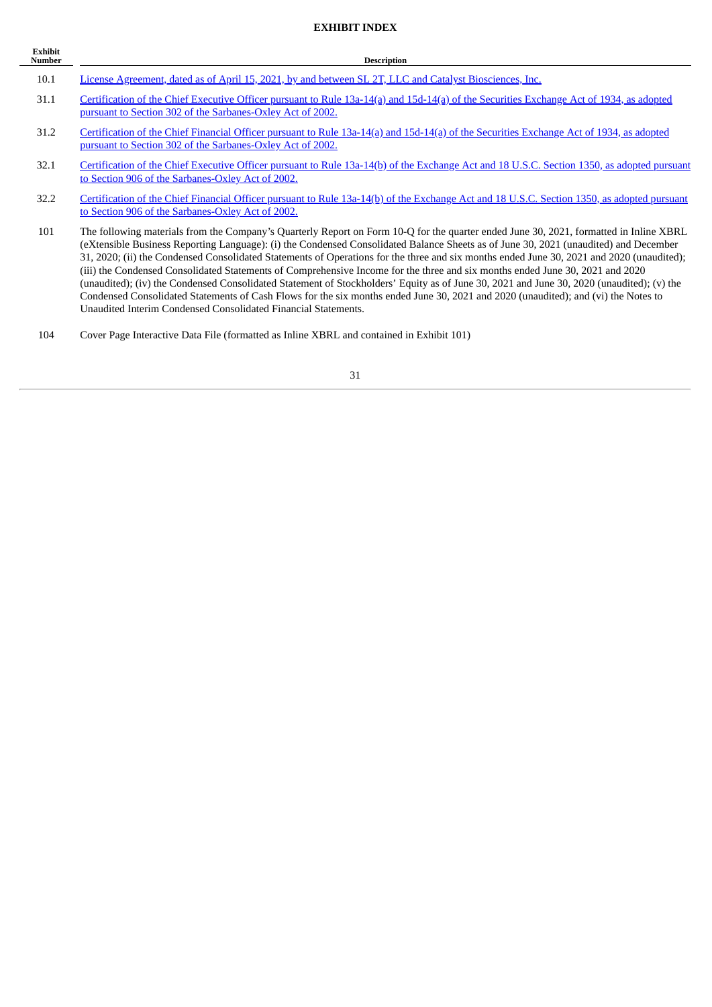#### **EXHIBIT INDEX**

<span id="page-30-0"></span>

| Exhibit<br><b>Number</b> | <b>Description</b>                                                                                                                                                                                                                                                                                                                                                                                                                                                                                                                                                                                                                                                                                                                                                                                                                                                                                                |
|--------------------------|-------------------------------------------------------------------------------------------------------------------------------------------------------------------------------------------------------------------------------------------------------------------------------------------------------------------------------------------------------------------------------------------------------------------------------------------------------------------------------------------------------------------------------------------------------------------------------------------------------------------------------------------------------------------------------------------------------------------------------------------------------------------------------------------------------------------------------------------------------------------------------------------------------------------|
| 10.1                     | License Agreement, dated as of April 15, 2021, by and between SL 2T, LLC and Catalyst Biosciences, Inc.                                                                                                                                                                                                                                                                                                                                                                                                                                                                                                                                                                                                                                                                                                                                                                                                           |
| 31.1                     | Certification of the Chief Executive Officer pursuant to Rule 13a-14(a) and 15d-14(a) of the Securities Exchange Act of 1934, as adopted<br>pursuant to Section 302 of the Sarbanes-Oxley Act of 2002.                                                                                                                                                                                                                                                                                                                                                                                                                                                                                                                                                                                                                                                                                                            |
| 31.2                     | Certification of the Chief Financial Officer pursuant to Rule 13a-14(a) and 15d-14(a) of the Securities Exchange Act of 1934, as adopted<br>pursuant to Section 302 of the Sarbanes-Oxley Act of 2002.                                                                                                                                                                                                                                                                                                                                                                                                                                                                                                                                                                                                                                                                                                            |
| 32.1                     | Certification of the Chief Executive Officer pursuant to Rule 13a-14(b) of the Exchange Act and 18 U.S.C. Section 1350, as adopted pursuant<br>to Section 906 of the Sarbanes-Oxley Act of 2002.                                                                                                                                                                                                                                                                                                                                                                                                                                                                                                                                                                                                                                                                                                                  |
| 32.2                     | Certification of the Chief Financial Officer pursuant to Rule 13a-14(b) of the Exchange Act and 18 U.S.C. Section 1350, as adopted pursuant<br>to Section 906 of the Sarbanes-Oxley Act of 2002.                                                                                                                                                                                                                                                                                                                                                                                                                                                                                                                                                                                                                                                                                                                  |
| 101                      | The following materials from the Company's Quarterly Report on Form 10-Q for the quarter ended June 30, 2021, formatted in Inline XBRL<br>(eXtensible Business Reporting Language): (i) the Condensed Consolidated Balance Sheets as of June 30, 2021 (unaudited) and December<br>31, 2020; (ii) the Condensed Consolidated Statements of Operations for the three and six months ended June 30, 2021 and 2020 (unaudited);<br>(iii) the Condensed Consolidated Statements of Comprehensive Income for the three and six months ended June 30, 2021 and 2020<br>(unaudited); (iv) the Condensed Consolidated Statement of Stockholders' Equity as of June 30, 2021 and June 30, 2020 (unaudited); (v) the<br>Condensed Consolidated Statements of Cash Flows for the six months ended June 30, 2021 and 2020 (unaudited); and (vi) the Notes to<br>Unaudited Interim Condensed Consolidated Financial Statements. |
| 104                      | Cover Page Interactive Data File (formatted as Inline XBRL and contained in Exhibit 101)                                                                                                                                                                                                                                                                                                                                                                                                                                                                                                                                                                                                                                                                                                                                                                                                                          |

31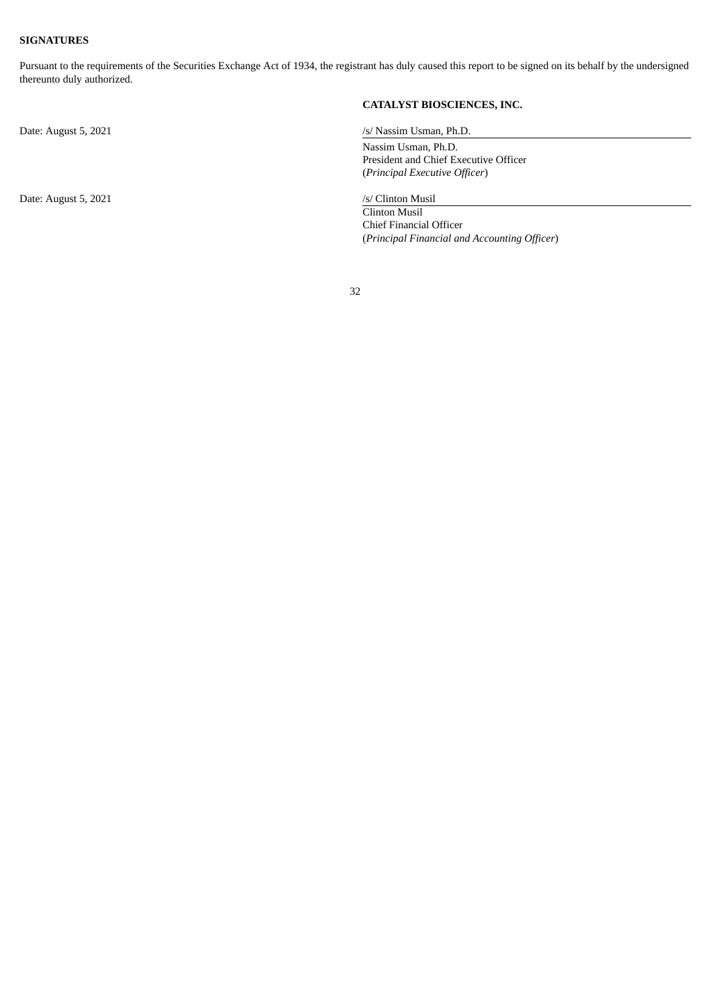#### <span id="page-31-0"></span>**SIGNATURES**

Pursuant to the requirements of the Securities Exchange Act of 1934, the registrant has duly caused this report to be signed on its behalf by the undersigned thereunto duly authorized.

Date: August 5, 2021 /s/ Clinton Musil

#### **CATALYST BIOSCIENCES, INC.**

Date: August 5, 2021 /s/ Nassim Usman, Ph.D.

Nassim Usman, Ph.D. President and Chief Executive Officer (*Principal Executive Officer*)

Clinton Musil Chief Financial Officer (*Principal Financial and Accounting Officer*)

32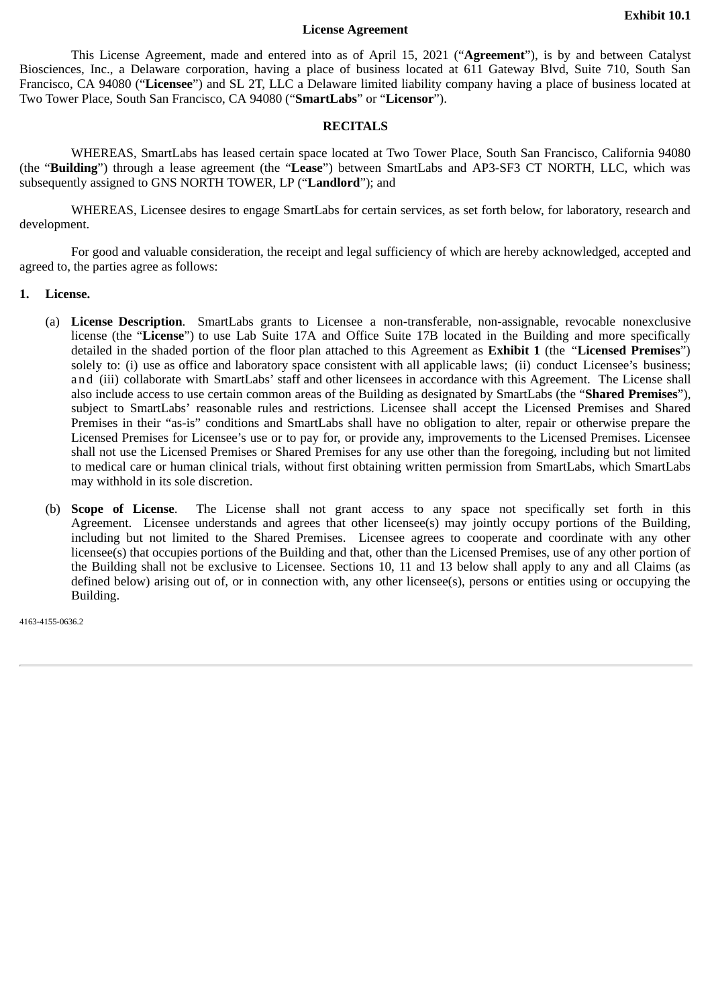#### **License Agreement**

<span id="page-32-0"></span>This License Agreement, made and entered into as of April 15, 2021 ("**Agreement**"), is by and between Catalyst Biosciences, Inc., a Delaware corporation, having a place of business located at 611 Gateway Blvd, Suite 710, South San Francisco, CA 94080 ("**Licensee**") and SL 2T, LLC a Delaware limited liability company having a place of business located at Two Tower Place, South San Francisco, CA 94080 ("**SmartLabs**" or "**Licensor**").

#### **RECITALS**

WHEREAS, SmartLabs has leased certain space located at Two Tower Place, South San Francisco, California 94080 (the "**Building**") through a lease agreement (the "**Lease**") between SmartLabs and AP3-SF3 CT NORTH, LLC, which was subsequently assigned to GNS NORTH TOWER, LP ("**Landlord**"); and

WHEREAS, Licensee desires to engage SmartLabs for certain services, as set forth below, for laboratory, research and development.

For good and valuable consideration, the receipt and legal sufficiency of which are hereby acknowledged, accepted and agreed to, the parties agree as follows:

#### **1. License.**

- (a) **License Description**. SmartLabs grants to Licensee a non-transferable, non-assignable, revocable nonexclusive license (the "**License**") to use Lab Suite 17A and Office Suite 17B located in the Building and more specifically detailed in the shaded portion of the floor plan attached to this Agreement as **Exhibit 1** (the "**Licensed Premises**") solely to: (i) use as office and laboratory space consistent with all applicable laws; (ii) conduct Licensee's business; and (iii) collaborate with SmartLabs' staff and other licensees in accordance with this Agreement. The License shall also include access to use certain common areas of the Building as designated by SmartLabs (the "**Shared Premises**"), subject to SmartLabs' reasonable rules and restrictions. Licensee shall accept the Licensed Premises and Shared Premises in their "as-is" conditions and SmartLabs shall have no obligation to alter, repair or otherwise prepare the Licensed Premises for Licensee's use or to pay for, or provide any, improvements to the Licensed Premises. Licensee shall not use the Licensed Premises or Shared Premises for any use other than the foregoing, including but not limited to medical care or human clinical trials, without first obtaining written permission from SmartLabs, which SmartLabs may withhold in its sole discretion.
- (b) **Scope of License**. The License shall not grant access to any space not specifically set forth in this Agreement. Licensee understands and agrees that other licensee(s) may jointly occupy portions of the Building, including but not limited to the Shared Premises. Licensee agrees to cooperate and coordinate with any other licensee(s) that occupies portions of the Building and that, other than the Licensed Premises, use of any other portion of the Building shall not be exclusive to Licensee. Sections 10, 11 and 13 below shall apply to any and all Claims (as defined below) arising out of, or in connection with, any other licensee(s), persons or entities using or occupying the Building.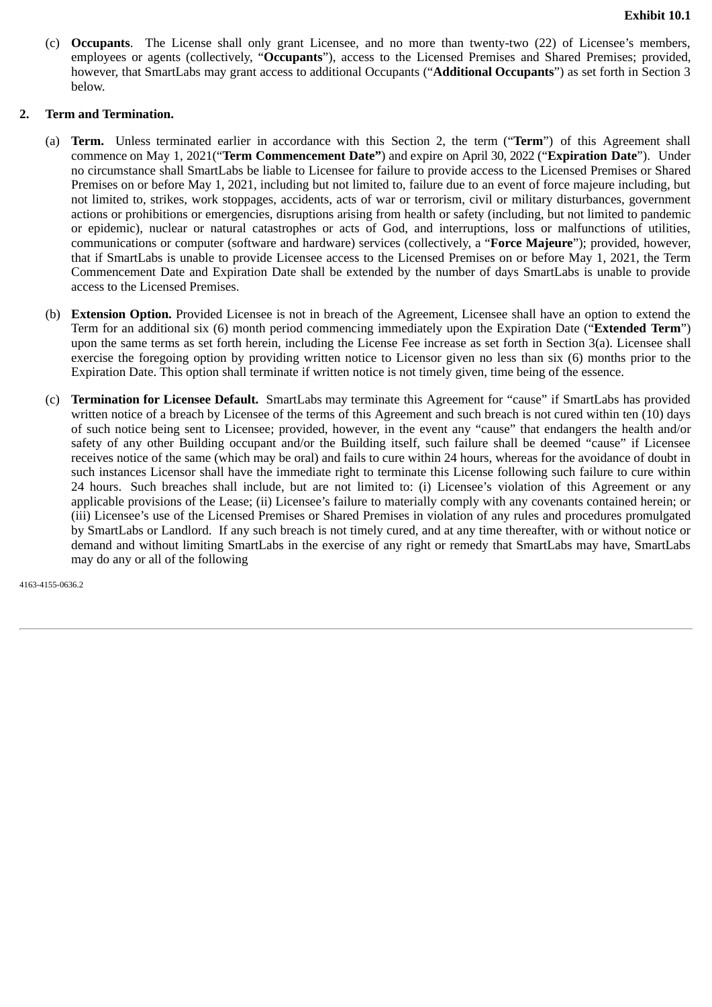(c) **Occupants**. The License shall only grant Licensee, and no more than twenty-two (22) of Licensee's members, employees or agents (collectively, "**Occupants**"), access to the Licensed Premises and Shared Premises; provided, however, that SmartLabs may grant access to additional Occupants ("**Additional Occupants**") as set forth in Section 3 below.

#### **2. Term and Termination.**

- (a) **Term.** Unless terminated earlier in accordance with this Section 2, the term ("**Term**") of this Agreement shall commence on May 1, 2021("**Term Commencement Date"**) and expire on April 30, 2022 ("**Expiration Date**"). Under no circumstance shall SmartLabs be liable to Licensee for failure to provide access to the Licensed Premises or Shared Premises on or before May 1, 2021, including but not limited to, failure due to an event of force majeure including, but not limited to, strikes, work stoppages, accidents, acts of war or terrorism, civil or military disturbances, government actions or prohibitions or emergencies, disruptions arising from health or safety (including, but not limited to pandemic or epidemic), nuclear or natural catastrophes or acts of God, and interruptions, loss or malfunctions of utilities, communications or computer (software and hardware) services (collectively, a "**Force Majeure**"); provided, however, that if SmartLabs is unable to provide Licensee access to the Licensed Premises on or before May 1, 2021, the Term Commencement Date and Expiration Date shall be extended by the number of days SmartLabs is unable to provide access to the Licensed Premises.
- (b) **Extension Option.** Provided Licensee is not in breach of the Agreement, Licensee shall have an option to extend the Term for an additional six (6) month period commencing immediately upon the Expiration Date ("**Extended Term**") upon the same terms as set forth herein, including the License Fee increase as set forth in Section 3(a). Licensee shall exercise the foregoing option by providing written notice to Licensor given no less than six (6) months prior to the Expiration Date. This option shall terminate if written notice is not timely given, time being of the essence.
- (c) **Termination for Licensee Default.** SmartLabs may terminate this Agreement for "cause" if SmartLabs has provided written notice of a breach by Licensee of the terms of this Agreement and such breach is not cured within ten (10) days of such notice being sent to Licensee; provided, however, in the event any "cause" that endangers the health and/or safety of any other Building occupant and/or the Building itself, such failure shall be deemed "cause" if Licensee receives notice of the same (which may be oral) and fails to cure within 24 hours, whereas for the avoidance of doubt in such instances Licensor shall have the immediate right to terminate this License following such failure to cure within 24 hours. Such breaches shall include, but are not limited to: (i) Licensee's violation of this Agreement or any applicable provisions of the Lease; (ii) Licensee's failure to materially comply with any covenants contained herein; or (iii) Licensee's use of the Licensed Premises or Shared Premises in violation of any rules and procedures promulgated by SmartLabs or Landlord. If any such breach is not timely cured, and at any time thereafter, with or without notice or demand and without limiting SmartLabs in the exercise of any right or remedy that SmartLabs may have, SmartLabs may do any or all of the following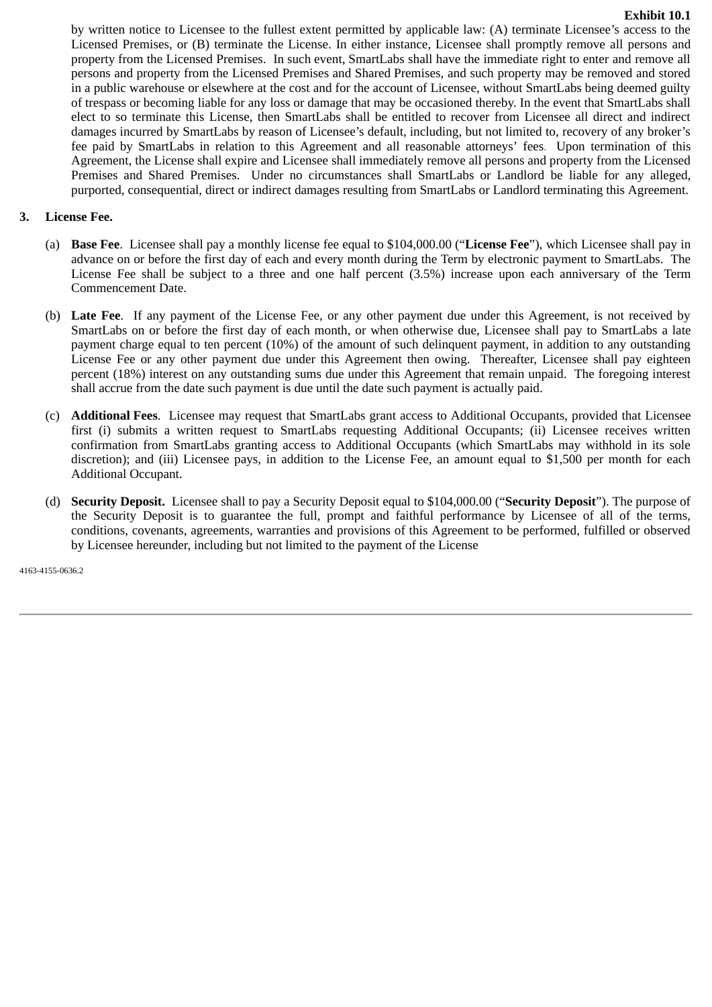by written notice to Licensee to the fullest extent permitted by applicable law: (A) terminate Licensee's access to the Licensed Premises, or (B) terminate the License. In either instance, Licensee shall promptly remove all persons and property from the Licensed Premises. In such event, SmartLabs shall have the immediate right to enter and remove all persons and property from the Licensed Premises and Shared Premises, and such property may be removed and stored in a public warehouse or elsewhere at the cost and for the account of Licensee, without SmartLabs being deemed guilty of trespass or becoming liable for any loss or damage that may be occasioned thereby. In the event that SmartLabs shall elect to so terminate this License, then SmartLabs shall be entitled to recover from Licensee all direct and indirect damages incurred by SmartLabs by reason of Licensee's default, including, but not limited to, recovery of any broker's fee paid by SmartLabs in relation to this Agreement and all reasonable attorneys' fees. Upon termination of this Agreement, the License shall expire and Licensee shall immediately remove all persons and property from the Licensed Premises and Shared Premises. Under no circumstances shall SmartLabs or Landlord be liable for any alleged, purported, consequential, direct or indirect damages resulting from SmartLabs or Landlord terminating this Agreement.

#### **3. License Fee.**

- (a) **Base Fee**. Licensee shall pay a monthly license fee equal to \$104,000.00 ("**License Fee**"), which Licensee shall pay in advance on or before the first day of each and every month during the Term by electronic payment to SmartLabs. The License Fee shall be subject to a three and one half percent (3.5%) increase upon each anniversary of the Term Commencement Date.
- (b) **Late Fee**. If any payment of the License Fee, or any other payment due under this Agreement, is not received by SmartLabs on or before the first day of each month, or when otherwise due, Licensee shall pay to SmartLabs a late payment charge equal to ten percent (10%) of the amount of such delinquent payment, in addition to any outstanding License Fee or any other payment due under this Agreement then owing. Thereafter, Licensee shall pay eighteen percent (18%) interest on any outstanding sums due under this Agreement that remain unpaid. The foregoing interest shall accrue from the date such payment is due until the date such payment is actually paid.
- (c) **Additional Fees**. Licensee may request that SmartLabs grant access to Additional Occupants, provided that Licensee first (i) submits a written request to SmartLabs requesting Additional Occupants; (ii) Licensee receives written confirmation from SmartLabs granting access to Additional Occupants (which SmartLabs may withhold in its sole discretion); and (iii) Licensee pays, in addition to the License Fee, an amount equal to \$1,500 per month for each Additional Occupant.
- (d) **Security Deposit.** Licensee shall to pay a Security Deposit equal to \$104,000.00 ("**Security Deposit**"). The purpose of the Security Deposit is to guarantee the full, prompt and faithful performance by Licensee of all of the terms, conditions, covenants, agreements, warranties and provisions of this Agreement to be performed, fulfilled or observed by Licensee hereunder, including but not limited to the payment of the License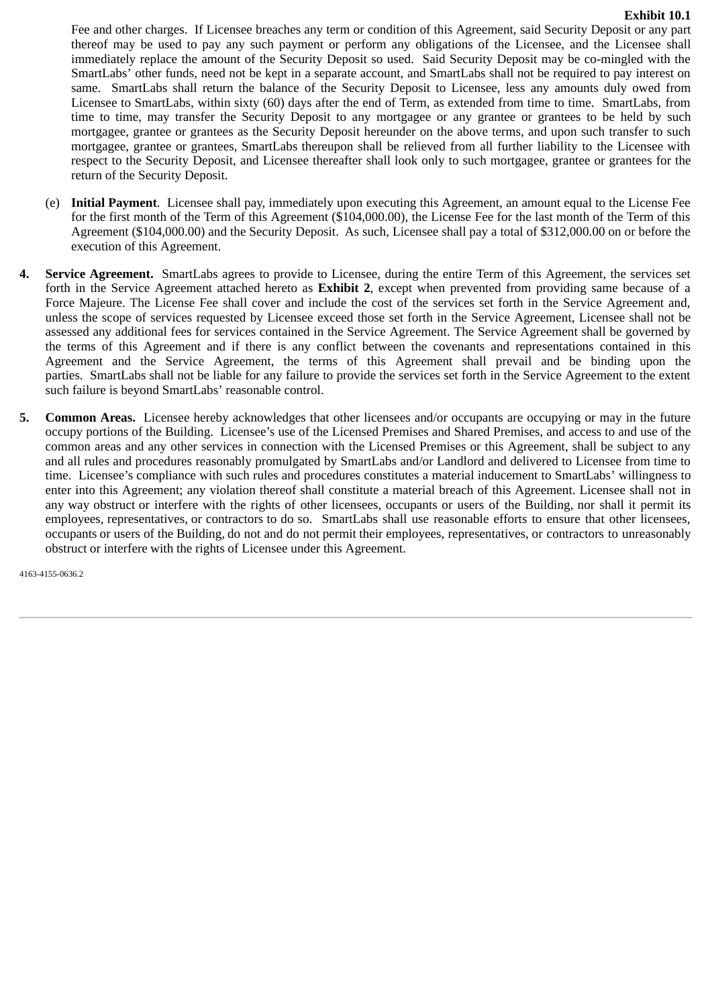Fee and other charges. If Licensee breaches any term or condition of this Agreement, said Security Deposit or any part thereof may be used to pay any such payment or perform any obligations of the Licensee, and the Licensee shall immediately replace the amount of the Security Deposit so used. Said Security Deposit may be co-mingled with the SmartLabs' other funds, need not be kept in a separate account, and SmartLabs shall not be required to pay interest on same. SmartLabs shall return the balance of the Security Deposit to Licensee, less any amounts duly owed from Licensee to SmartLabs, within sixty (60) days after the end of Term, as extended from time to time. SmartLabs, from time to time, may transfer the Security Deposit to any mortgagee or any grantee or grantees to be held by such mortgagee, grantee or grantees as the Security Deposit hereunder on the above terms, and upon such transfer to such mortgagee, grantee or grantees, SmartLabs thereupon shall be relieved from all further liability to the Licensee with respect to the Security Deposit, and Licensee thereafter shall look only to such mortgagee, grantee or grantees for the return of the Security Deposit.

- (e) **Initial Payment**. Licensee shall pay, immediately upon executing this Agreement, an amount equal to the License Fee for the first month of the Term of this Agreement (\$104,000.00), the License Fee for the last month of the Term of this Agreement (\$104,000.00) and the Security Deposit. As such, Licensee shall pay a total of \$312,000.00 on or before the execution of this Agreement.
- **4. Service Agreement.** SmartLabs agrees to provide to Licensee, during the entire Term of this Agreement, the services set forth in the Service Agreement attached hereto as **Exhibit 2**, except when prevented from providing same because of a Force Majeure. The License Fee shall cover and include the cost of the services set forth in the Service Agreement and, unless the scope of services requested by Licensee exceed those set forth in the Service Agreement, Licensee shall not be assessed any additional fees for services contained in the Service Agreement. The Service Agreement shall be governed by the terms of this Agreement and if there is any conflict between the covenants and representations contained in this Agreement and the Service Agreement, the terms of this Agreement shall prevail and be binding upon the parties. SmartLabs shall not be liable for any failure to provide the services set forth in the Service Agreement to the extent such failure is beyond SmartLabs' reasonable control.
- **5. Common Areas.** Licensee hereby acknowledges that other licensees and/or occupants are occupying or may in the future occupy portions of the Building. Licensee's use of the Licensed Premises and Shared Premises, and access to and use of the common areas and any other services in connection with the Licensed Premises or this Agreement, shall be subject to any and all rules and procedures reasonably promulgated by SmartLabs and/or Landlord and delivered to Licensee from time to time. Licensee's compliance with such rules and procedures constitutes a material inducement to SmartLabs' willingness to enter into this Agreement; any violation thereof shall constitute a material breach of this Agreement. Licensee shall not in any way obstruct or interfere with the rights of other licensees, occupants or users of the Building, nor shall it permit its employees, representatives, or contractors to do so. SmartLabs shall use reasonable efforts to ensure that other licensees, occupants or users of the Building, do not and do not permit their employees, representatives, or contractors to unreasonably obstruct or interfere with the rights of Licensee under this Agreement.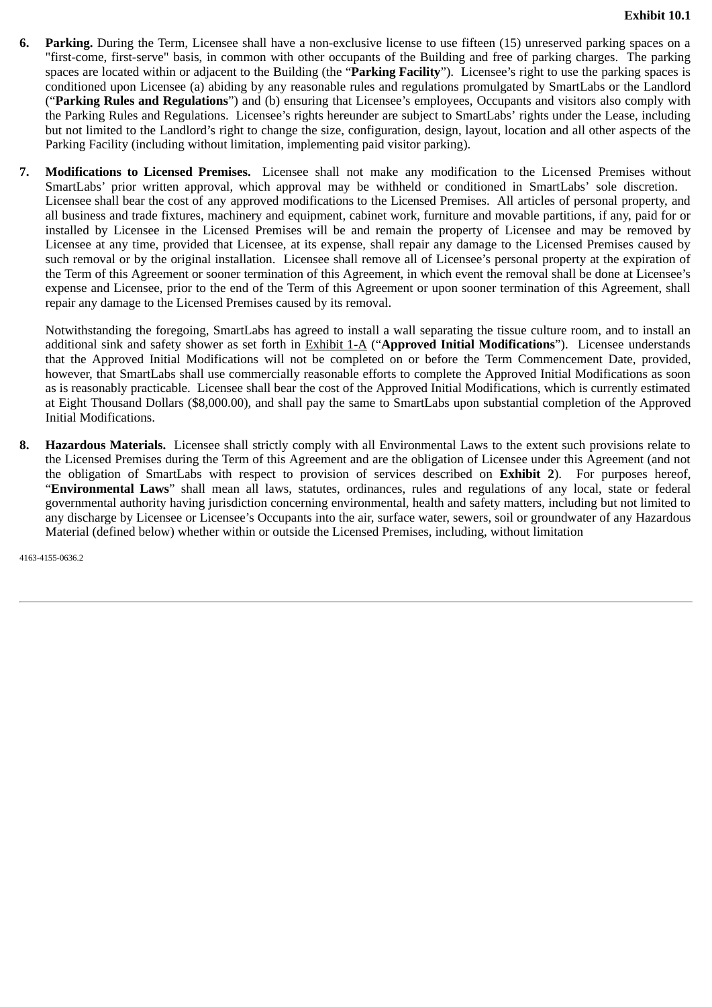- **6. Parking.** During the Term, Licensee shall have a non-exclusive license to use fifteen (15) unreserved parking spaces on a "first-come, first-serve" basis, in common with other occupants of the Building and free of parking charges. The parking spaces are located within or adjacent to the Building (the "**Parking Facility**"). Licensee's right to use the parking spaces is conditioned upon Licensee (a) abiding by any reasonable rules and regulations promulgated by SmartLabs or the Landlord ("**Parking Rules and Regulations**") and (b) ensuring that Licensee's employees, Occupants and visitors also comply with the Parking Rules and Regulations. Licensee's rights hereunder are subject to SmartLabs' rights under the Lease, including but not limited to the Landlord's right to change the size, configuration, design, layout, location and all other aspects of the Parking Facility (including without limitation, implementing paid visitor parking).
- **7. Modifications to Licensed Premises.** Licensee shall not make any modification to the Licensed Premises without SmartLabs' prior written approval, which approval may be withheld or conditioned in SmartLabs' sole discretion. Licensee shall bear the cost of any approved modifications to the Licensed Premises. All articles of personal property, and all business and trade fixtures, machinery and equipment, cabinet work, furniture and movable partitions, if any, paid for or installed by Licensee in the Licensed Premises will be and remain the property of Licensee and may be removed by Licensee at any time, provided that Licensee, at its expense, shall repair any damage to the Licensed Premises caused by such removal or by the original installation. Licensee shall remove all of Licensee's personal property at the expiration of the Term of this Agreement or sooner termination of this Agreement, in which event the removal shall be done at Licensee's expense and Licensee, prior to the end of the Term of this Agreement or upon sooner termination of this Agreement, shall repair any damage to the Licensed Premises caused by its removal.

Notwithstanding the foregoing, SmartLabs has agreed to install a wall separating the tissue culture room, and to install an additional sink and safety shower as set forth in Exhibit 1-A ("**Approved Initial Modifications**"). Licensee understands that the Approved Initial Modifications will not be completed on or before the Term Commencement Date, provided, however, that SmartLabs shall use commercially reasonable efforts to complete the Approved Initial Modifications as soon as is reasonably practicable. Licensee shall bear the cost of the Approved Initial Modifications, which is currently estimated at Eight Thousand Dollars (\$8,000.00), and shall pay the same to SmartLabs upon substantial completion of the Approved Initial Modifications.

**8. Hazardous Materials.** Licensee shall strictly comply with all Environmental Laws to the extent such provisions relate to the Licensed Premises during the Term of this Agreement and are the obligation of Licensee under this Agreement (and not the obligation of SmartLabs with respect to provision of services described on **Exhibit 2**). For purposes hereof, "**Environmental Laws**" shall mean all laws, statutes, ordinances, rules and regulations of any local, state or federal governmental authority having jurisdiction concerning environmental, health and safety matters, including but not limited to any discharge by Licensee or Licensee's Occupants into the air, surface water, sewers, soil or groundwater of any Hazardous Material (defined below) whether within or outside the Licensed Premises, including, without limitation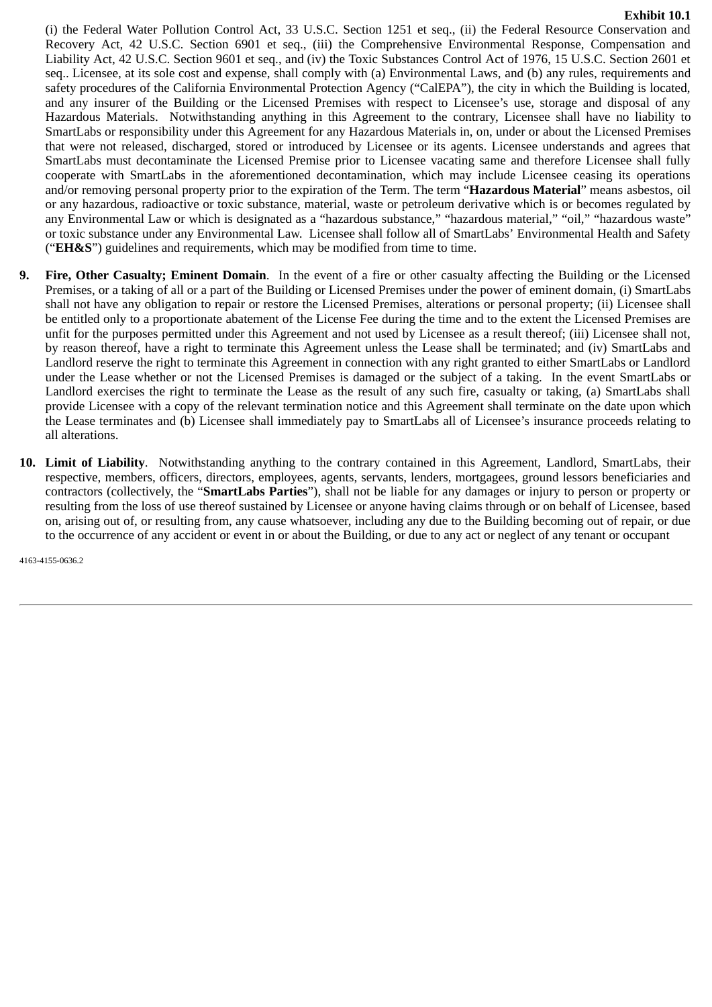(i) the Federal Water Pollution Control Act, 33 U.S.C. Section 1251 et seq., (ii) the Federal Resource Conservation and Recovery Act, 42 U.S.C. Section 6901 et seq., (iii) the Comprehensive Environmental Response, Compensation and Liability Act, 42 U.S.C. Section 9601 et seq., and (iv) the Toxic Substances Control Act of 1976, 15 U.S.C. Section 2601 et seq.. Licensee, at its sole cost and expense, shall comply with (a) Environmental Laws, and (b) any rules, requirements and safety procedures of the California Environmental Protection Agency ("CalEPA"), the city in which the Building is located, and any insurer of the Building or the Licensed Premises with respect to Licensee's use, storage and disposal of any Hazardous Materials. Notwithstanding anything in this Agreement to the contrary, Licensee shall have no liability to SmartLabs or responsibility under this Agreement for any Hazardous Materials in, on, under or about the Licensed Premises that were not released, discharged, stored or introduced by Licensee or its agents. Licensee understands and agrees that SmartLabs must decontaminate the Licensed Premise prior to Licensee vacating same and therefore Licensee shall fully cooperate with SmartLabs in the aforementioned decontamination, which may include Licensee ceasing its operations and/or removing personal property prior to the expiration of the Term. The term "**Hazardous Material**" means asbestos, oil or any hazardous, radioactive or toxic substance, material, waste or petroleum derivative which is or becomes regulated by any Environmental Law or which is designated as a "hazardous substance," "hazardous material," "oil," "hazardous waste" or toxic substance under any Environmental Law. Licensee shall follow all of SmartLabs' Environmental Health and Safety ("**EH&S**") guidelines and requirements, which may be modified from time to time.

- **9. Fire, Other Casualty; Eminent Domain**. In the event of a fire or other casualty affecting the Building or the Licensed Premises, or a taking of all or a part of the Building or Licensed Premises under the power of eminent domain, (i) SmartLabs shall not have any obligation to repair or restore the Licensed Premises, alterations or personal property; (ii) Licensee shall be entitled only to a proportionate abatement of the License Fee during the time and to the extent the Licensed Premises are unfit for the purposes permitted under this Agreement and not used by Licensee as a result thereof; (iii) Licensee shall not, by reason thereof, have a right to terminate this Agreement unless the Lease shall be terminated; and (iv) SmartLabs and Landlord reserve the right to terminate this Agreement in connection with any right granted to either SmartLabs or Landlord under the Lease whether or not the Licensed Premises is damaged or the subject of a taking. In the event SmartLabs or Landlord exercises the right to terminate the Lease as the result of any such fire, casualty or taking, (a) SmartLabs shall provide Licensee with a copy of the relevant termination notice and this Agreement shall terminate on the date upon which the Lease terminates and (b) Licensee shall immediately pay to SmartLabs all of Licensee's insurance proceeds relating to all alterations.
- **10. Limit of Liability**. Notwithstanding anything to the contrary contained in this Agreement, Landlord, SmartLabs, their respective, members, officers, directors, employees, agents, servants, lenders, mortgagees, ground lessors beneficiaries and contractors (collectively, the "**SmartLabs Parties**"), shall not be liable for any damages or injury to person or property or resulting from the loss of use thereof sustained by Licensee or anyone having claims through or on behalf of Licensee, based on, arising out of, or resulting from, any cause whatsoever, including any due to the Building becoming out of repair, or due to the occurrence of any accident or event in or about the Building, or due to any act or neglect of any tenant or occupant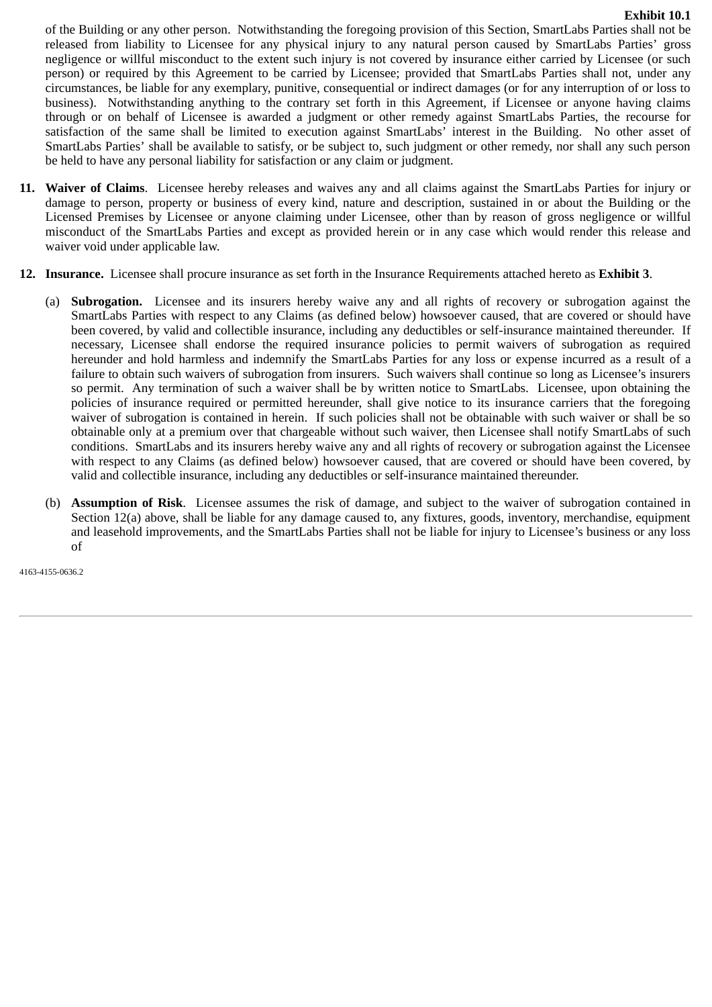of the Building or any other person. Notwithstanding the foregoing provision of this Section, SmartLabs Parties shall not be released from liability to Licensee for any physical injury to any natural person caused by SmartLabs Parties' gross negligence or willful misconduct to the extent such injury is not covered by insurance either carried by Licensee (or such person) or required by this Agreement to be carried by Licensee; provided that SmartLabs Parties shall not, under any circumstances, be liable for any exemplary, punitive, consequential or indirect damages (or for any interruption of or loss to business). Notwithstanding anything to the contrary set forth in this Agreement, if Licensee or anyone having claims through or on behalf of Licensee is awarded a judgment or other remedy against SmartLabs Parties, the recourse for satisfaction of the same shall be limited to execution against SmartLabs' interest in the Building. No other asset of SmartLabs Parties' shall be available to satisfy, or be subject to, such judgment or other remedy, nor shall any such person be held to have any personal liability for satisfaction or any claim or judgment.

- **11. Waiver of Claims**. Licensee hereby releases and waives any and all claims against the SmartLabs Parties for injury or damage to person, property or business of every kind, nature and description, sustained in or about the Building or the Licensed Premises by Licensee or anyone claiming under Licensee, other than by reason of gross negligence or willful misconduct of the SmartLabs Parties and except as provided herein or in any case which would render this release and waiver void under applicable law.
- **12. Insurance.** Licensee shall procure insurance as set forth in the Insurance Requirements attached hereto as **Exhibit 3**.
	- (a) **Subrogation.** Licensee and its insurers hereby waive any and all rights of recovery or subrogation against the SmartLabs Parties with respect to any Claims (as defined below) howsoever caused, that are covered or should have been covered, by valid and collectible insurance, including any deductibles or self-insurance maintained thereunder. If necessary, Licensee shall endorse the required insurance policies to permit waivers of subrogation as required hereunder and hold harmless and indemnify the SmartLabs Parties for any loss or expense incurred as a result of a failure to obtain such waivers of subrogation from insurers. Such waivers shall continue so long as Licensee's insurers so permit. Any termination of such a waiver shall be by written notice to SmartLabs. Licensee, upon obtaining the policies of insurance required or permitted hereunder, shall give notice to its insurance carriers that the foregoing waiver of subrogation is contained in herein. If such policies shall not be obtainable with such waiver or shall be so obtainable only at a premium over that chargeable without such waiver, then Licensee shall notify SmartLabs of such conditions. SmartLabs and its insurers hereby waive any and all rights of recovery or subrogation against the Licensee with respect to any Claims (as defined below) howsoever caused, that are covered or should have been covered, by valid and collectible insurance, including any deductibles or self-insurance maintained thereunder.
	- (b) **Assumption of Risk**. Licensee assumes the risk of damage, and subject to the waiver of subrogation contained in Section 12(a) above, shall be liable for any damage caused to, any fixtures, goods, inventory, merchandise, equipment and leasehold improvements, and the SmartLabs Parties shall not be liable for injury to Licensee's business or any loss of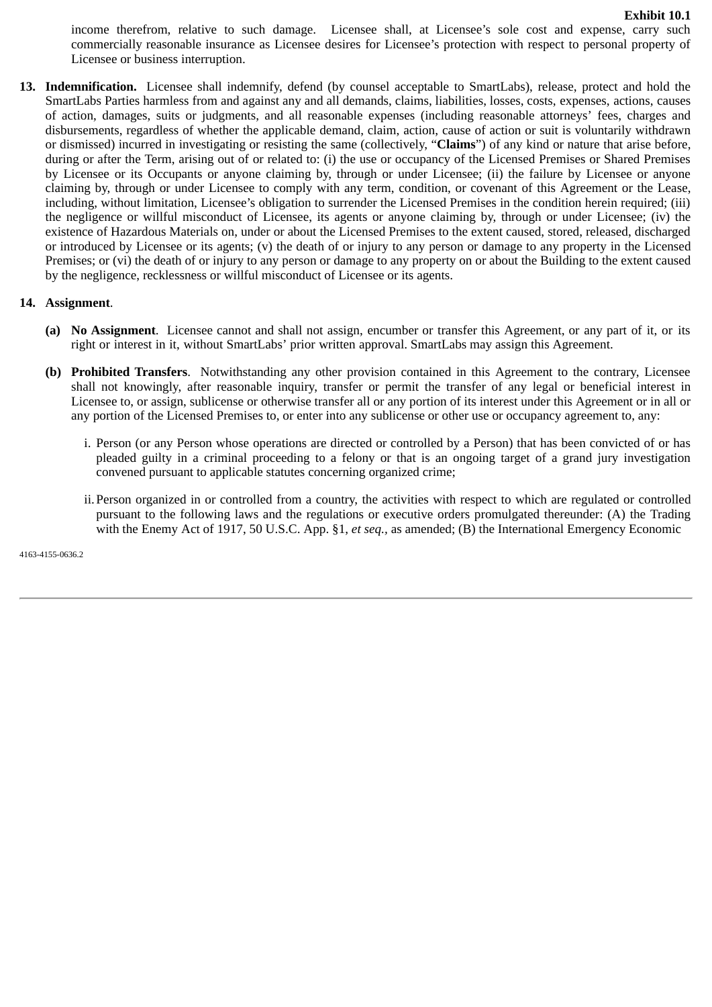income therefrom, relative to such damage. Licensee shall, at Licensee's sole cost and expense, carry such commercially reasonable insurance as Licensee desires for Licensee's protection with respect to personal property of Licensee or business interruption.

**13. Indemnification.** Licensee shall indemnify, defend (by counsel acceptable to SmartLabs), release, protect and hold the SmartLabs Parties harmless from and against any and all demands, claims, liabilities, losses, costs, expenses, actions, causes of action, damages, suits or judgments, and all reasonable expenses (including reasonable attorneys' fees, charges and disbursements, regardless of whether the applicable demand, claim, action, cause of action or suit is voluntarily withdrawn or dismissed) incurred in investigating or resisting the same (collectively, "**Claims**") of any kind or nature that arise before, during or after the Term, arising out of or related to: (i) the use or occupancy of the Licensed Premises or Shared Premises by Licensee or its Occupants or anyone claiming by, through or under Licensee; (ii) the failure by Licensee or anyone claiming by, through or under Licensee to comply with any term, condition, or covenant of this Agreement or the Lease, including, without limitation, Licensee's obligation to surrender the Licensed Premises in the condition herein required; (iii) the negligence or willful misconduct of Licensee, its agents or anyone claiming by, through or under Licensee; (iv) the existence of Hazardous Materials on, under or about the Licensed Premises to the extent caused, stored, released, discharged or introduced by Licensee or its agents; (v) the death of or injury to any person or damage to any property in the Licensed Premises; or (vi) the death of or injury to any person or damage to any property on or about the Building to the extent caused by the negligence, recklessness or willful misconduct of Licensee or its agents.

### **14. Assignment**.

- **(a) No Assignment**. Licensee cannot and shall not assign, encumber or transfer this Agreement, or any part of it, or its right or interest in it, without SmartLabs' prior written approval. SmartLabs may assign this Agreement.
- **(b) Prohibited Transfers**. Notwithstanding any other provision contained in this Agreement to the contrary, Licensee shall not knowingly, after reasonable inquiry, transfer or permit the transfer of any legal or beneficial interest in Licensee to, or assign, sublicense or otherwise transfer all or any portion of its interest under this Agreement or in all or any portion of the Licensed Premises to, or enter into any sublicense or other use or occupancy agreement to, any:
	- i. Person (or any Person whose operations are directed or controlled by a Person) that has been convicted of or has pleaded guilty in a criminal proceeding to a felony or that is an ongoing target of a grand jury investigation convened pursuant to applicable statutes concerning organized crime;
	- ii.Person organized in or controlled from a country, the activities with respect to which are regulated or controlled pursuant to the following laws and the regulations or executive orders promulgated thereunder: (A) the Trading with the Enemy Act of 1917, 50 U.S.C. App. §1, *et seq.,* as amended; (B) the International Emergency Economic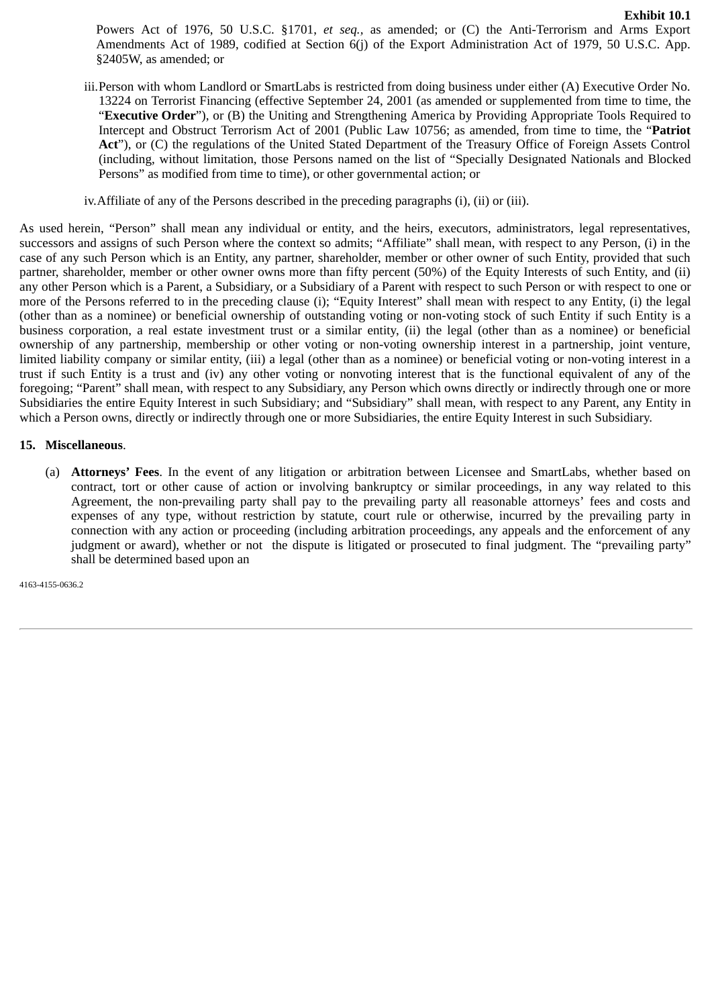Powers Act of 1976, 50 U.S.C. §1701, *et seq.,* as amended; or (C) the Anti-Terrorism and Arms Export Amendments Act of 1989, codified at Section 6(j) of the Export Administration Act of 1979, 50 U.S.C. App. §2405W, as amended; or

- iii.Person with whom Landlord or SmartLabs is restricted from doing business under either (A) Executive Order No. 13224 on Terrorist Financing (effective September 24, 2001 (as amended or supplemented from time to time, the "**Executive Order**"), or (B) the Uniting and Strengthening America by Providing Appropriate Tools Required to Intercept and Obstruct Terrorism Act of 2001 (Public Law 10756; as amended, from time to time, the "**Patriot Act**"), or (C) the regulations of the United Stated Department of the Treasury Office of Foreign Assets Control (including, without limitation, those Persons named on the list of "Specially Designated Nationals and Blocked Persons" as modified from time to time), or other governmental action; or
- iv.Affiliate of any of the Persons described in the preceding paragraphs (i), (ii) or (iii).

As used herein, "Person" shall mean any individual or entity, and the heirs, executors, administrators, legal representatives, successors and assigns of such Person where the context so admits; "Affiliate" shall mean, with respect to any Person, (i) in the case of any such Person which is an Entity, any partner, shareholder, member or other owner of such Entity, provided that such partner, shareholder, member or other owner owns more than fifty percent (50%) of the Equity Interests of such Entity, and (ii) any other Person which is a Parent, a Subsidiary, or a Subsidiary of a Parent with respect to such Person or with respect to one or more of the Persons referred to in the preceding clause (i); "Equity Interest" shall mean with respect to any Entity, (i) the legal (other than as a nominee) or beneficial ownership of outstanding voting or non-voting stock of such Entity if such Entity is a business corporation, a real estate investment trust or a similar entity, (ii) the legal (other than as a nominee) or beneficial ownership of any partnership, membership or other voting or non-voting ownership interest in a partnership, joint venture, limited liability company or similar entity, (iii) a legal (other than as a nominee) or beneficial voting or non-voting interest in a trust if such Entity is a trust and (iv) any other voting or nonvoting interest that is the functional equivalent of any of the foregoing; "Parent" shall mean, with respect to any Subsidiary, any Person which owns directly or indirectly through one or more Subsidiaries the entire Equity Interest in such Subsidiary; and "Subsidiary" shall mean, with respect to any Parent, any Entity in which a Person owns, directly or indirectly through one or more Subsidiaries, the entire Equity Interest in such Subsidiary.

#### **15. Miscellaneous**.

(a) **Attorneys' Fees**. In the event of any litigation or arbitration between Licensee and SmartLabs, whether based on contract, tort or other cause of action or involving bankruptcy or similar proceedings, in any way related to this Agreement, the non‑prevailing party shall pay to the prevailing party all reasonable attorneys' fees and costs and expenses of any type, without restriction by statute, court rule or otherwise, incurred by the prevailing party in connection with any action or proceeding (including arbitration proceedings, any appeals and the enforcement of any judgment or award), whether or not the dispute is litigated or prosecuted to final judgment. The "prevailing party" shall be determined based upon an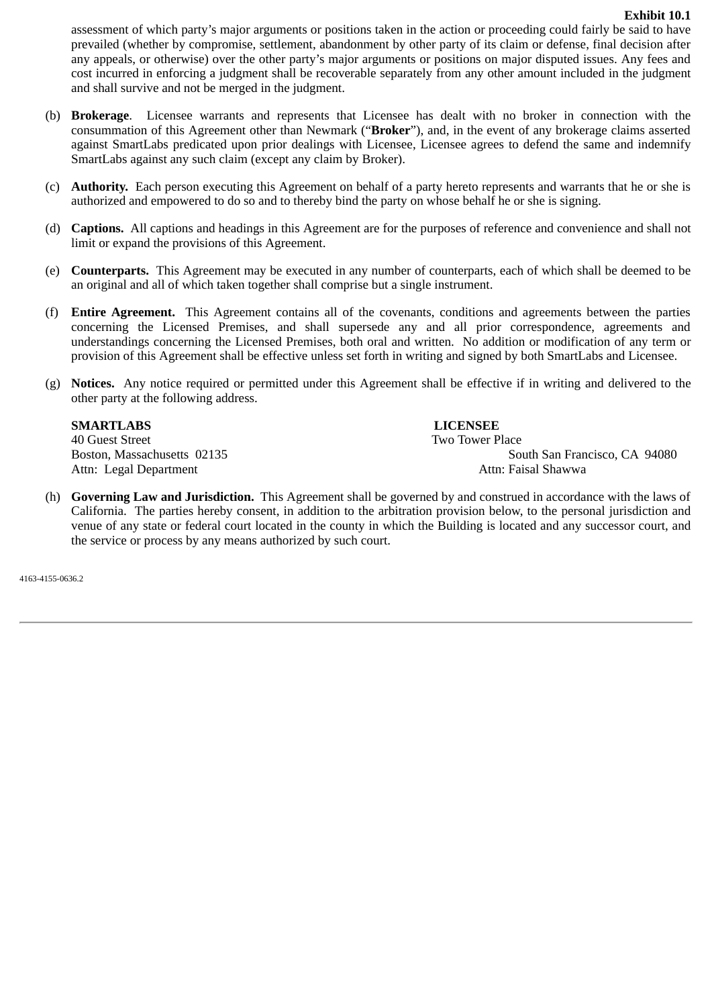#### **Exhibit 10.1**

assessment of which party's major arguments or positions taken in the action or proceeding could fairly be said to have prevailed (whether by compromise, settlement, abandonment by other party of its claim or defense, final decision after any appeals, or otherwise) over the other party's major arguments or positions on major disputed issues. Any fees and cost incurred in enforcing a judgment shall be recoverable separately from any other amount included in the judgment and shall survive and not be merged in the judgment.

- (b) **Brokerage**. Licensee warrants and represents that Licensee has dealt with no broker in connection with the consummation of this Agreement other than Newmark ("**Broker**"), and, in the event of any brokerage claims asserted against SmartLabs predicated upon prior dealings with Licensee, Licensee agrees to defend the same and indemnify SmartLabs against any such claim (except any claim by Broker).
- (c) **Authority.** Each person executing this Agreement on behalf of a party hereto represents and warrants that he or she is authorized and empowered to do so and to thereby bind the party on whose behalf he or she is signing.
- (d) **Captions.** All captions and headings in this Agreement are for the purposes of reference and convenience and shall not limit or expand the provisions of this Agreement.
- (e) **Counterparts.** This Agreement may be executed in any number of counterparts, each of which shall be deemed to be an original and all of which taken together shall comprise but a single instrument.
- (f) **Entire Agreement.** This Agreement contains all of the covenants, conditions and agreements between the parties concerning the Licensed Premises, and shall supersede any and all prior correspondence, agreements and understandings concerning the Licensed Premises, both oral and written. No addition or modification of any term or provision of this Agreement shall be effective unless set forth in writing and signed by both SmartLabs and Licensee.
- (g) **Notices.** Any notice required or permitted under this Agreement shall be effective if in writing and delivered to the other party at the following address.

# **SMARTLABS LICENSEE**

40 Guest Street Two Tower Place Attn: Legal Department **Attn:** Faisal Shawwa

Boston, Massachusetts 02135 South San Francisco, CA 94080

(h) **Governing Law and Jurisdiction.** This Agreement shall be governed by and construed in accordance with the laws of California. The parties hereby consent, in addition to the arbitration provision below, to the personal jurisdiction and venue of any state or federal court located in the county in which the Building is located and any successor court, and the service or process by any means authorized by such court.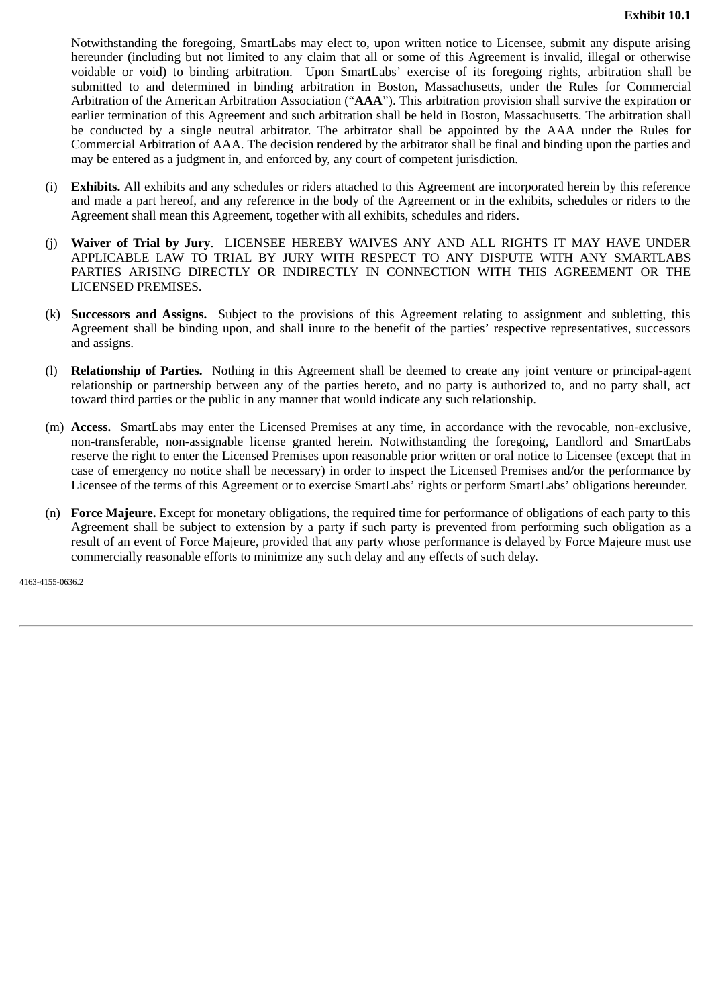Notwithstanding the foregoing, SmartLabs may elect to, upon written notice to Licensee, submit any dispute arising hereunder (including but not limited to any claim that all or some of this Agreement is invalid, illegal or otherwise voidable or void) to binding arbitration. Upon SmartLabs' exercise of its foregoing rights, arbitration shall be submitted to and determined in binding arbitration in Boston, Massachusetts, under the Rules for Commercial Arbitration of the American Arbitration Association ("**AAA**"). This arbitration provision shall survive the expiration or earlier termination of this Agreement and such arbitration shall be held in Boston, Massachusetts. The arbitration shall be conducted by a single neutral arbitrator. The arbitrator shall be appointed by the AAA under the Rules for Commercial Arbitration of AAA. The decision rendered by the arbitrator shall be final and binding upon the parties and may be entered as a judgment in, and enforced by, any court of competent jurisdiction.

- (i) **Exhibits.** All exhibits and any schedules or riders attached to this Agreement are incorporated herein by this reference and made a part hereof, and any reference in the body of the Agreement or in the exhibits, schedules or riders to the Agreement shall mean this Agreement, together with all exhibits, schedules and riders.
- (j) **Waiver of Trial by Jury**. LICENSEE HEREBY WAIVES ANY AND ALL RIGHTS IT MAY HAVE UNDER APPLICABLE LAW TO TRIAL BY JURY WITH RESPECT TO ANY DISPUTE WITH ANY SMARTLABS PARTIES ARISING DIRECTLY OR INDIRECTLY IN CONNECTION WITH THIS AGREEMENT OR THE LICENSED PREMISES.
- (k) **Successors and Assigns.** Subject to the provisions of this Agreement relating to assignment and subletting, this Agreement shall be binding upon, and shall inure to the benefit of the parties' respective representatives, successors and assigns.
- (l) **Relationship of Parties.** Nothing in this Agreement shall be deemed to create any joint venture or principal-agent relationship or partnership between any of the parties hereto, and no party is authorized to, and no party shall, act toward third parties or the public in any manner that would indicate any such relationship.
- (m) **Access.** SmartLabs may enter the Licensed Premises at any time, in accordance with the revocable, non-exclusive, non-transferable, non-assignable license granted herein. Notwithstanding the foregoing, Landlord and SmartLabs reserve the right to enter the Licensed Premises upon reasonable prior written or oral notice to Licensee (except that in case of emergency no notice shall be necessary) in order to inspect the Licensed Premises and/or the performance by Licensee of the terms of this Agreement or to exercise SmartLabs' rights or perform SmartLabs' obligations hereunder.
- (n) **Force Majeure.** Except for monetary obligations, the required time for performance of obligations of each party to this Agreement shall be subject to extension by a party if such party is prevented from performing such obligation as a result of an event of Force Majeure, provided that any party whose performance is delayed by Force Majeure must use commercially reasonable efforts to minimize any such delay and any effects of such delay.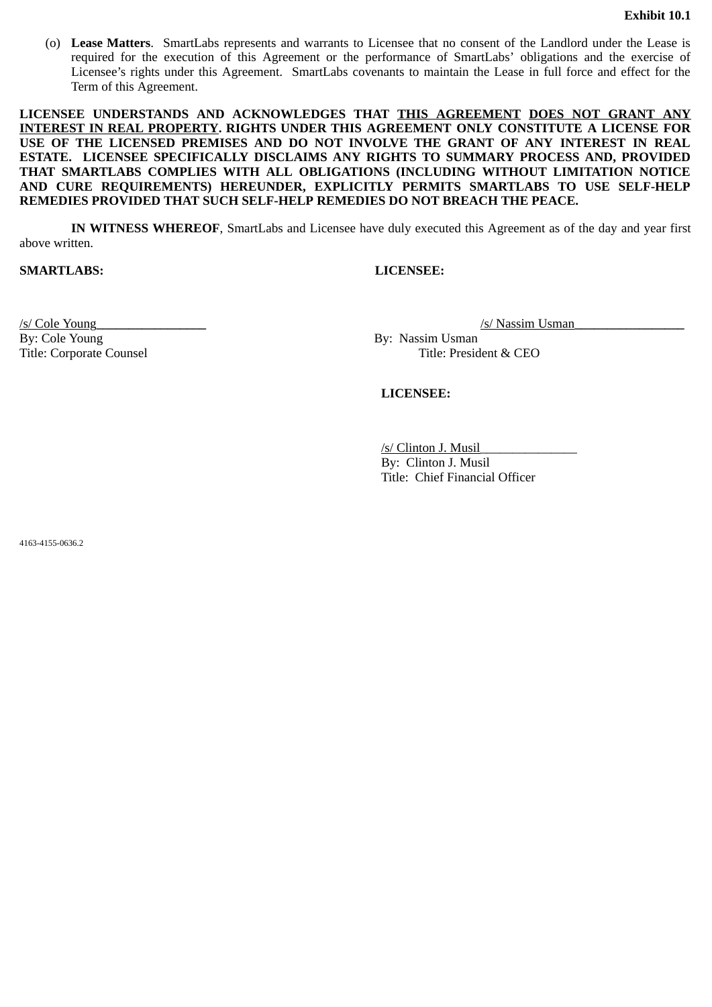(o) **Lease Matters**. SmartLabs represents and warrants to Licensee that no consent of the Landlord under the Lease is required for the execution of this Agreement or the performance of SmartLabs' obligations and the exercise of Licensee's rights under this Agreement. SmartLabs covenants to maintain the Lease in full force and effect for the Term of this Agreement.

**LICENSEE UNDERSTANDS AND ACKNOWLEDGES THAT THIS AGREEMENT DOES NOT GRANT ANY INTEREST IN REAL PROPERTY. RIGHTS UNDER THIS AGREEMENT ONLY CONSTITUTE A LICENSE FOR USE OF THE LICENSED PREMISES AND DO NOT INVOLVE THE GRANT OF ANY INTEREST IN REAL ESTATE. LICENSEE SPECIFICALLY DISCLAIMS ANY RIGHTS TO SUMMARY PROCESS AND, PROVIDED THAT SMARTLABS COMPLIES WITH ALL OBLIGATIONS (INCLUDING WITHOUT LIMITATION NOTICE AND CURE REQUIREMENTS) HEREUNDER, EXPLICITLY PERMITS SMARTLABS TO USE SELF-HELP REMEDIES PROVIDED THAT SUCH SELF-HELP REMEDIES DO NOT BREACH THE PEACE.**

**IN WITNESS WHEREOF**, SmartLabs and Licensee have duly executed this Agreement as of the day and year first above written.

**SMARTLABS: LICENSEE:**

/s/ Cole Young**\_\_\_\_\_\_\_\_\_\_\_\_\_\_\_\_\_** /s/ Nassim Usman**\_\_\_\_\_\_\_\_\_\_\_\_\_\_\_\_\_** By: Cole Young By: Nassim Usman

Title: Corporate Counsel Title: President & CEO

**LICENSEE:**

/s/ Clinton J. Musil\_\_\_\_\_\_\_\_\_\_\_\_\_\_\_ By: Clinton J. Musil Title: Chief Financial Officer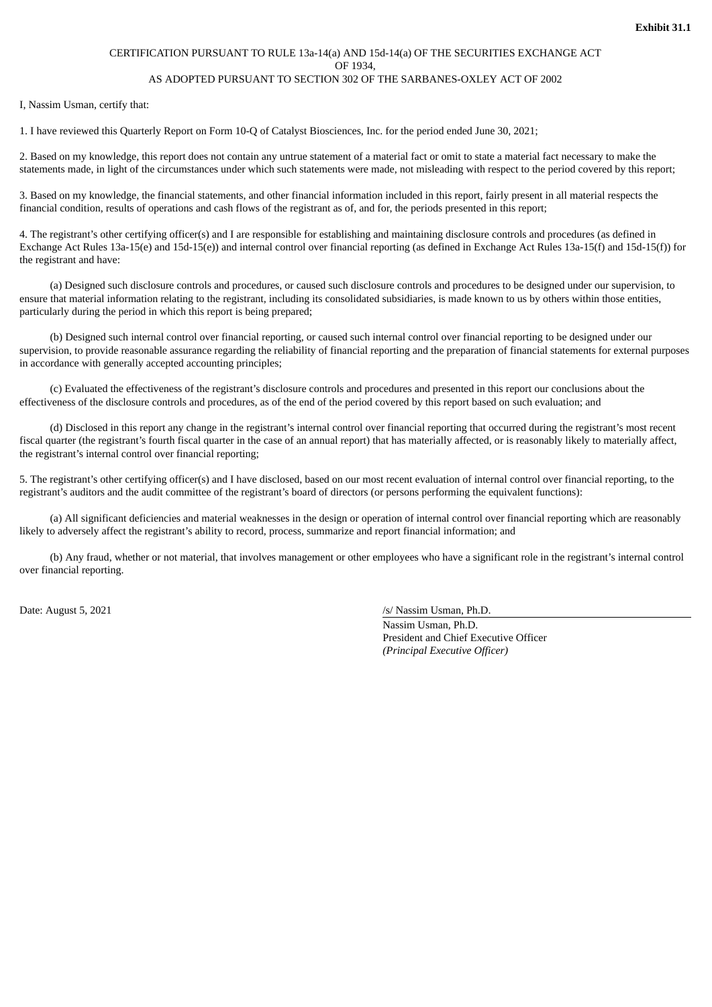#### CERTIFICATION PURSUANT TO RULE 13a-14(a) AND 15d-14(a) OF THE SECURITIES EXCHANGE ACT OF 1934, AS ADOPTED PURSUANT TO SECTION 302 OF THE SARBANES-OXLEY ACT OF 2002

<span id="page-44-0"></span>I, Nassim Usman, certify that:

1. I have reviewed this Quarterly Report on Form 10-Q of Catalyst Biosciences, Inc. for the period ended June 30, 2021;

2. Based on my knowledge, this report does not contain any untrue statement of a material fact or omit to state a material fact necessary to make the statements made, in light of the circumstances under which such statements were made, not misleading with respect to the period covered by this report;

3. Based on my knowledge, the financial statements, and other financial information included in this report, fairly present in all material respects the financial condition, results of operations and cash flows of the registrant as of, and for, the periods presented in this report;

4. The registrant's other certifying officer(s) and I are responsible for establishing and maintaining disclosure controls and procedures (as defined in Exchange Act Rules 13a-15(e) and 15d-15(e)) and internal control over financial reporting (as defined in Exchange Act Rules 13a-15(f) and 15d-15(f)) for the registrant and have:

(a) Designed such disclosure controls and procedures, or caused such disclosure controls and procedures to be designed under our supervision, to ensure that material information relating to the registrant, including its consolidated subsidiaries, is made known to us by others within those entities, particularly during the period in which this report is being prepared;

(b) Designed such internal control over financial reporting, or caused such internal control over financial reporting to be designed under our supervision, to provide reasonable assurance regarding the reliability of financial reporting and the preparation of financial statements for external purposes in accordance with generally accepted accounting principles;

(c) Evaluated the effectiveness of the registrant's disclosure controls and procedures and presented in this report our conclusions about the effectiveness of the disclosure controls and procedures, as of the end of the period covered by this report based on such evaluation; and

(d) Disclosed in this report any change in the registrant's internal control over financial reporting that occurred during the registrant's most recent fiscal quarter (the registrant's fourth fiscal quarter in the case of an annual report) that has materially affected, or is reasonably likely to materially affect, the registrant's internal control over financial reporting;

5. The registrant's other certifying officer(s) and I have disclosed, based on our most recent evaluation of internal control over financial reporting, to the registrant's auditors and the audit committee of the registrant's board of directors (or persons performing the equivalent functions):

(a) All significant deficiencies and material weaknesses in the design or operation of internal control over financial reporting which are reasonably likely to adversely affect the registrant's ability to record, process, summarize and report financial information; and

(b) Any fraud, whether or not material, that involves management or other employees who have a significant role in the registrant's internal control over financial reporting.

Date: August 5, 2021 /s/ Nassim Usman, Ph.D.

Nassim Usman, Ph.D. President and Chief Executive Officer *(Principal Executive Officer)*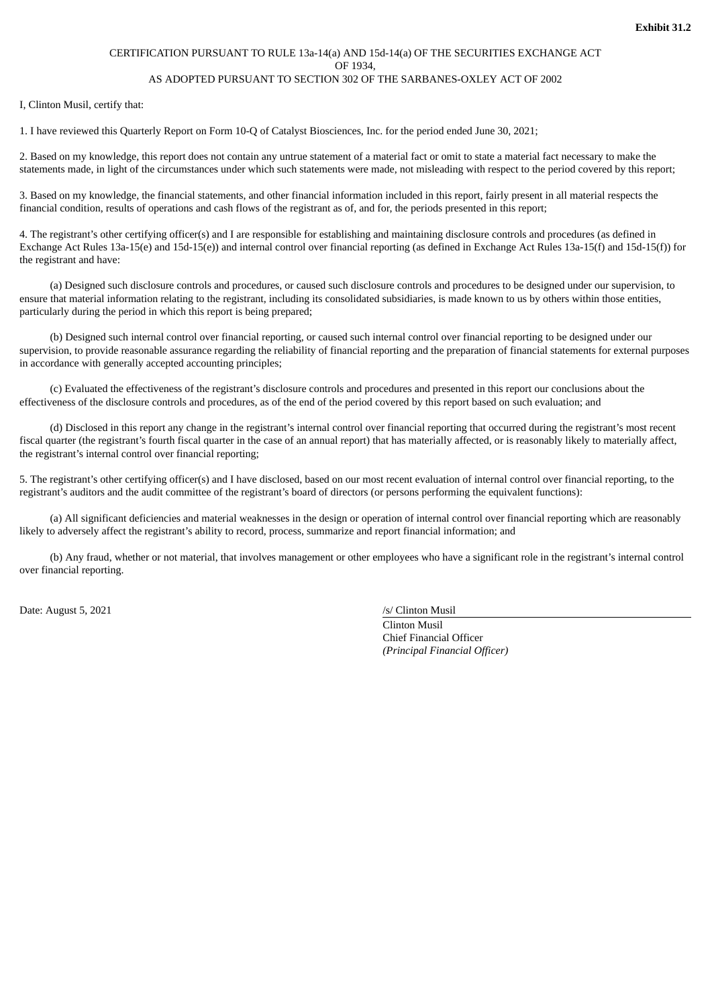#### CERTIFICATION PURSUANT TO RULE 13a-14(a) AND 15d-14(a) OF THE SECURITIES EXCHANGE ACT OF 1934, AS ADOPTED PURSUANT TO SECTION 302 OF THE SARBANES-OXLEY ACT OF 2002

<span id="page-45-0"></span>I, Clinton Musil, certify that:

1. I have reviewed this Quarterly Report on Form 10-Q of Catalyst Biosciences, Inc. for the period ended June 30, 2021;

2. Based on my knowledge, this report does not contain any untrue statement of a material fact or omit to state a material fact necessary to make the statements made, in light of the circumstances under which such statements were made, not misleading with respect to the period covered by this report;

3. Based on my knowledge, the financial statements, and other financial information included in this report, fairly present in all material respects the financial condition, results of operations and cash flows of the registrant as of, and for, the periods presented in this report;

4. The registrant's other certifying officer(s) and I are responsible for establishing and maintaining disclosure controls and procedures (as defined in Exchange Act Rules 13a-15(e) and 15d-15(e)) and internal control over financial reporting (as defined in Exchange Act Rules 13a-15(f) and 15d-15(f)) for the registrant and have:

(a) Designed such disclosure controls and procedures, or caused such disclosure controls and procedures to be designed under our supervision, to ensure that material information relating to the registrant, including its consolidated subsidiaries, is made known to us by others within those entities, particularly during the period in which this report is being prepared;

(b) Designed such internal control over financial reporting, or caused such internal control over financial reporting to be designed under our supervision, to provide reasonable assurance regarding the reliability of financial reporting and the preparation of financial statements for external purposes in accordance with generally accepted accounting principles;

(c) Evaluated the effectiveness of the registrant's disclosure controls and procedures and presented in this report our conclusions about the effectiveness of the disclosure controls and procedures, as of the end of the period covered by this report based on such evaluation; and

(d) Disclosed in this report any change in the registrant's internal control over financial reporting that occurred during the registrant's most recent fiscal quarter (the registrant's fourth fiscal quarter in the case of an annual report) that has materially affected, or is reasonably likely to materially affect, the registrant's internal control over financial reporting;

5. The registrant's other certifying officer(s) and I have disclosed, based on our most recent evaluation of internal control over financial reporting, to the registrant's auditors and the audit committee of the registrant's board of directors (or persons performing the equivalent functions):

(a) All significant deficiencies and material weaknesses in the design or operation of internal control over financial reporting which are reasonably likely to adversely affect the registrant's ability to record, process, summarize and report financial information; and

(b) Any fraud, whether or not material, that involves management or other employees who have a significant role in the registrant's internal control over financial reporting.

Date: August 5, 2021 /s/ Clinton Musil

Clinton Musil Chief Financial Officer *(Principal Financial Officer)*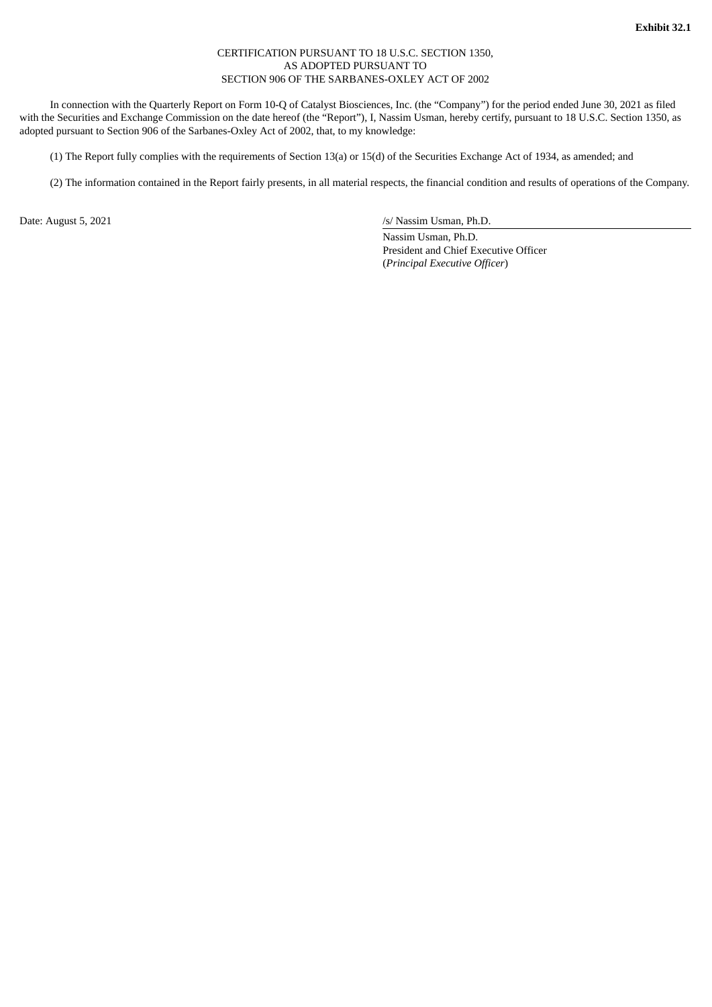#### CERTIFICATION PURSUANT TO 18 U.S.C. SECTION 1350, AS ADOPTED PURSUANT TO SECTION 906 OF THE SARBANES-OXLEY ACT OF 2002

<span id="page-46-0"></span>In connection with the Quarterly Report on Form 10-Q of Catalyst Biosciences, Inc. (the "Company") for the period ended June 30, 2021 as filed with the Securities and Exchange Commission on the date hereof (the "Report"), I, Nassim Usman, hereby certify, pursuant to 18 U.S.C. Section 1350, as adopted pursuant to Section 906 of the Sarbanes-Oxley Act of 2002, that, to my knowledge:

(1) The Report fully complies with the requirements of Section 13(a) or 15(d) of the Securities Exchange Act of 1934, as amended; and

(2) The information contained in the Report fairly presents, in all material respects, the financial condition and results of operations of the Company.

Date: August 5, 2021 /s/ Nassim Usman, Ph.D.

Nassim Usman, Ph.D. President and Chief Executive Officer (*Principal Executive Officer*)